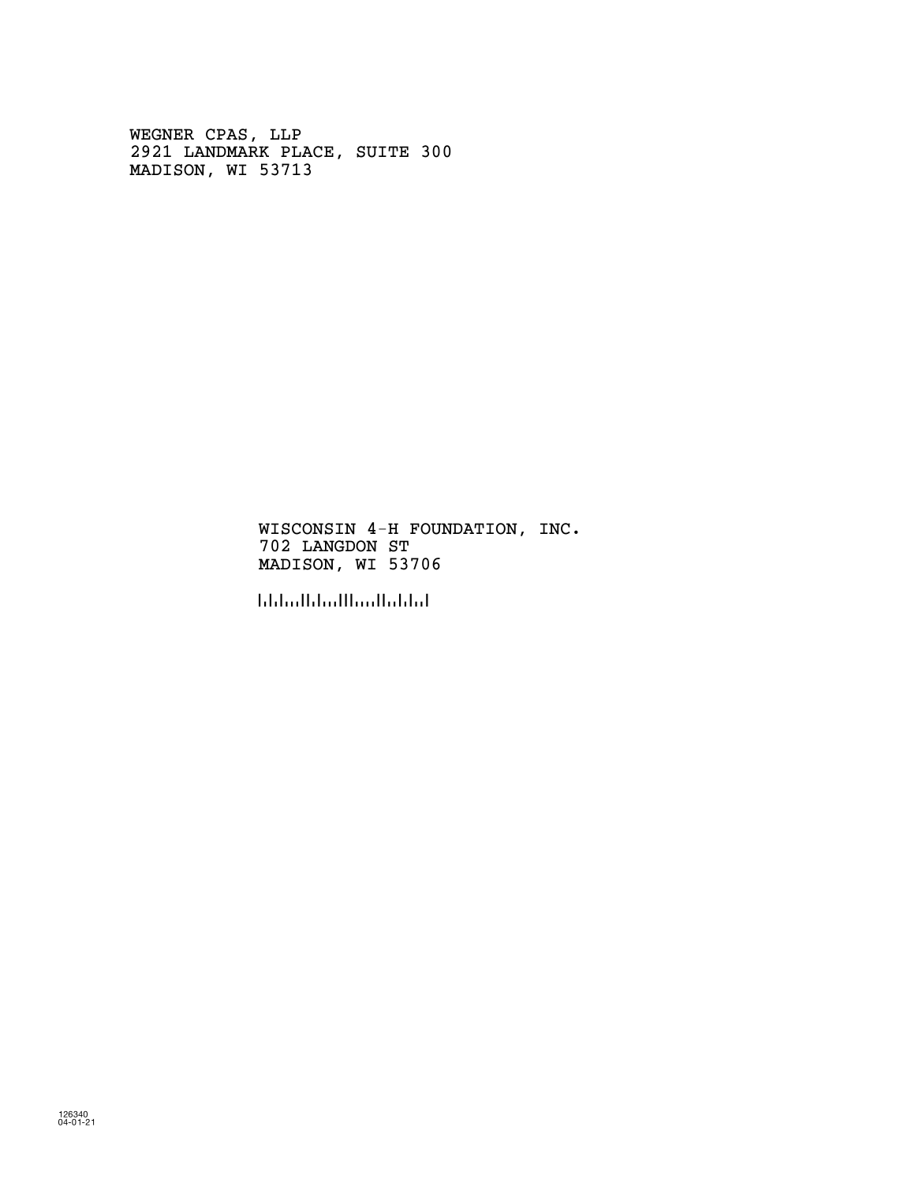WEGNER CPAS, LLP 2921 LANDMARK PLACE, SUITE 300 MADISON, WI 53713

> WISCONSIN 4-H FOUNDATION, INC. 702 LANGDON ST MADISON, WI 53706

!537069!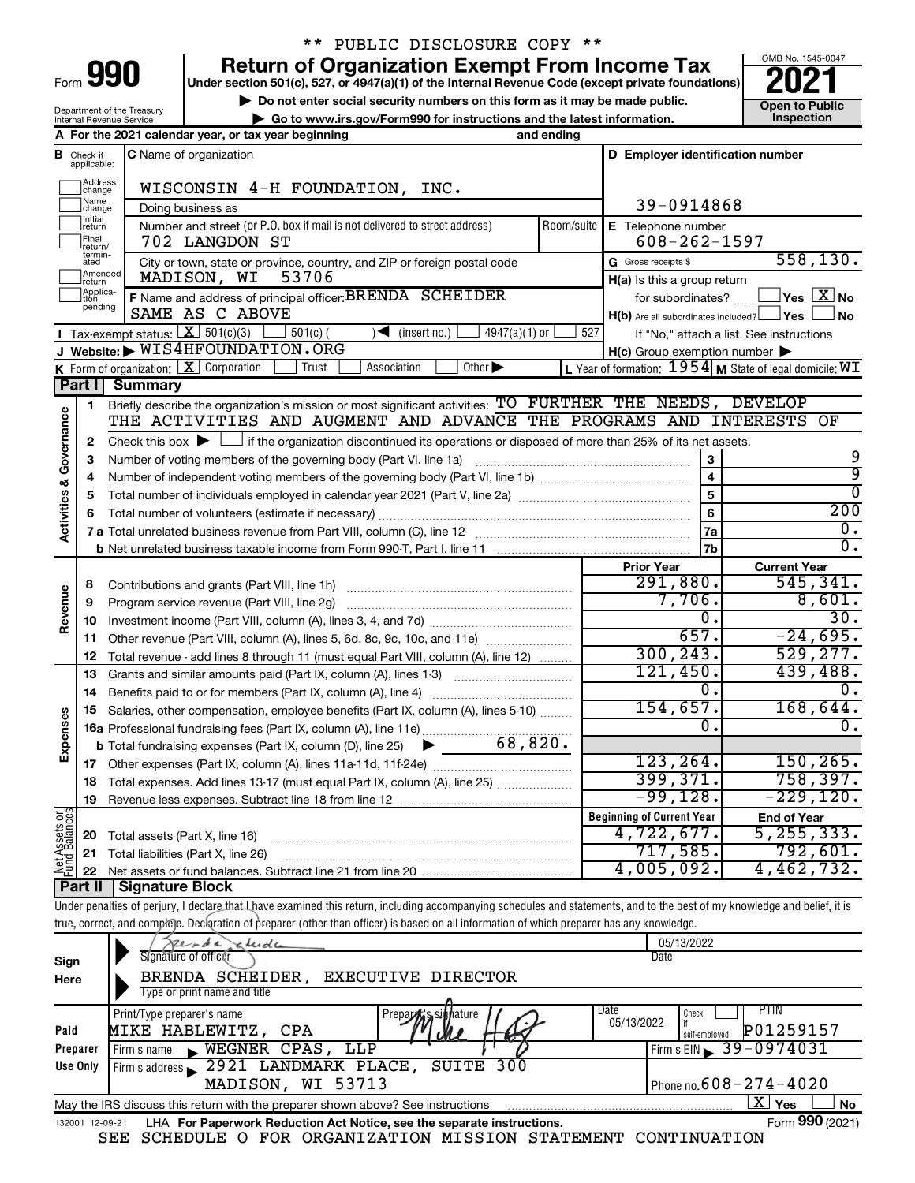| Form |  |  |
|------|--|--|

Department of the Treasury Internal Revenue Service

## \*\* PUBLIC DISCLOSURE COPY \*\*

**990 Return of Organization Exempt From Income Tax Punce 1845-004 2021** 

**▶ Do not enter social security numbers on this form as it may be made public. Open to Public**<br> **▶ Go to www.irs.gov/Form990 for instructions and the latest information.** Inspection **| Go to www.irs.gov/Form990 for instructions and the latest information. Inspection**



|                                    |                                | A For the 2021 calendar year, or tax year beginning                                                                                                            | and ending |                                                     |                                                         |
|------------------------------------|--------------------------------|----------------------------------------------------------------------------------------------------------------------------------------------------------------|------------|-----------------------------------------------------|---------------------------------------------------------|
| в                                  | Check if<br>applicable:        | C Name of organization                                                                                                                                         |            | D Employer identification number                    |                                                         |
|                                    | Address<br> change             | WISCONSIN 4-H FOUNDATION, INC.                                                                                                                                 |            |                                                     |                                                         |
|                                    | Name<br>change                 | Doing business as                                                                                                                                              |            | 39-0914868                                          |                                                         |
|                                    | Initial<br> return             | Number and street (or P.O. box if mail is not delivered to street address)                                                                                     | Room/suite | E Telephone number                                  |                                                         |
|                                    | Final<br>return/               | 702 LANGDON ST                                                                                                                                                 |            | $608 - 262 - 1597$                                  |                                                         |
|                                    | termin-<br>ated                | City or town, state or province, country, and ZIP or foreign postal code                                                                                       |            | G Gross receipts \$                                 | 558, 130.                                               |
|                                    | Amended<br>Ireturn<br>Applica- | MADISON, WI<br>53706                                                                                                                                           |            | H(a) Is this a group return                         |                                                         |
|                                    | tion<br>pending                | F Name and address of principal officer: BRENDA SCHEIDER                                                                                                       |            | for subordinates?                                   | $\,$ Yes $\,$ $\,$ $\rm X$ $\,$ No $\,$                 |
|                                    |                                | SAME AS C ABOVE                                                                                                                                                |            | $H(b)$ Are all subordinates included? $\Box$ Yes    | No                                                      |
|                                    |                                | <b>T</b> Tax-exempt status: $X \overline{X}$ 501(c)(3)<br>$\sqrt{\frac{1}{1}}$ (insert no.)<br>$501(c)$ (<br>$4947(a)(1)$ or<br>J Website: WIS4HFOUNDATION.ORG | 527        |                                                     | If "No," attach a list. See instructions                |
|                                    |                                | K Form of organization: X Corporation<br>Other $\blacktriangleright$<br>Trust<br>Association                                                                   |            | $H(c)$ Group exemption number $\blacktriangleright$ | L Year of formation: 1954 M State of legal domicile: WI |
|                                    | Part I                         | Summary                                                                                                                                                        |            |                                                     |                                                         |
|                                    | 1                              | Briefly describe the organization's mission or most significant activities: TO FURTHER THE NEEDS, DEVELOP                                                      |            |                                                     |                                                         |
| <b>Activities &amp; Governance</b> |                                | THE ACTIVITIES AND AUGMENT AND ADVANCE THE PROGRAMS AND INTERESTS                                                                                              |            |                                                     | ΟF                                                      |
|                                    | 2                              | Check this box $\blacktriangleright$ $\Box$ if the organization discontinued its operations or disposed of more than 25% of its net assets.                    |            |                                                     |                                                         |
|                                    | 3                              | Number of voting members of the governing body (Part VI, line 1a)                                                                                              |            | 3                                                   | 9                                                       |
|                                    | 4                              |                                                                                                                                                                |            | $\overline{\mathbf{4}}$                             | 9                                                       |
|                                    | 5                              |                                                                                                                                                                |            | 5                                                   | 0                                                       |
|                                    | 6                              |                                                                                                                                                                |            | 6                                                   | 200                                                     |
|                                    |                                |                                                                                                                                                                |            | 7a                                                  | $\overline{0}$ .                                        |
|                                    |                                |                                                                                                                                                                |            | 7b                                                  | 0.                                                      |
|                                    |                                |                                                                                                                                                                |            | <b>Prior Year</b>                                   | <b>Current Year</b>                                     |
|                                    | 8                              | Contributions and grants (Part VIII, line 1h)                                                                                                                  |            | 291,880.                                            | 545, 341.                                               |
| Revenue                            | 9                              | Program service revenue (Part VIII, line 2g)                                                                                                                   |            | 7,706.                                              | 8,601.                                                  |
|                                    | 10                             |                                                                                                                                                                |            | $0$ .                                               | 30.                                                     |
|                                    | 11                             | Other revenue (Part VIII, column (A), lines 5, 6d, 8c, 9c, 10c, and 11e)                                                                                       |            | 657.                                                | $-24,695.$                                              |
|                                    | 12                             | Total revenue - add lines 8 through 11 (must equal Part VIII, column (A), line 12)                                                                             |            | 300, 243.<br>121,450.                               | 529, 277.                                               |
|                                    | 13                             | Grants and similar amounts paid (Part IX, column (A), lines 1-3)                                                                                               |            | 0.                                                  | 439,488.<br>0.                                          |
|                                    | 14                             | Salaries, other compensation, employee benefits (Part IX, column (A), lines 5-10)                                                                              |            | 154,657.                                            | 168,644.                                                |
| Expenses                           | 15                             |                                                                                                                                                                |            | Ο.                                                  | Ο.                                                      |
|                                    |                                | 68,820.<br><b>b</b> Total fundraising expenses (Part IX, column (D), line 25)<br>▶                                                                             |            |                                                     |                                                         |
|                                    |                                |                                                                                                                                                                |            | 123, 264.                                           | 150, 265.                                               |
|                                    | 18                             | Total expenses. Add lines 13-17 (must equal Part IX, column (A), line 25) <i></i>                                                                              |            | 399, 371.                                           | 758, 397.                                               |
|                                    | 19                             |                                                                                                                                                                |            | $-99,128.$                                          | $-229,120.$                                             |
|                                    |                                |                                                                                                                                                                |            | <b>Beginning of Current Year</b>                    | <b>End of Year</b>                                      |
| Net Assets or<br>Fund Balances     | 20                             | Total assets (Part X, line 16)                                                                                                                                 |            | 4,722,677.                                          | 5, 255, 333.                                            |
|                                    |                                | 21 Total liabilities (Part X, line 26)                                                                                                                         |            | 717,585.                                            | 792,601.                                                |
|                                    |                                |                                                                                                                                                                |            | 4,005,092.                                          | 4,462,732.                                              |
|                                    |                                | <b>Part II   Signature Block</b>                                                                                                                               |            |                                                     |                                                         |

Under penalties of perjury, I declare that Lhave examined this return, including accompanying schedules and statements, and to the best of my knowledge and belief, it is true, correct, and complete. Declaration of preparer (other than officer) is based on all information of which preparer has any knowledge.

|                 | $xe$ rde<br>chude                                                               | 05/13/2022                                 |
|-----------------|---------------------------------------------------------------------------------|--------------------------------------------|
| Sign            | Signature of officer                                                            | Date                                       |
| Here            | EXECUTIVE DIRECTOR<br>SCHEIDER,<br>BRENDA                                       |                                            |
|                 | Type or print name and title                                                    |                                            |
|                 | Print/Type preparer's name<br>Prepara s, signature                              | Date<br><b>PTIN</b><br>Check<br>05/13/2022 |
| Paid            | MIKE HABLEWITZ, CPA                                                             | P01259157<br>self-emploved                 |
| Preparer        | WEGNER CPAS, LLP<br>Firm's name<br>$\blacksquare$                               | Firm's EIN 39-0974031                      |
| Use Only        | 2921 LANDMARK PLACE,<br>SUITE 300<br>Firm's address                             |                                            |
|                 | MADISON, WI 53713                                                               | Phone no. $608 - 274 - 4020$               |
|                 | May the IRS discuss this return with the preparer shown above? See instructions | ΧI<br>Yes<br><b>No</b>                     |
| 132001 12-09-21 | LHA For Paperwork Reduction Act Notice, see the separate instructions.<br>~--   | Form 990 (2021)                            |

SEE SCHEDULE O FOR ORGANIZATION MISSION STATEMENT CONTINUATION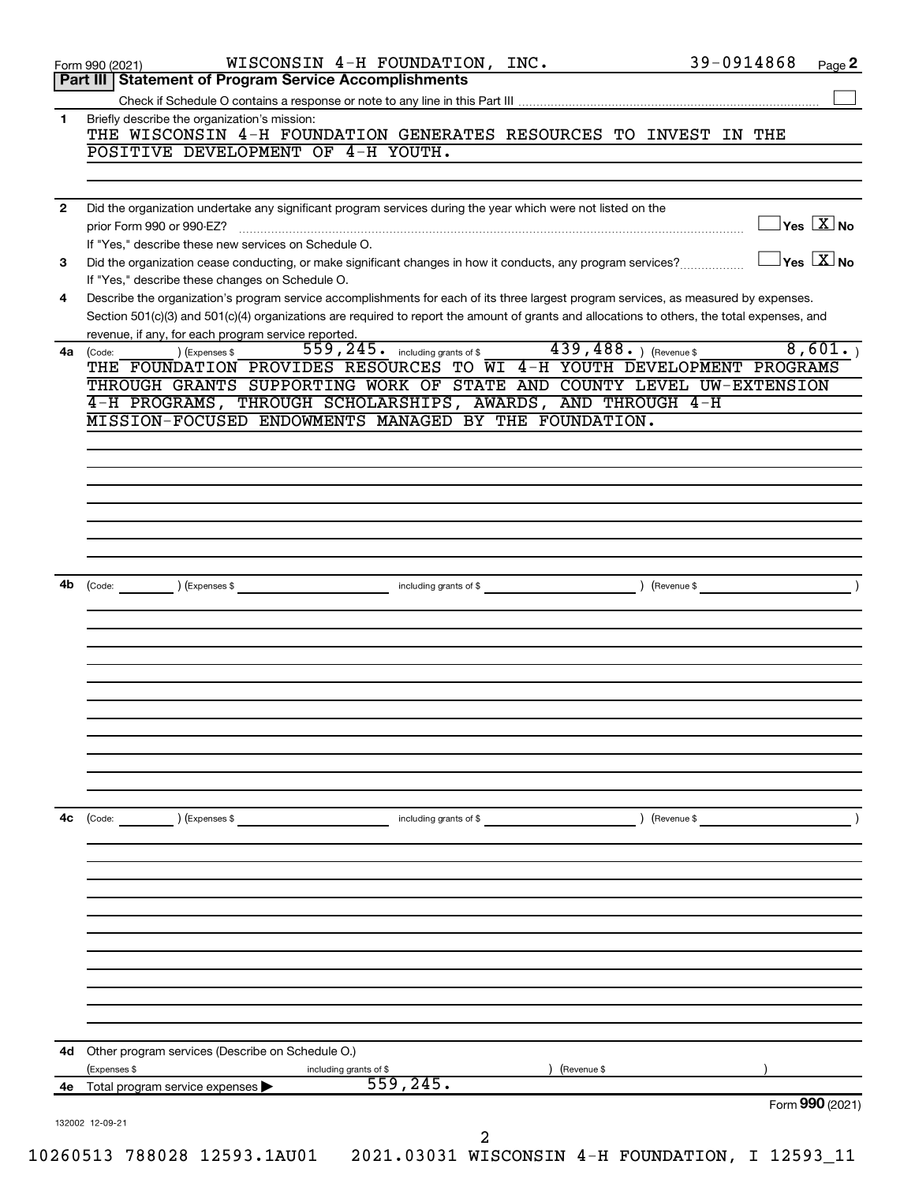|              | 39-0914868<br>WISCONSIN 4-H FOUNDATION, INC.<br>Page 2<br>Form 990 (2021)                                                                                                               |
|--------------|-----------------------------------------------------------------------------------------------------------------------------------------------------------------------------------------|
|              | <b>Statement of Program Service Accomplishments</b><br>Part III                                                                                                                         |
| 1            | Briefly describe the organization's mission:                                                                                                                                            |
|              | THE WISCONSIN 4-H FOUNDATION GENERATES RESOURCES TO INVEST IN THE                                                                                                                       |
|              | POSITIVE DEVELOPMENT OF 4-H YOUTH.                                                                                                                                                      |
|              |                                                                                                                                                                                         |
| $\mathbf{2}$ | Did the organization undertake any significant program services during the year which were not listed on the                                                                            |
|              | $\overline{X}$ Yes $\overline{X}$ No<br>prior Form 990 or 990-EZ?                                                                                                                       |
|              | If "Yes," describe these new services on Schedule O.                                                                                                                                    |
| 3            | $\overline{\ }$ Yes $\overline{\phantom{a}X}$ No<br>Did the organization cease conducting, or make significant changes in how it conducts, any program services?                        |
| 4            | If "Yes," describe these changes on Schedule O.<br>Describe the organization's program service accomplishments for each of its three largest program services, as measured by expenses. |
|              | Section 501(c)(3) and 501(c)(4) organizations are required to report the amount of grants and allocations to others, the total expenses, and                                            |
|              | revenue, if any, for each program service reported.                                                                                                                                     |
| 4a           | 439, 488. ) (Revenue \$<br>8,601.<br>559, 245. including grants of \$<br>) (Expenses \$<br>(Code:                                                                                       |
|              | THE FOUNDATION PROVIDES RESOURCES TO WI 4-H YOUTH DEVELOPMENT PROGRAMS<br>THROUGH GRANTS SUPPORTING WORK OF STATE AND COUNTY LEVEL UW-EXTENSION                                         |
|              | 4-H PROGRAMS, THROUGH SCHOLARSHIPS, AWARDS, AND THROUGH 4-H                                                                                                                             |
|              | MISSION-FOCUSED ENDOWMENTS MANAGED BY THE FOUNDATION.                                                                                                                                   |
|              |                                                                                                                                                                                         |
|              |                                                                                                                                                                                         |
|              |                                                                                                                                                                                         |
|              |                                                                                                                                                                                         |
|              |                                                                                                                                                                                         |
|              |                                                                                                                                                                                         |
|              |                                                                                                                                                                                         |
| 4b           | $\left(\text{Code:} \right)$ $\left(\text{Expenses $}\right)$                                                                                                                           |
|              |                                                                                                                                                                                         |
|              |                                                                                                                                                                                         |
|              |                                                                                                                                                                                         |
|              |                                                                                                                                                                                         |
|              |                                                                                                                                                                                         |
|              |                                                                                                                                                                                         |
|              |                                                                                                                                                                                         |
|              |                                                                                                                                                                                         |
|              |                                                                                                                                                                                         |
|              |                                                                                                                                                                                         |
| 4с           | $\left(\text{Code:} \right) \left(\text{Expenses } \$\right)$<br>including grants of \$<br>Revenue \$                                                                                   |
|              |                                                                                                                                                                                         |
|              |                                                                                                                                                                                         |
|              |                                                                                                                                                                                         |
|              |                                                                                                                                                                                         |
|              |                                                                                                                                                                                         |
|              |                                                                                                                                                                                         |
|              |                                                                                                                                                                                         |
|              |                                                                                                                                                                                         |
|              |                                                                                                                                                                                         |
|              | <b>4d</b> Other program services (Describe on Schedule O.)                                                                                                                              |
|              | (Expenses \$<br>) (Revenue \$<br>including grants of \$                                                                                                                                 |
|              |                                                                                                                                                                                         |
| 4е           | 559, 245.<br>Total program service expenses                                                                                                                                             |
|              | Form 990 (2021)                                                                                                                                                                         |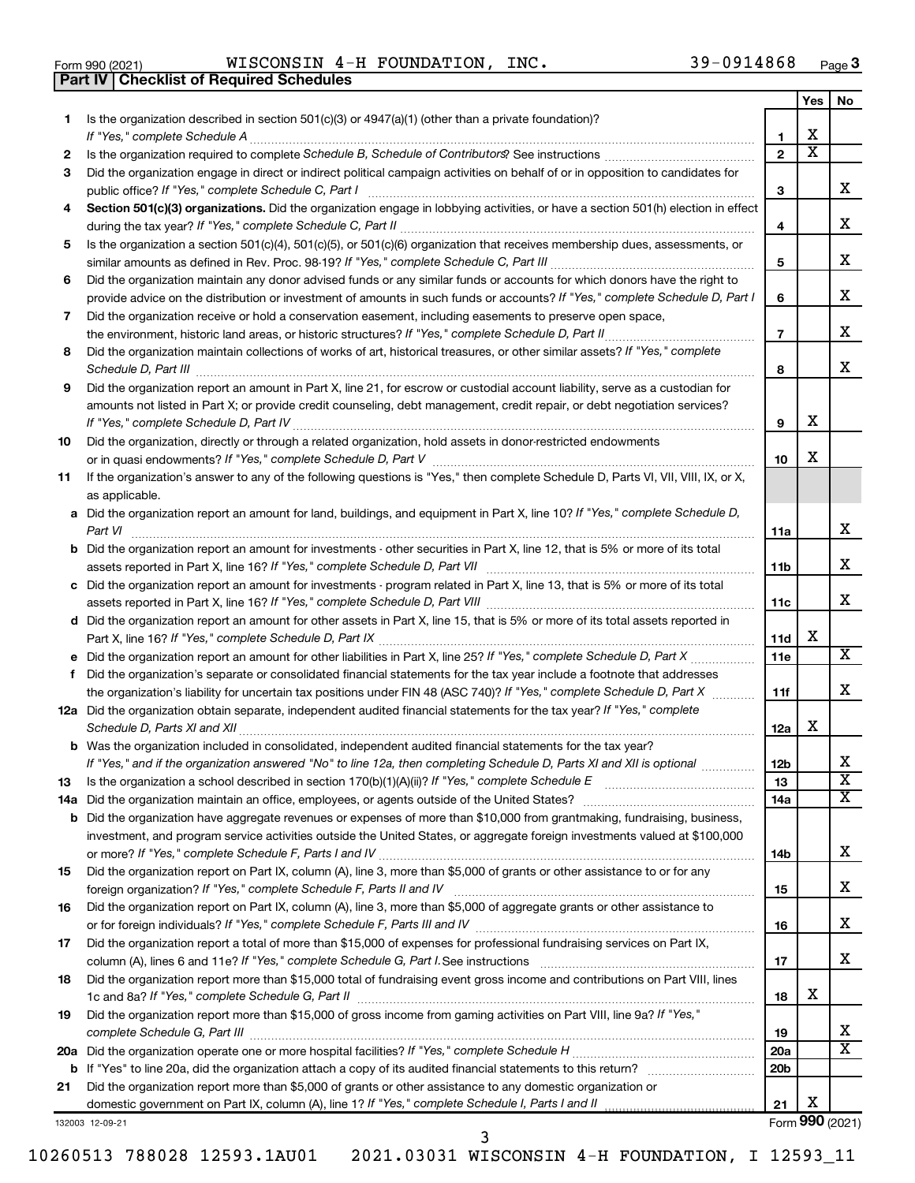|  | Form 990 (2021) |
|--|-----------------|

**Part IV Checklist of Required Schedules**

Form 990 (2021)  $NISCONSIN$   $4-H$   ${\hbox{FOUNDATION}}$ ,  $INC$ .  $39-0914868$   ${\hbox{Page}}$ 

|     |                                                                                                                                       |                 | Yes | No                    |
|-----|---------------------------------------------------------------------------------------------------------------------------------------|-----------------|-----|-----------------------|
| 1.  | Is the organization described in section $501(c)(3)$ or $4947(a)(1)$ (other than a private foundation)?                               |                 |     |                       |
|     | If "Yes," complete Schedule A                                                                                                         | 1               | x   |                       |
| 2   |                                                                                                                                       | $\mathbf{2}$    | х   |                       |
| З   | Did the organization engage in direct or indirect political campaign activities on behalf of or in opposition to candidates for       |                 |     | х                     |
|     | public office? If "Yes," complete Schedule C, Part I                                                                                  | З               |     |                       |
| 4   | Section 501(c)(3) organizations. Did the organization engage in lobbying activities, or have a section 501(h) election in effect      | 4               |     | х                     |
| 5   | Is the organization a section 501(c)(4), 501(c)(5), or 501(c)(6) organization that receives membership dues, assessments, or          |                 |     |                       |
|     |                                                                                                                                       | 5               |     | х                     |
| 6   | Did the organization maintain any donor advised funds or any similar funds or accounts for which donors have the right to             |                 |     |                       |
|     | provide advice on the distribution or investment of amounts in such funds or accounts? If "Yes," complete Schedule D, Part I          | 6               |     | х                     |
| 7   | Did the organization receive or hold a conservation easement, including easements to preserve open space,                             |                 |     |                       |
|     |                                                                                                                                       | $\overline{7}$  |     | x                     |
| 8   | Did the organization maintain collections of works of art, historical treasures, or other similar assets? If "Yes," complete          |                 |     |                       |
|     |                                                                                                                                       | 8               |     | x                     |
| 9   | Did the organization report an amount in Part X, line 21, for escrow or custodial account liability, serve as a custodian for         |                 |     |                       |
|     | amounts not listed in Part X; or provide credit counseling, debt management, credit repair, or debt negotiation services?             |                 |     |                       |
|     |                                                                                                                                       | 9               | х   |                       |
| 10  | Did the organization, directly or through a related organization, hold assets in donor-restricted endowments                          |                 |     |                       |
|     |                                                                                                                                       | 10              | х   |                       |
| 11  | If the organization's answer to any of the following questions is "Yes," then complete Schedule D, Parts VI, VII, VIII, IX, or X,     |                 |     |                       |
|     | as applicable.                                                                                                                        |                 |     |                       |
|     | a Did the organization report an amount for land, buildings, and equipment in Part X, line 10? If "Yes," complete Schedule D,         | 11a             |     | х                     |
|     | <b>b</b> Did the organization report an amount for investments - other securities in Part X, line 12, that is 5% or more of its total |                 |     |                       |
|     |                                                                                                                                       | 11 <sub>b</sub> |     | х                     |
|     | c Did the organization report an amount for investments - program related in Part X, line 13, that is 5% or more of its total         |                 |     |                       |
|     |                                                                                                                                       | 11c             |     | х                     |
|     | d Did the organization report an amount for other assets in Part X, line 15, that is 5% or more of its total assets reported in       |                 |     |                       |
|     |                                                                                                                                       | 11d             | х   |                       |
|     |                                                                                                                                       | 11e             |     | х                     |
| f   | Did the organization's separate or consolidated financial statements for the tax year include a footnote that addresses               |                 |     |                       |
|     | the organization's liability for uncertain tax positions under FIN 48 (ASC 740)? If "Yes," complete Schedule D, Part X                | 11f             |     | x                     |
|     | 12a Did the organization obtain separate, independent audited financial statements for the tax year? If "Yes," complete               |                 | х   |                       |
|     | <b>b</b> Was the organization included in consolidated, independent audited financial statements for the tax year?                    | 12a             |     |                       |
|     | If "Yes," and if the organization answered "No" to line 12a, then completing Schedule D, Parts XI and XII is optional                 | 12 <sub>b</sub> |     | х                     |
| 13  |                                                                                                                                       | 13              |     | $\overline{\text{x}}$ |
| 14a |                                                                                                                                       | 14a             |     | x                     |
|     | <b>b</b> Did the organization have aggregate revenues or expenses of more than \$10,000 from grantmaking, fundraising, business,      |                 |     |                       |
|     | investment, and program service activities outside the United States, or aggregate foreign investments valued at \$100,000            |                 |     |                       |
|     |                                                                                                                                       | 14b             |     | х                     |
| 15  | Did the organization report on Part IX, column (A), line 3, more than \$5,000 of grants or other assistance to or for any             |                 |     |                       |
|     |                                                                                                                                       | 15              |     | х                     |
| 16  | Did the organization report on Part IX, column (A), line 3, more than \$5,000 of aggregate grants or other assistance to              |                 |     |                       |
|     |                                                                                                                                       | 16              |     | х                     |
| 17  | Did the organization report a total of more than \$15,000 of expenses for professional fundraising services on Part IX,               |                 |     | x                     |
|     | Did the organization report more than \$15,000 total of fundraising event gross income and contributions on Part VIII, lines          | 17              |     |                       |
| 18  |                                                                                                                                       | 18              | х   |                       |
| 19  | Did the organization report more than \$15,000 of gross income from gaming activities on Part VIII, line 9a? If "Yes,"                |                 |     |                       |
|     |                                                                                                                                       | 19              |     | х                     |
|     |                                                                                                                                       | 20a             |     | х                     |
|     |                                                                                                                                       | 20 <sub>b</sub> |     |                       |
| 21  | Did the organization report more than \$5,000 of grants or other assistance to any domestic organization or                           |                 |     |                       |
|     |                                                                                                                                       | 21              | х   |                       |
|     | 132003 12-09-21                                                                                                                       |                 |     | Form 990 (2021)       |

3

10260513 788028 12593.1AU01 2021.03031 WISCONSIN 4-H FOUNDATION, I 12593\_11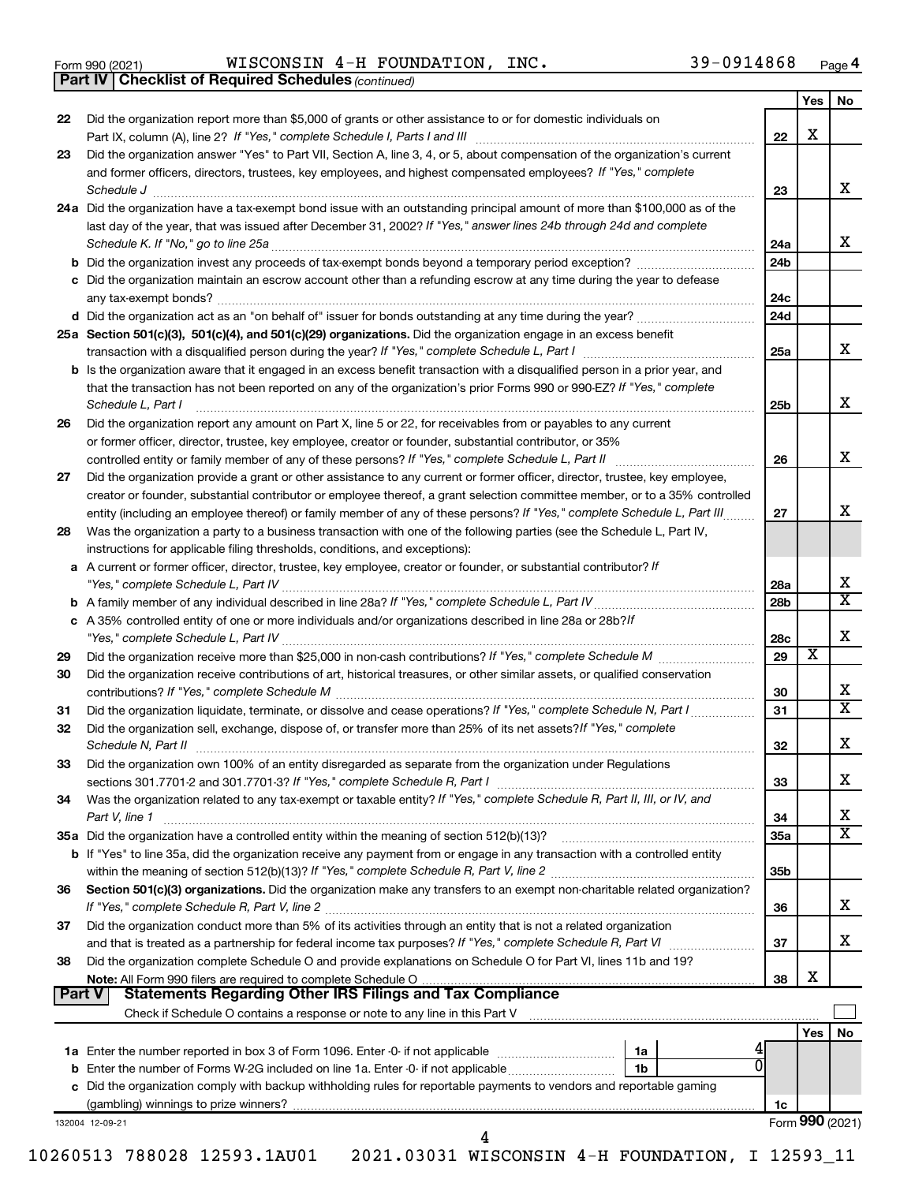*(continued)* **Part IV Checklist of Required Schedules**

| 22     | Did the organization report more than \$5,000 of grants or other assistance to or for domestic individuals on                                                                                                                                                                      | 22                     | X     |                              |
|--------|------------------------------------------------------------------------------------------------------------------------------------------------------------------------------------------------------------------------------------------------------------------------------------|------------------------|-------|------------------------------|
| 23     | Did the organization answer "Yes" to Part VII, Section A, line 3, 4, or 5, about compensation of the organization's current                                                                                                                                                        |                        |       |                              |
|        | and former officers, directors, trustees, key employees, and highest compensated employees? If "Yes," complete                                                                                                                                                                     |                        |       |                              |
|        | Schedule J <b>Execute Schedule J Execute Schedule J Execute Schedule J Execute Schedule J</b>                                                                                                                                                                                      | 23                     |       | X                            |
|        | 24a Did the organization have a tax-exempt bond issue with an outstanding principal amount of more than \$100,000 as of the<br>last day of the year, that was issued after December 31, 2002? If "Yes," answer lines 24b through 24d and complete                                  | 24a                    |       | X                            |
|        | b Did the organization invest any proceeds of tax-exempt bonds beyond a temporary period exception?                                                                                                                                                                                | 24 <sub>b</sub>        |       |                              |
|        | c Did the organization maintain an escrow account other than a refunding escrow at any time during the year to defease                                                                                                                                                             |                        |       |                              |
|        |                                                                                                                                                                                                                                                                                    | 24c                    |       |                              |
|        |                                                                                                                                                                                                                                                                                    | 24d                    |       |                              |
|        | 25a Section 501(c)(3), 501(c)(4), and 501(c)(29) organizations. Did the organization engage in an excess benefit                                                                                                                                                                   |                        |       |                              |
|        |                                                                                                                                                                                                                                                                                    | 25a                    |       | X                            |
|        | <b>b</b> Is the organization aware that it engaged in an excess benefit transaction with a disqualified person in a prior year, and<br>that the transaction has not been reported on any of the organization's prior Forms 990 or 990-EZ? If "Yes," complete<br>Schedule L, Part I | 25 <sub>b</sub>        |       | X                            |
| 26     | Did the organization report any amount on Part X, line 5 or 22, for receivables from or payables to any current                                                                                                                                                                    |                        |       |                              |
|        | or former officer, director, trustee, key employee, creator or founder, substantial contributor, or 35%                                                                                                                                                                            |                        |       |                              |
|        | controlled entity or family member of any of these persons? If "Yes," complete Schedule L, Part II                                                                                                                                                                                 | 26                     |       | X                            |
| 27     | Did the organization provide a grant or other assistance to any current or former officer, director, trustee, key employee,                                                                                                                                                        |                        |       |                              |
|        | creator or founder, substantial contributor or employee thereof, a grant selection committee member, or to a 35% controlled                                                                                                                                                        |                        |       |                              |
|        | entity (including an employee thereof) or family member of any of these persons? If "Yes," complete Schedule L, Part III                                                                                                                                                           | 27                     |       | X                            |
| 28     | Was the organization a party to a business transaction with one of the following parties (see the Schedule L, Part IV,                                                                                                                                                             |                        |       |                              |
|        | instructions for applicable filing thresholds, conditions, and exceptions):                                                                                                                                                                                                        |                        |       |                              |
|        | a A current or former officer, director, trustee, key employee, creator or founder, or substantial contributor? If                                                                                                                                                                 |                        |       | х                            |
|        |                                                                                                                                                                                                                                                                                    | 28a<br>28 <sub>b</sub> |       | $\overline{\texttt{x}}$      |
|        | c A 35% controlled entity of one or more individuals and/or organizations described in line 28a or 28b? If                                                                                                                                                                         |                        |       |                              |
|        |                                                                                                                                                                                                                                                                                    | 28c                    |       | X                            |
| 29     |                                                                                                                                                                                                                                                                                    | 29                     | X     |                              |
| 30     | Did the organization receive contributions of art, historical treasures, or other similar assets, or qualified conservation                                                                                                                                                        | 30                     |       | х                            |
| 31     | Did the organization liquidate, terminate, or dissolve and cease operations? If "Yes," complete Schedule N, Part I                                                                                                                                                                 | 31                     |       | $\overline{\texttt{x}}$      |
| 32     | Did the organization sell, exchange, dispose of, or transfer more than 25% of its net assets? If "Yes," complete                                                                                                                                                                   | 32                     |       | X                            |
| 33     | Did the organization own 100% of an entity disregarded as separate from the organization under Regulations                                                                                                                                                                         |                        |       |                              |
|        |                                                                                                                                                                                                                                                                                    | 33                     |       | x                            |
| 34     | Was the organization related to any tax-exempt or taxable entity? If "Yes," complete Schedule R, Part II, III, or IV, and                                                                                                                                                          |                        |       |                              |
|        | Part V, line 1                                                                                                                                                                                                                                                                     | 34                     |       | х<br>$\overline{\texttt{x}}$ |
|        |                                                                                                                                                                                                                                                                                    | 35a                    |       |                              |
|        | b If "Yes" to line 35a, did the organization receive any payment from or engage in any transaction with a controlled entity                                                                                                                                                        | 35 <sub>b</sub>        |       |                              |
| 36     | Section 501(c)(3) organizations. Did the organization make any transfers to an exempt non-charitable related organization?                                                                                                                                                         |                        |       |                              |
|        |                                                                                                                                                                                                                                                                                    | 36                     |       | x                            |
| 37     | Did the organization conduct more than 5% of its activities through an entity that is not a related organization                                                                                                                                                                   |                        |       | x                            |
|        | and that is treated as a partnership for federal income tax purposes? If "Yes," complete Schedule R, Part VI<br>Did the organization complete Schedule O and provide explanations on Schedule O for Part VI, lines 11b and 19?                                                     | 37                     |       |                              |
| 38     |                                                                                                                                                                                                                                                                                    | 38                     | X     |                              |
| Part V |                                                                                                                                                                                                                                                                                    |                        |       |                              |
|        |                                                                                                                                                                                                                                                                                    |                        |       |                              |
|        |                                                                                                                                                                                                                                                                                    |                        | Yes l | No                           |
|        |                                                                                                                                                                                                                                                                                    |                        |       |                              |
|        |                                                                                                                                                                                                                                                                                    |                        |       |                              |
|        | 0<br>1b                                                                                                                                                                                                                                                                            |                        |       |                              |
|        | c Did the organization comply with backup withholding rules for reportable payments to vendors and reportable gaming                                                                                                                                                               | 1c                     |       |                              |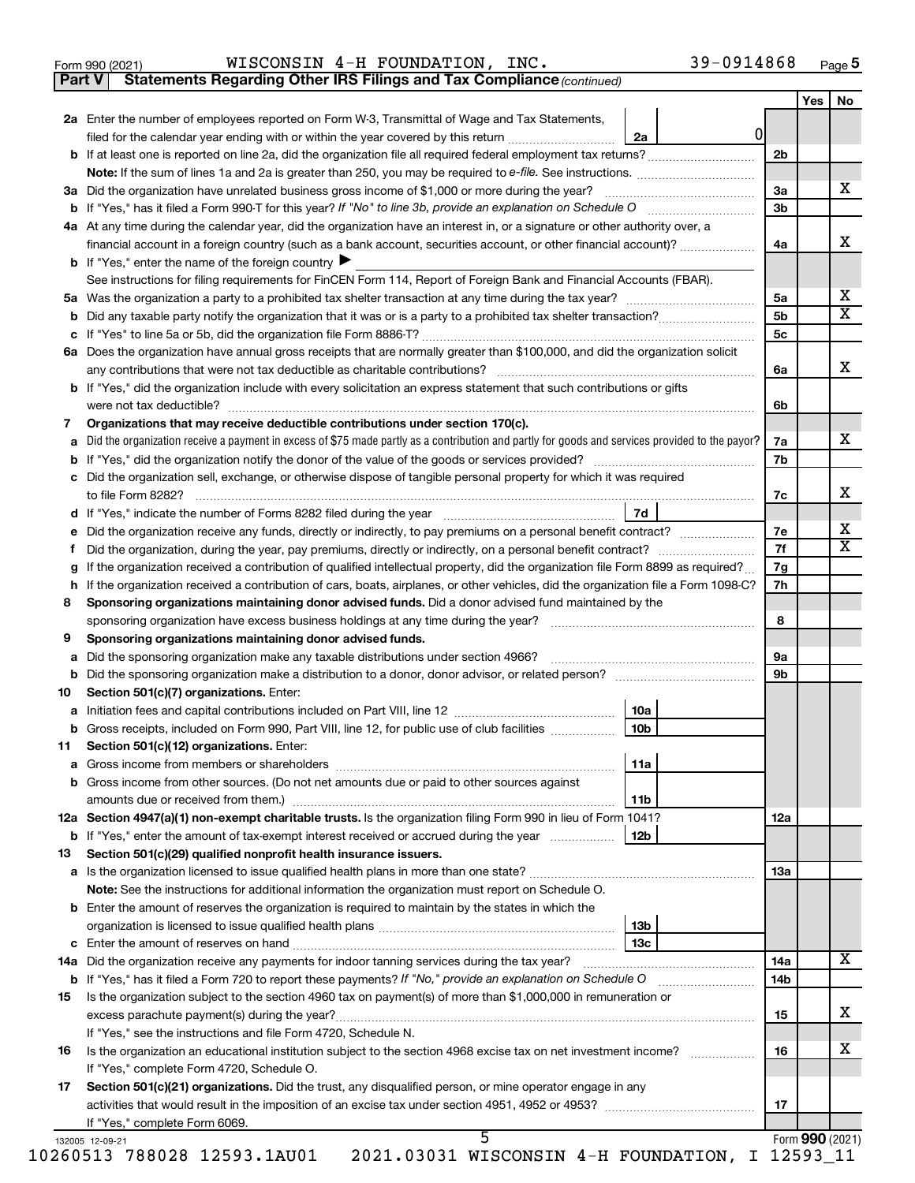|  | Form 990 (2021) |
|--|-----------------|
|  |                 |

**Part V** Statements Regarding Other IRS Filings and Tax Compliance (continued)

|                      |                                                                                                                                                 |                 |              |                 | Yes | No                      |
|----------------------|-------------------------------------------------------------------------------------------------------------------------------------------------|-----------------|--------------|-----------------|-----|-------------------------|
|                      | 2a Enter the number of employees reported on Form W-3, Transmittal of Wage and Tax Statements,                                                  |                 |              |                 |     |                         |
|                      | filed for the calendar year ending with or within the year covered by this return <i></i>                                                       | 2a              | <sup>0</sup> |                 |     |                         |
|                      |                                                                                                                                                 |                 |              | 2 <sub>b</sub>  |     |                         |
|                      |                                                                                                                                                 |                 |              |                 |     |                         |
|                      | 3a Did the organization have unrelated business gross income of \$1,000 or more during the year?                                                |                 |              | 3a              |     | x                       |
|                      |                                                                                                                                                 |                 |              | 3 <sub>b</sub>  |     |                         |
|                      | 4a At any time during the calendar year, did the organization have an interest in, or a signature or other authority over, a                    |                 |              |                 |     | x                       |
|                      | financial account in a foreign country (such as a bank account, securities account, or other financial account)?                                |                 |              | 4a              |     |                         |
|                      | <b>b</b> If "Yes," enter the name of the foreign country                                                                                        |                 |              |                 |     |                         |
|                      | See instructions for filing requirements for FinCEN Form 114, Report of Foreign Bank and Financial Accounts (FBAR).                             |                 |              |                 |     | х                       |
|                      |                                                                                                                                                 |                 |              | 5a              |     | х                       |
|                      |                                                                                                                                                 |                 |              | 5b              |     |                         |
|                      |                                                                                                                                                 |                 |              | 5c              |     |                         |
|                      | 6a Does the organization have annual gross receipts that are normally greater than \$100,000, and did the organization solicit                  |                 |              |                 |     | х                       |
|                      |                                                                                                                                                 |                 |              | 6а              |     |                         |
|                      | <b>b</b> If "Yes," did the organization include with every solicitation an express statement that such contributions or gifts                   |                 |              |                 |     |                         |
|                      |                                                                                                                                                 |                 |              | 6b              |     |                         |
| 7                    | Organizations that may receive deductible contributions under section 170(c).                                                                   |                 |              |                 |     |                         |
| a                    | Did the organization receive a payment in excess of \$75 made partly as a contribution and partly for goods and services provided to the payor? |                 |              | 7a              |     | х                       |
|                      |                                                                                                                                                 |                 |              | 7b              |     |                         |
|                      | c Did the organization sell, exchange, or otherwise dispose of tangible personal property for which it was required                             |                 |              |                 |     | x                       |
|                      |                                                                                                                                                 |                 |              | 7c              |     |                         |
|                      |                                                                                                                                                 | 7d              |              |                 |     | х                       |
| е                    |                                                                                                                                                 |                 |              | 7е              |     | $\overline{\textbf{x}}$ |
| Ť.                   |                                                                                                                                                 |                 |              | 7f              |     |                         |
| g                    | If the organization received a contribution of qualified intellectual property, did the organization file Form 8899 as required?                |                 |              | 7g              |     |                         |
|                      | h If the organization received a contribution of cars, boats, airplanes, or other vehicles, did the organization file a Form 1098-C?            |                 |              | 7h              |     |                         |
| 8                    | Sponsoring organizations maintaining donor advised funds. Did a donor advised fund maintained by the                                            |                 |              |                 |     |                         |
|                      |                                                                                                                                                 |                 |              | 8               |     |                         |
| 9                    | Sponsoring organizations maintaining donor advised funds.                                                                                       |                 |              |                 |     |                         |
| a                    | Did the sponsoring organization make any taxable distributions under section 4966?                                                              |                 |              | 9a              |     |                         |
| b                    |                                                                                                                                                 |                 |              | 9b              |     |                         |
| 10                   | Section 501(c)(7) organizations. Enter:                                                                                                         |                 |              |                 |     |                         |
| а                    |                                                                                                                                                 | 10a             |              |                 |     |                         |
|                      | b Gross receipts, included on Form 990, Part VIII, line 12, for public use of club facilities                                                   | 10 <sub>b</sub> |              |                 |     |                         |
| 11                   | Section 501(c)(12) organizations. Enter:                                                                                                        |                 |              |                 |     |                         |
| a                    | Gross income from members or shareholders                                                                                                       | 11a             |              |                 |     |                         |
|                      |                                                                                                                                                 |                 |              |                 |     |                         |
|                      | <b>b</b> Gross income from other sources. (Do not net amounts due or paid to other sources against                                              |                 |              |                 |     |                         |
|                      |                                                                                                                                                 | 11b             |              |                 |     |                         |
|                      | 12a Section 4947(a)(1) non-exempt charitable trusts. Is the organization filing Form 990 in lieu of Form 1041?                                  |                 |              | 12a             |     |                         |
|                      |                                                                                                                                                 |                 |              |                 |     |                         |
|                      | Section 501(c)(29) qualified nonprofit health insurance issuers.                                                                                |                 |              |                 |     |                         |
|                      | a Is the organization licensed to issue qualified health plans in more than one state?                                                          |                 |              | 13a             |     |                         |
|                      | Note: See the instructions for additional information the organization must report on Schedule O.                                               |                 |              |                 |     |                         |
|                      | <b>b</b> Enter the amount of reserves the organization is required to maintain by the states in which the                                       |                 |              |                 |     |                         |
|                      |                                                                                                                                                 | 13b             |              |                 |     |                         |
|                      |                                                                                                                                                 |                 |              |                 |     |                         |
|                      |                                                                                                                                                 |                 |              | 14a             |     | X                       |
|                      |                                                                                                                                                 |                 |              | 14 <sub>b</sub> |     |                         |
|                      | Is the organization subject to the section 4960 tax on payment(s) of more than \$1,000,000 in remuneration or                                   |                 |              |                 |     |                         |
|                      |                                                                                                                                                 |                 |              | 15              |     | x                       |
|                      | If "Yes," see the instructions and file Form 4720, Schedule N.                                                                                  |                 |              |                 |     |                         |
|                      |                                                                                                                                                 |                 |              | 16              |     | х                       |
|                      | If "Yes," complete Form 4720, Schedule O.                                                                                                       |                 |              |                 |     |                         |
| 13<br>15<br>16<br>17 | Section 501(c)(21) organizations. Did the trust, any disqualified person, or mine operator engage in any                                        |                 |              |                 |     |                         |
|                      |                                                                                                                                                 |                 |              | 17              |     |                         |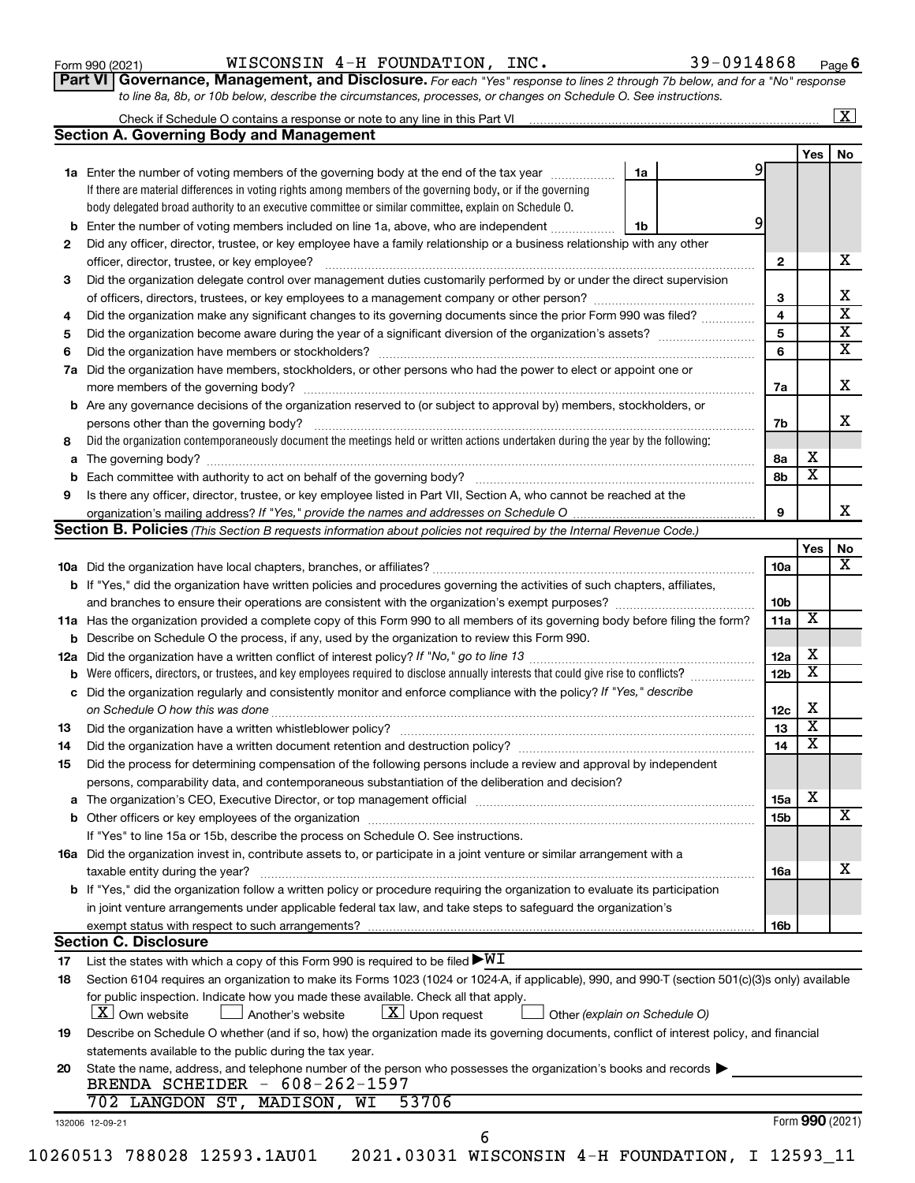| Form 990 (2021) |  |
|-----------------|--|
|-----------------|--|

Form 990 (2021)  $NISCONSIN$   $4-H$   ${\hbox{FOUNDATION}}$ ,  $INC$ .  $39-0914868$   ${\hbox{Page}}$ 

**Part VI** Governance, Management, and Disclosure. For each "Yes" response to lines 2 through 7b below, and for a "No" response *to line 8a, 8b, or 10b below, describe the circumstances, processes, or changes on Schedule O. See instructions.*

|     | <b>Section A. Governing Body and Management</b>                                                                                                                                                  |   |                         | Yes                     |  |
|-----|--------------------------------------------------------------------------------------------------------------------------------------------------------------------------------------------------|---|-------------------------|-------------------------|--|
|     |                                                                                                                                                                                                  |   |                         |                         |  |
|     |                                                                                                                                                                                                  |   |                         |                         |  |
|     | 1a<br>1a Enter the number of voting members of the governing body at the end of the tax year                                                                                                     | 9 |                         |                         |  |
|     | If there are material differences in voting rights among members of the governing body, or if the governing                                                                                      |   |                         |                         |  |
|     | body delegated broad authority to an executive committee or similar committee, explain on Schedule O.                                                                                            |   |                         |                         |  |
| b   | Enter the number of voting members included on line 1a, above, who are independent<br>1b                                                                                                         | 9 |                         |                         |  |
| 2   | Did any officer, director, trustee, or key employee have a family relationship or a business relationship with any other                                                                         |   |                         |                         |  |
|     | officer, director, trustee, or key employee?                                                                                                                                                     |   | $\mathbf{2}$            |                         |  |
| 3   | Did the organization delegate control over management duties customarily performed by or under the direct supervision                                                                            |   |                         |                         |  |
|     |                                                                                                                                                                                                  |   | 3                       |                         |  |
| 4   | Did the organization make any significant changes to its governing documents since the prior Form 990 was filed?                                                                                 |   | $\overline{4}$          |                         |  |
| 5   |                                                                                                                                                                                                  |   | $\overline{\mathbf{5}}$ |                         |  |
| 6   |                                                                                                                                                                                                  |   | 6                       |                         |  |
| 7a  | Did the organization have members, stockholders, or other persons who had the power to elect or appoint one or                                                                                   |   |                         |                         |  |
|     |                                                                                                                                                                                                  |   | 7a                      |                         |  |
|     | <b>b</b> Are any governance decisions of the organization reserved to (or subject to approval by) members, stockholders, or                                                                      |   |                         |                         |  |
|     | persons other than the governing body?                                                                                                                                                           |   | 7b                      |                         |  |
| 8   | Did the organization contemporaneously document the meetings held or written actions undertaken during the year by the following:                                                                |   |                         |                         |  |
|     |                                                                                                                                                                                                  |   | 8а                      | х                       |  |
|     |                                                                                                                                                                                                  |   |                         | $\overline{\mathbf{x}}$ |  |
|     |                                                                                                                                                                                                  |   | 8b                      |                         |  |
| 9   | Is there any officer, director, trustee, or key employee listed in Part VII, Section A, who cannot be reached at the                                                                             |   |                         |                         |  |
|     |                                                                                                                                                                                                  |   | 9                       |                         |  |
|     | Section B. Policies (This Section B requests information about policies not required by the Internal Revenue Code.)                                                                              |   |                         |                         |  |
|     |                                                                                                                                                                                                  |   |                         | Yes                     |  |
|     |                                                                                                                                                                                                  |   | 10a                     |                         |  |
|     | b If "Yes," did the organization have written policies and procedures governing the activities of such chapters, affiliates,                                                                     |   |                         |                         |  |
|     | and branches to ensure their operations are consistent with the organization's exempt purposes? <i>managereconominion</i>                                                                        |   | 10 <sub>b</sub>         |                         |  |
|     | 11a Has the organization provided a complete copy of this Form 990 to all members of its governing body before filing the form?                                                                  |   | 11a                     | $\overline{\mathbf{X}}$ |  |
|     | <b>b</b> Describe on Schedule O the process, if any, used by the organization to review this Form 990.                                                                                           |   |                         |                         |  |
| 12a |                                                                                                                                                                                                  |   | 12a                     | х                       |  |
| b   | Were officers, directors, or trustees, and key employees required to disclose annually interests that could give rise to conflicts?                                                              |   | 12 <sub>b</sub>         | $\overline{\text{x}}$   |  |
| с   | Did the organization regularly and consistently monitor and enforce compliance with the policy? If "Yes," describe                                                                               |   |                         |                         |  |
|     |                                                                                                                                                                                                  |   | 12c                     | х                       |  |
| 13  |                                                                                                                                                                                                  |   | 13                      | $\overline{\textbf{x}}$ |  |
| 14  | Did the organization have a written document retention and destruction policy? [11] manufaction manufaction in                                                                                   |   | 14                      | $\overline{\textbf{x}}$ |  |
| 15  | Did the process for determining compensation of the following persons include a review and approval by independent                                                                               |   |                         |                         |  |
|     | persons, comparability data, and contemporaneous substantiation of the deliberation and decision?                                                                                                |   |                         |                         |  |
|     |                                                                                                                                                                                                  |   | 15a                     | x                       |  |
|     |                                                                                                                                                                                                  |   | 15b                     |                         |  |
|     |                                                                                                                                                                                                  |   |                         |                         |  |
|     | If "Yes" to line 15a or 15b, describe the process on Schedule O. See instructions.                                                                                                               |   |                         |                         |  |
|     | 16a Did the organization invest in, contribute assets to, or participate in a joint venture or similar arrangement with a                                                                        |   |                         |                         |  |
|     | taxable entity during the year?                                                                                                                                                                  |   | 16a                     |                         |  |
|     | <b>b</b> If "Yes," did the organization follow a written policy or procedure requiring the organization to evaluate its participation                                                            |   |                         |                         |  |
|     | in joint venture arrangements under applicable federal tax law, and take steps to safeguard the organization's                                                                                   |   |                         |                         |  |
|     | exempt status with respect to such arrangements?                                                                                                                                                 |   | 16b                     |                         |  |
|     | <b>Section C. Disclosure</b>                                                                                                                                                                     |   |                         |                         |  |
| 17  | List the states with which a copy of this Form 990 is required to be filed $\blacktriangleright\texttt{WI}$                                                                                      |   |                         |                         |  |
| 18  | Section 6104 requires an organization to make its Forms 1023 (1024 or 1024-A, if applicable), 990, and 990-T (section 501(c)(3)s only) available                                                 |   |                         |                         |  |
|     | for public inspection. Indicate how you made these available. Check all that apply.<br>  X   Own website<br>$ \underline{X} $ Upon request<br>Another's website<br>Other (explain on Schedule O) |   |                         |                         |  |
| 19  | Describe on Schedule O whether (and if so, how) the organization made its governing documents, conflict of interest policy, and financial                                                        |   |                         |                         |  |
|     |                                                                                                                                                                                                  |   |                         |                         |  |
|     | statements available to the public during the tax year.                                                                                                                                          |   |                         |                         |  |
| 20  | State the name, address, and telephone number of the person who possesses the organization's books and records<br>BRENDA SCHEIDER - 608-262-1597                                                 |   |                         |                         |  |
|     | 702 LANGDON ST, MADISON, WI<br>53706                                                                                                                                                             |   |                         |                         |  |
|     |                                                                                                                                                                                                  |   |                         |                         |  |
|     | 132006 12-09-21                                                                                                                                                                                  |   |                         | Form 990 (2021)         |  |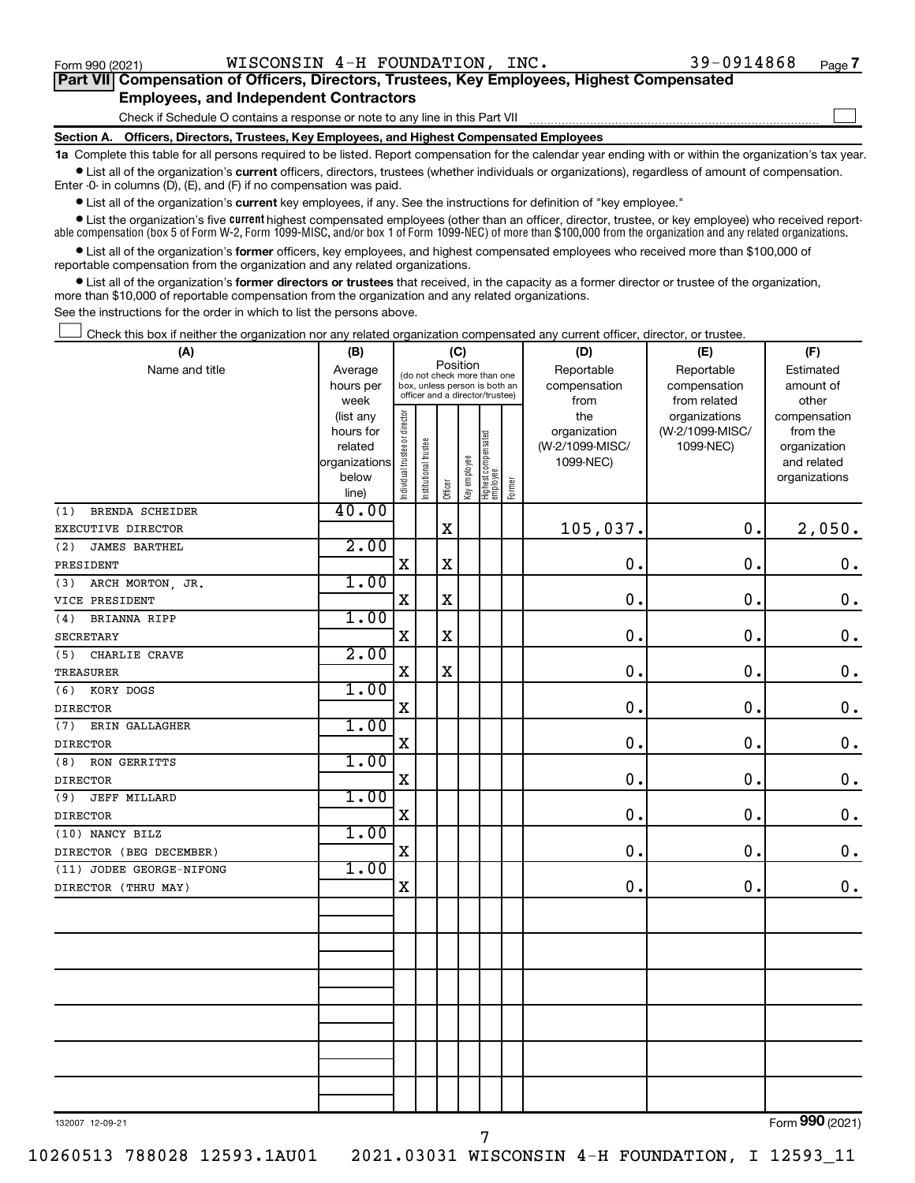$\Box$ 

| Part VII Compensation of Officers, Directors, Trustees, Key Employees, Highest Compensated |  |  |
|--------------------------------------------------------------------------------------------|--|--|
| <b>Employees, and Independent Contractors</b>                                              |  |  |

Check if Schedule O contains a response or note to any line in this Part VII

**Section A. Officers, Directors, Trustees, Key Employees, and Highest Compensated Employees**

**1a**  Complete this table for all persons required to be listed. Report compensation for the calendar year ending with or within the organization's tax year.  $\bullet$  List all of the organization's current officers, directors, trustees (whether individuals or organizations), regardless of amount of compensation.

Enter -0- in columns (D), (E), and (F) if no compensation was paid.

**•** List all of the organization's **current** key employees, if any. See the instructions for definition of "key employee."

• List the organization's five *current* highest compensated employees (other than an officer, director, trustee, or key employee) who received reportable compensation (box 5 of Form W-2, Form 1099-MISC, and/or box 1 of Form 1099-NEC) of more than \$100,000 from the organization and any related organizations.

 $\bullet$  List all of the organization's former officers, key employees, and highest compensated employees who received more than \$100,000 of reportable compensation from the organization and any related organizations.

**•** List all of the organization's former directors or trustees that received, in the capacity as a former director or trustee of the organization, more than \$10,000 of reportable compensation from the organization and any related organizations.

See the instructions for the order in which to list the persons above.

Check this box if neither the organization nor any related organization compensated any current officer, director, or trustee.  $\Box$ 

| (A)                                | (B)            | (C)                                                                                                         |                       |             |              |                                 |        | (D)             | (F)             |                 |  |
|------------------------------------|----------------|-------------------------------------------------------------------------------------------------------------|-----------------------|-------------|--------------|---------------------------------|--------|-----------------|-----------------|-----------------|--|
| Name and title                     | Average        | Position<br>(do not check more than one<br>box, unless person is both an<br>officer and a director/trustee) |                       |             |              |                                 |        | Reportable      | Reportable      | Estimated       |  |
|                                    | hours per      |                                                                                                             |                       |             |              |                                 |        | compensation    | compensation    | amount of       |  |
|                                    | week           |                                                                                                             |                       |             |              |                                 |        | from            | from related    | other           |  |
|                                    | (list any      |                                                                                                             |                       |             |              |                                 |        | the             | organizations   | compensation    |  |
|                                    | hours for      |                                                                                                             |                       |             |              |                                 |        | organization    | (W-2/1099-MISC/ | from the        |  |
|                                    | related        |                                                                                                             |                       |             |              |                                 |        | (W-2/1099-MISC/ | 1099-NEC)       | organization    |  |
|                                    | organizations  |                                                                                                             |                       |             |              |                                 |        | 1099-NEC)       |                 | and related     |  |
|                                    | below<br>line) | Individual trustee or director                                                                              | Institutional trustee | Officer     | Key employee | Highest compensated<br>employee | Former |                 |                 | organizations   |  |
| <b>BRENDA SCHEIDER</b><br>(1)      | 40.00          |                                                                                                             |                       |             |              |                                 |        |                 |                 |                 |  |
| EXECUTIVE DIRECTOR                 |                |                                                                                                             |                       | $\rm X$     |              |                                 |        | 105,037.        | 0.              | 2,050.          |  |
| (2)<br><b>JAMES BARTHEL</b>        | 2.00           |                                                                                                             |                       |             |              |                                 |        |                 |                 |                 |  |
| PRESIDENT                          |                | $\mathbf X$                                                                                                 |                       | $\mathbf X$ |              |                                 |        | $\mathbf 0$     | $\mathbf 0$ .   | 0.              |  |
| ARCH MORTON, JR.<br>(3)            | 1.00           |                                                                                                             |                       |             |              |                                 |        |                 |                 |                 |  |
| VICE PRESIDENT                     |                | X                                                                                                           |                       | $\mathbf X$ |              |                                 |        | $\mathbf 0$     | $\mathbf 0$ .   | $\mathbf 0$ .   |  |
|                                    | 1.00           |                                                                                                             |                       |             |              |                                 |        |                 |                 |                 |  |
| BRIANNA RIPP<br>(4)                |                | $\mathbf X$                                                                                                 |                       | $\mathbf X$ |              |                                 |        | 0.              | $\mathbf 0$ .   | $\mathbf 0$ .   |  |
| <b>SECRETARY</b>                   | 2.00           |                                                                                                             |                       |             |              |                                 |        |                 |                 |                 |  |
| CHARLIE CRAVE<br>(5)               |                | X                                                                                                           |                       | $\mathbf X$ |              |                                 |        | $\mathbf 0$     | 0.              | $\mathbf 0$ .   |  |
| <b>TREASURER</b>                   | 1.00           |                                                                                                             |                       |             |              |                                 |        |                 |                 |                 |  |
| (6)<br>KORY DOGS                   |                | X                                                                                                           |                       |             |              |                                 |        | 0.              | $\mathbf 0$ .   | $\mathbf 0$ .   |  |
| <b>DIRECTOR</b>                    | 1.00           |                                                                                                             |                       |             |              |                                 |        |                 |                 |                 |  |
| ERIN GALLAGHER<br>(7)              |                | X                                                                                                           |                       |             |              |                                 |        | 0.              | 0.              | $0$ .           |  |
| <b>DIRECTOR</b>                    | 1.00           |                                                                                                             |                       |             |              |                                 |        |                 |                 |                 |  |
| <b>RON GERRITTS</b><br>(8)         |                | $\mathbf X$                                                                                                 |                       |             |              |                                 |        | $\mathbf 0$ .   | $\mathbf 0$ .   | $\mathbf 0$ .   |  |
| <b>DIRECTOR</b>                    | 1.00           |                                                                                                             |                       |             |              |                                 |        |                 |                 |                 |  |
| JEFF MILLARD<br>(9)                |                | X                                                                                                           |                       |             |              |                                 |        | $\mathbf 0$ .   | 0.              | $\mathbf 0$ .   |  |
| <b>DIRECTOR</b><br>(10) NANCY BILZ | 1.00           |                                                                                                             |                       |             |              |                                 |        |                 |                 |                 |  |
|                                    |                | $\mathbf X$                                                                                                 |                       |             |              |                                 |        | $\mathbf 0$ .   | 0.              | $\mathbf 0$ .   |  |
| DIRECTOR (BEG DECEMBER)            | 1.00           |                                                                                                             |                       |             |              |                                 |        |                 |                 |                 |  |
| (11) JODEE GEORGE-NIFONG           |                | $\mathbf X$                                                                                                 |                       |             |              |                                 |        | 0.              | 0.              | $\mathbf 0$ .   |  |
| DIRECTOR (THRU MAY)                |                |                                                                                                             |                       |             |              |                                 |        |                 |                 |                 |  |
|                                    |                |                                                                                                             |                       |             |              |                                 |        |                 |                 |                 |  |
|                                    |                |                                                                                                             |                       |             |              |                                 |        |                 |                 |                 |  |
|                                    |                |                                                                                                             |                       |             |              |                                 |        |                 |                 |                 |  |
|                                    |                |                                                                                                             |                       |             |              |                                 |        |                 |                 |                 |  |
|                                    |                |                                                                                                             |                       |             |              |                                 |        |                 |                 |                 |  |
|                                    |                |                                                                                                             |                       |             |              |                                 |        |                 |                 |                 |  |
|                                    |                |                                                                                                             |                       |             |              |                                 |        |                 |                 |                 |  |
|                                    |                |                                                                                                             |                       |             |              |                                 |        |                 |                 |                 |  |
|                                    |                |                                                                                                             |                       |             |              |                                 |        |                 |                 |                 |  |
|                                    |                |                                                                                                             |                       |             |              |                                 |        |                 |                 |                 |  |
|                                    |                |                                                                                                             |                       |             |              |                                 |        |                 |                 |                 |  |
|                                    |                |                                                                                                             |                       |             |              |                                 |        |                 |                 | $000 \text{ m}$ |  |

132007 12-09-21

10260513 788028 12593.1AU01 2021.03031 WISCONSIN 4-H FOUNDATION, I 12593\_11

Form (2021) **990**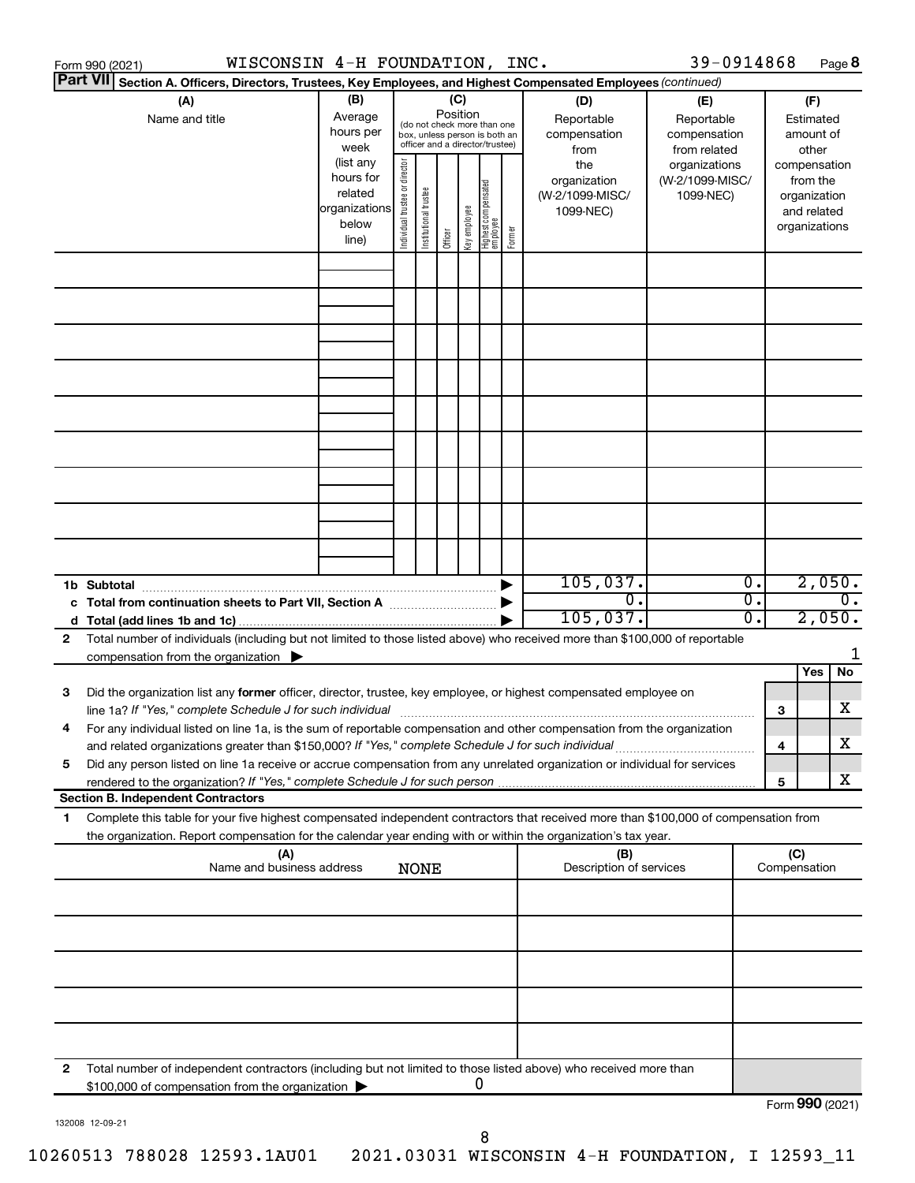| WISCONSIN 4-H FOUNDATION, INC.<br>Form 990 (2021)                                                                                                                                                                                         |                                                                                           |                                |                                                                                           |                 |              |                                   |        |                                                                             | 39-0914868                                                                    |                  |                 |                                                                                                | Page 8 |
|-------------------------------------------------------------------------------------------------------------------------------------------------------------------------------------------------------------------------------------------|-------------------------------------------------------------------------------------------|--------------------------------|-------------------------------------------------------------------------------------------|-----------------|--------------|-----------------------------------|--------|-----------------------------------------------------------------------------|-------------------------------------------------------------------------------|------------------|-----------------|------------------------------------------------------------------------------------------------|--------|
| <b>Part VII</b><br>Section A. Officers, Directors, Trustees, Key Employees, and Highest Compensated Employees (continued)                                                                                                                 |                                                                                           |                                |                                                                                           |                 |              |                                   |        |                                                                             |                                                                               |                  |                 |                                                                                                |        |
| (A)<br>Name and title                                                                                                                                                                                                                     | (B)<br>Average                                                                            |                                | (do not check more than one                                                               | (C)<br>Position |              |                                   |        | (D)<br>Reportable                                                           | (E)<br>Reportable                                                             |                  |                 | (F)<br>Estimated                                                                               |        |
|                                                                                                                                                                                                                                           | hours per<br>week<br>(list any<br>hours for<br>related<br>organizations<br>below<br>line) | Individual trustee or director | box, unless person is both an<br>officer and a director/trustee)<br>Institutional trustee | Officer         | Key employee | Highest compensated<br>  employee | Former | compensation<br>from<br>the<br>organization<br>(W-2/1099-MISC/<br>1099-NEC) | compensation<br>from related<br>organizations<br>(W-2/1099-MISC/<br>1099-NEC) |                  |                 | amount of<br>other<br>compensation<br>from the<br>organization<br>and related<br>organizations |        |
|                                                                                                                                                                                                                                           |                                                                                           |                                |                                                                                           |                 |              |                                   |        |                                                                             |                                                                               |                  |                 |                                                                                                |        |
|                                                                                                                                                                                                                                           |                                                                                           |                                |                                                                                           |                 |              |                                   |        |                                                                             |                                                                               |                  |                 |                                                                                                |        |
|                                                                                                                                                                                                                                           |                                                                                           |                                |                                                                                           |                 |              |                                   |        |                                                                             |                                                                               |                  |                 |                                                                                                |        |
|                                                                                                                                                                                                                                           |                                                                                           |                                |                                                                                           |                 |              |                                   |        |                                                                             |                                                                               |                  |                 |                                                                                                |        |
|                                                                                                                                                                                                                                           |                                                                                           |                                |                                                                                           |                 |              |                                   |        |                                                                             |                                                                               |                  |                 |                                                                                                |        |
|                                                                                                                                                                                                                                           |                                                                                           |                                |                                                                                           |                 |              |                                   |        |                                                                             |                                                                               |                  |                 |                                                                                                |        |
|                                                                                                                                                                                                                                           |                                                                                           |                                |                                                                                           |                 |              |                                   |        |                                                                             |                                                                               |                  |                 |                                                                                                |        |
|                                                                                                                                                                                                                                           |                                                                                           |                                |                                                                                           |                 |              |                                   |        |                                                                             |                                                                               |                  |                 |                                                                                                |        |
|                                                                                                                                                                                                                                           |                                                                                           |                                |                                                                                           |                 |              |                                   |        |                                                                             |                                                                               |                  |                 |                                                                                                |        |
| 1b Subtotal                                                                                                                                                                                                                               |                                                                                           |                                |                                                                                           |                 |              |                                   |        | 105,037.                                                                    |                                                                               | $\overline{0}$ . |                 | 2,050.                                                                                         |        |
|                                                                                                                                                                                                                                           |                                                                                           |                                |                                                                                           |                 |              |                                   |        | $\overline{0}$ .<br>105,037.                                                |                                                                               | σ.<br>σ.         |                 | 2,050.                                                                                         | 0.     |
| Total number of individuals (including but not limited to those listed above) who received more than \$100,000 of reportable<br>$\mathbf{2}$                                                                                              |                                                                                           |                                |                                                                                           |                 |              |                                   |        |                                                                             |                                                                               |                  |                 |                                                                                                | 1      |
| compensation from the organization $\blacktriangleright$                                                                                                                                                                                  |                                                                                           |                                |                                                                                           |                 |              |                                   |        |                                                                             |                                                                               |                  |                 | Yes                                                                                            | No     |
| Did the organization list any former officer, director, trustee, key employee, or highest compensated employee on<br>3<br>line 1a? If "Yes," complete Schedule J for such individual [11] manufacture manufacture in the set of the set o |                                                                                           |                                |                                                                                           |                 |              |                                   |        |                                                                             |                                                                               |                  | 3               |                                                                                                | x      |
| For any individual listed on line 1a, is the sum of reportable compensation and other compensation from the organization<br>and related organizations greater than \$150,000? If "Yes," complete Schedule J for such individual           |                                                                                           |                                |                                                                                           |                 |              |                                   |        |                                                                             |                                                                               |                  | 4               |                                                                                                | x      |
| Did any person listed on line 1a receive or accrue compensation from any unrelated organization or individual for services<br>5                                                                                                           |                                                                                           |                                |                                                                                           |                 |              |                                   |        |                                                                             |                                                                               |                  |                 |                                                                                                | x      |
| rendered to the organization? If "Yes," complete Schedule J for such person.<br><b>Section B. Independent Contractors</b>                                                                                                                 |                                                                                           |                                |                                                                                           |                 |              |                                   |        |                                                                             |                                                                               |                  | 5               |                                                                                                |        |
| Complete this table for your five highest compensated independent contractors that received more than \$100,000 of compensation from<br>1                                                                                                 |                                                                                           |                                |                                                                                           |                 |              |                                   |        |                                                                             |                                                                               |                  |                 |                                                                                                |        |
| the organization. Report compensation for the calendar year ending with or within the organization's tax year.<br>(A)                                                                                                                     |                                                                                           |                                |                                                                                           |                 |              |                                   |        | (B)                                                                         |                                                                               |                  | (C)             |                                                                                                |        |
| Name and business address                                                                                                                                                                                                                 |                                                                                           |                                | <b>NONE</b>                                                                               |                 |              |                                   |        | Description of services                                                     |                                                                               |                  | Compensation    |                                                                                                |        |
|                                                                                                                                                                                                                                           |                                                                                           |                                |                                                                                           |                 |              |                                   |        |                                                                             |                                                                               |                  |                 |                                                                                                |        |
|                                                                                                                                                                                                                                           |                                                                                           |                                |                                                                                           |                 |              |                                   |        |                                                                             |                                                                               |                  |                 |                                                                                                |        |
|                                                                                                                                                                                                                                           |                                                                                           |                                |                                                                                           |                 |              |                                   |        |                                                                             |                                                                               |                  |                 |                                                                                                |        |
|                                                                                                                                                                                                                                           |                                                                                           |                                |                                                                                           |                 |              |                                   |        |                                                                             |                                                                               |                  |                 |                                                                                                |        |
|                                                                                                                                                                                                                                           |                                                                                           |                                |                                                                                           |                 |              |                                   |        |                                                                             |                                                                               |                  |                 |                                                                                                |        |
| Total number of independent contractors (including but not limited to those listed above) who received more than<br>$\mathbf{2}$<br>\$100,000 of compensation from the organization                                                       |                                                                                           |                                |                                                                                           |                 |              | 0                                 |        |                                                                             |                                                                               |                  |                 |                                                                                                |        |
|                                                                                                                                                                                                                                           |                                                                                           |                                |                                                                                           |                 |              |                                   |        |                                                                             |                                                                               |                  | Form 990 (2021) |                                                                                                |        |

132008 12-09-21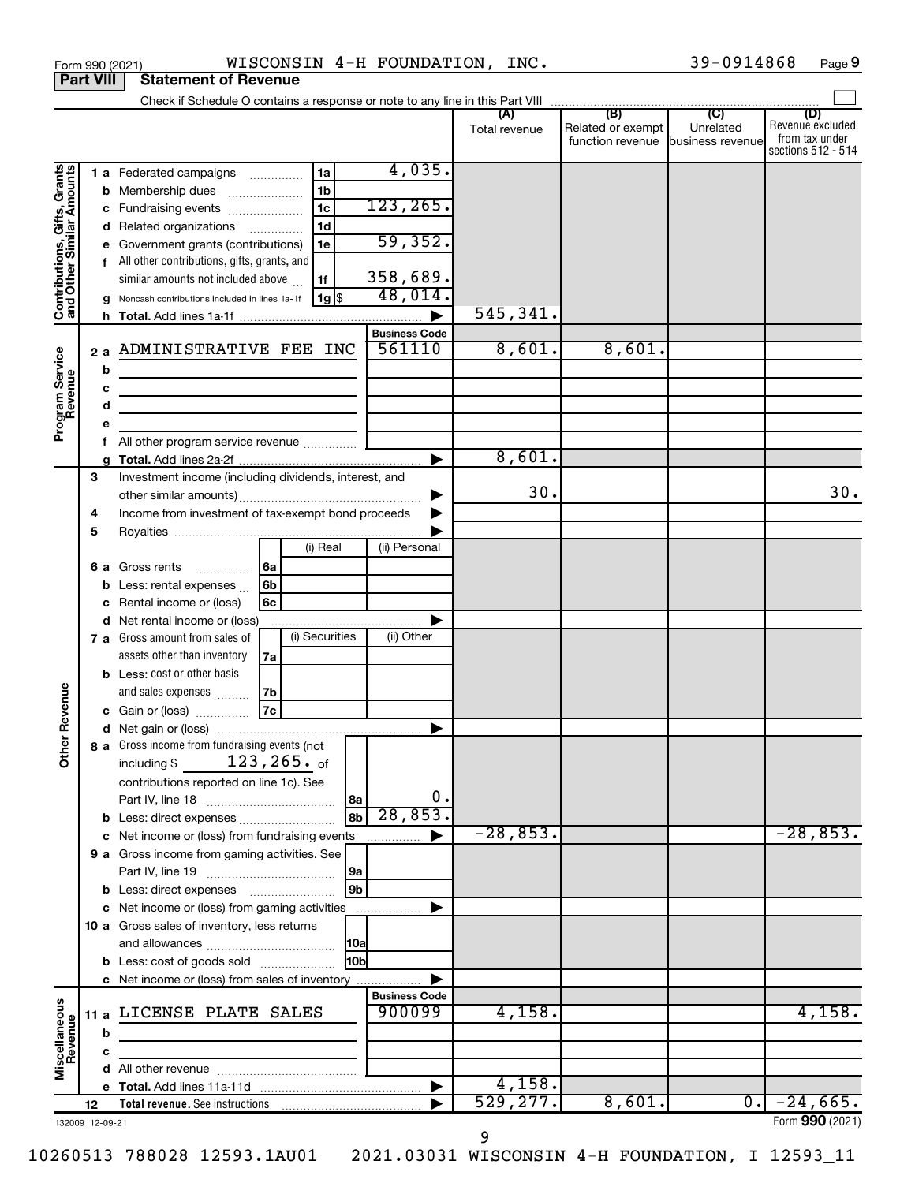|                                                           | Form 990 (2021)  | WISCONSIN 4-H FOUNDATION, INC.                                             |                                |               |                                   | 39-0914868       | Page 9                  |
|-----------------------------------------------------------|------------------|----------------------------------------------------------------------------|--------------------------------|---------------|-----------------------------------|------------------|-------------------------|
|                                                           | <b>Part VIII</b> | <b>Statement of Revenue</b>                                                |                                |               |                                   |                  |                         |
|                                                           |                  |                                                                            |                                |               |                                   |                  |                         |
|                                                           |                  |                                                                            |                                | Total revenue | Related or exempt                 | Unrelated        | (D)<br>Revenue excluded |
|                                                           |                  |                                                                            |                                |               | function revenue business revenue |                  | from tax under          |
|                                                           |                  |                                                                            |                                |               |                                   |                  | sections 512 - 514      |
| Contributions, Gifts, Grants<br>and Other Similar Amounts |                  | 1a<br>1 a Federated campaigns                                              | 4,035.                         |               |                                   |                  |                         |
|                                                           | b                | 1 <sub>b</sub><br>Membership dues                                          |                                |               |                                   |                  |                         |
|                                                           | с                | 1 <sub>c</sub><br>Fundraising events                                       | 123, 265.                      |               |                                   |                  |                         |
|                                                           | d                | 1 <sub>d</sub><br>Related organizations                                    |                                |               |                                   |                  |                         |
|                                                           | е                | Government grants (contributions)<br>1e                                    | 59,352.                        |               |                                   |                  |                         |
|                                                           |                  | f All other contributions, gifts, grants, and                              |                                |               |                                   |                  |                         |
|                                                           |                  | similar amounts not included above<br>1f                                   | 358,689.<br>48,014.            |               |                                   |                  |                         |
|                                                           | g                | $1g$ \$<br>Noncash contributions included in lines 1a-1f                   |                                |               |                                   |                  |                         |
|                                                           |                  |                                                                            |                                | 545,341.      |                                   |                  |                         |
|                                                           |                  |                                                                            | <b>Business Code</b><br>561110 | 8,601.        | 8,601.                            |                  |                         |
|                                                           | 2a               | ADMINISTRATIVE FEE INC                                                     |                                |               |                                   |                  |                         |
|                                                           | b                |                                                                            |                                |               |                                   |                  |                         |
|                                                           | c                | <u> 1989 - Johann Barbara, martin amerikan basar dan ba</u>                |                                |               |                                   |                  |                         |
|                                                           | d                | the control of the control of the control of the control of the control of |                                |               |                                   |                  |                         |
| Program Service<br>Revenue                                | е                |                                                                            |                                |               |                                   |                  |                         |
|                                                           | f                |                                                                            |                                | 8,601.        |                                   |                  |                         |
|                                                           | g<br>3           | Investment income (including dividends, interest, and                      |                                |               |                                   |                  |                         |
|                                                           |                  |                                                                            | ▶                              | 30.           |                                   |                  | 30.                     |
|                                                           | 4                | Income from investment of tax-exempt bond proceeds                         |                                |               |                                   |                  |                         |
|                                                           | 5                |                                                                            |                                |               |                                   |                  |                         |
|                                                           |                  | (i) Real                                                                   | (ii) Personal                  |               |                                   |                  |                         |
|                                                           | 6а               | 6а<br>Gross rents                                                          |                                |               |                                   |                  |                         |
|                                                           | b                | .<br>6b<br>Less: rental expenses                                           |                                |               |                                   |                  |                         |
|                                                           | с                | 6с<br>Rental income or (loss)                                              |                                |               |                                   |                  |                         |
|                                                           | d                | Net rental income or (loss)                                                |                                |               |                                   |                  |                         |
|                                                           | 7 а              | (i) Securities<br>Gross amount from sales of                               | (ii) Other                     |               |                                   |                  |                         |
|                                                           |                  | assets other than inventory<br>7a                                          |                                |               |                                   |                  |                         |
|                                                           |                  | <b>b</b> Less: cost or other basis                                         |                                |               |                                   |                  |                         |
|                                                           |                  | and sales expenses<br>7b                                                   |                                |               |                                   |                  |                         |
| evenue                                                    |                  | 7c<br>c Gain or (loss)                                                     |                                |               |                                   |                  |                         |
|                                                           |                  |                                                                            |                                |               |                                   |                  |                         |
| Other <sub>R</sub>                                        |                  | 8 a Gross income from fundraising events (not                              |                                |               |                                   |                  |                         |
|                                                           |                  | $123, 265.$ of<br>including \$                                             |                                |               |                                   |                  |                         |
|                                                           |                  | contributions reported on line 1c). See                                    |                                |               |                                   |                  |                         |
|                                                           |                  | Part IV, line 18<br> 8a                                                    | 0.                             |               |                                   |                  |                         |
|                                                           | b                | $\overline{8b}$<br>Less: direct expenses                                   | 28,853.                        |               |                                   |                  |                         |
|                                                           | с                | Net income or (loss) from fundraising events                               |                                | $-28,853.$    |                                   |                  | $-28,853.$              |
|                                                           |                  | 9 a Gross income from gaming activities. See                               |                                |               |                                   |                  |                         |
|                                                           |                  | 9a                                                                         |                                |               |                                   |                  |                         |
|                                                           |                  | 9 <sub>b</sub>                                                             |                                |               |                                   |                  |                         |
|                                                           | с                | Net income or (loss) from gaming activities                                |                                |               |                                   |                  |                         |
|                                                           |                  | 10 a Gross sales of inventory, less returns                                |                                |               |                                   |                  |                         |
|                                                           |                  | 10a                                                                        |                                |               |                                   |                  |                         |
|                                                           |                  | 10bl<br><b>b</b> Less: cost of goods sold                                  |                                |               |                                   |                  |                         |
|                                                           |                  | c Net income or (loss) from sales of inventory                             |                                |               |                                   |                  |                         |
|                                                           |                  |                                                                            | <b>Business Code</b>           |               |                                   |                  |                         |
|                                                           | 11 a             | LICENSE PLATE SALES                                                        | 900099                         | 4,158.        |                                   |                  | 4,158.                  |
| Miscellaneous<br>Revenue                                  | b                |                                                                            |                                |               |                                   |                  |                         |
|                                                           | c                |                                                                            |                                |               |                                   |                  |                         |
|                                                           |                  |                                                                            |                                |               |                                   |                  |                         |
|                                                           |                  |                                                                            |                                | 4,158.        |                                   |                  |                         |
|                                                           | 12               | Total revenue. See instructions                                            |                                | 529, 277.     | 8,601.                            | $\overline{0}$ . | $-24,665.$              |
|                                                           | 132009 12-09-21  |                                                                            |                                |               |                                   |                  | Form 990 (2021)         |

9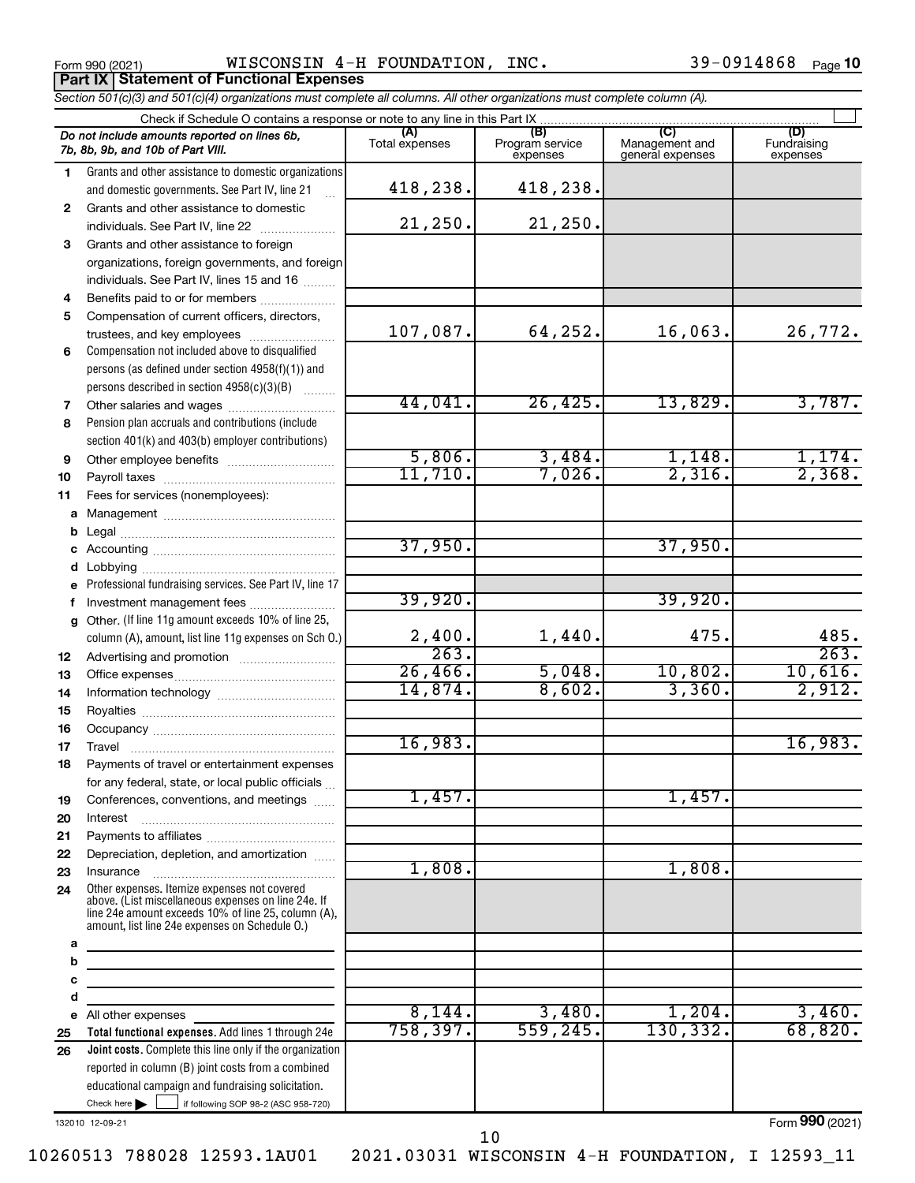|              | WISCONSIN 4-H FOUNDATION, INC.<br>Form 990 (2021)                                                                                                                                                            |                |                        |                  | 39-0914868<br>Page 10 |
|--------------|--------------------------------------------------------------------------------------------------------------------------------------------------------------------------------------------------------------|----------------|------------------------|------------------|-----------------------|
|              | <b>Part IX Statement of Functional Expenses</b><br>Section 501(c)(3) and 501(c)(4) organizations must complete all columns. All other organizations must complete column (A).                                |                |                        |                  |                       |
|              |                                                                                                                                                                                                              |                |                        |                  |                       |
|              | Do not include amounts reported on lines 6b,                                                                                                                                                                 |                | (B)<br>Program service | Management and   | (D)<br>Fundraising    |
|              | 7b, 8b, 9b, and 10b of Part VIII.                                                                                                                                                                            | Total expenses | expenses               | general expenses | expenses              |
| 1.           | Grants and other assistance to domestic organizations                                                                                                                                                        |                |                        |                  |                       |
|              | and domestic governments. See Part IV, line 21                                                                                                                                                               | 418,238.       | 418,238.               |                  |                       |
| $\mathbf{2}$ | Grants and other assistance to domestic                                                                                                                                                                      | 21,250.        | 21,250.                |                  |                       |
| 3            | individuals. See Part IV, line 22<br>Grants and other assistance to foreign                                                                                                                                  |                |                        |                  |                       |
|              | organizations, foreign governments, and foreign                                                                                                                                                              |                |                        |                  |                       |
|              | individuals. See Part IV, lines 15 and 16                                                                                                                                                                    |                |                        |                  |                       |
| 4            | Benefits paid to or for members                                                                                                                                                                              |                |                        |                  |                       |
| 5            | Compensation of current officers, directors,                                                                                                                                                                 |                |                        |                  |                       |
|              | trustees, and key employees                                                                                                                                                                                  | 107,087.       | 64,252.                | 16,063.          | 26,772.               |
| 6            | Compensation not included above to disqualified                                                                                                                                                              |                |                        |                  |                       |
|              | persons (as defined under section 4958(f)(1)) and                                                                                                                                                            |                |                        |                  |                       |
|              | persons described in section 4958(c)(3)(B)                                                                                                                                                                   |                |                        |                  |                       |
| 7            |                                                                                                                                                                                                              | 44,041.        | 26,425.                | 13,829.          | 3,787.                |
| 8            | Pension plan accruals and contributions (include                                                                                                                                                             |                |                        |                  |                       |
|              | section 401(k) and 403(b) employer contributions)                                                                                                                                                            | 5,806.         |                        |                  |                       |
| 9            |                                                                                                                                                                                                              | 11,710.        | 3,484.<br>7,026.       | 1,148.<br>2,316. | 1,174.<br>2,368.      |
| 10           |                                                                                                                                                                                                              |                |                        |                  |                       |
| 11           | Fees for services (nonemployees):                                                                                                                                                                            |                |                        |                  |                       |
| a<br>b       |                                                                                                                                                                                                              |                |                        |                  |                       |
| c            |                                                                                                                                                                                                              | 37,950.        |                        | 37,950.          |                       |
| d            |                                                                                                                                                                                                              |                |                        |                  |                       |
| е            | Professional fundraising services. See Part IV, line 17                                                                                                                                                      |                |                        |                  |                       |
| f            | Investment management fees                                                                                                                                                                                   | 39,920.        |                        | 39,920.          |                       |
| g            | Other. (If line 11g amount exceeds 10% of line 25,                                                                                                                                                           |                |                        |                  |                       |
|              | column (A), amount, list line 11g expenses on Sch O.)                                                                                                                                                        | 2,400.         | 1,440.                 | 475.             | 485.                  |
|              |                                                                                                                                                                                                              | 263.           |                        |                  | 263.                  |
|              |                                                                                                                                                                                                              | $26,466$ .     | 5,048.                 | 10,802           | 10,616.               |
| 14           |                                                                                                                                                                                                              | 14,874.        | 8,602.                 | 3,360.           | 2,912.                |
| 15           |                                                                                                                                                                                                              |                |                        |                  |                       |
| 16           |                                                                                                                                                                                                              | 16,983.        |                        |                  | 16,983.               |
| 17           |                                                                                                                                                                                                              |                |                        |                  |                       |
| 18           | Payments of travel or entertainment expenses<br>for any federal, state, or local public officials                                                                                                            |                |                        |                  |                       |
| 19           | Conferences, conventions, and meetings                                                                                                                                                                       | 1,457.         |                        | 1,457.           |                       |
| 20           | Interest                                                                                                                                                                                                     |                |                        |                  |                       |
| 21           |                                                                                                                                                                                                              |                |                        |                  |                       |
| 22           | Depreciation, depletion, and amortization                                                                                                                                                                    |                |                        |                  |                       |
| 23           | Insurance                                                                                                                                                                                                    | 1,808.         |                        | 1,808.           |                       |
| 24           | Other expenses. Itemize expenses not covered<br>above. (List miscellaneous expenses on line 24e. If<br>line 24e amount exceeds 10% of line 25, column (A),<br>amount, list line 24e expenses on Schedule 0.) |                |                        |                  |                       |
| а            |                                                                                                                                                                                                              |                |                        |                  |                       |
| b            | the control of the control of the control of the control of the control of                                                                                                                                   |                |                        |                  |                       |
| c<br>d       | the control of the control of the control of the control of the control of                                                                                                                                   |                |                        |                  |                       |
|              | <u> 1980 - Jan Barristo, martin al II-lea (b. 1980)</u><br>e All other expenses                                                                                                                              | 8,144.         | 3,480.                 | 1,204.           | 3,460.                |
| 25           | Total functional expenses. Add lines 1 through 24e                                                                                                                                                           | 758, 397.      | 559, 245.              | 130, 332.        | 68,820.               |
| 26           | <b>Joint costs.</b> Complete this line only if the organization<br>reported in column (B) joint costs from a combined                                                                                        |                |                        |                  |                       |

132010 12-09-21

 $Check here$ 

Form (2021) **990**

10260513 788028 12593.1AU01 2021.03031 WISCONSIN 4-H FOUNDATION, I 12593\_11

Check here  $\begin{array}{c} \begin{array}{|c} \hline \end{array} \end{array}$  if following SOP 98-2 (ASC 958-720)

educational campaign and fundraising solicitation.

10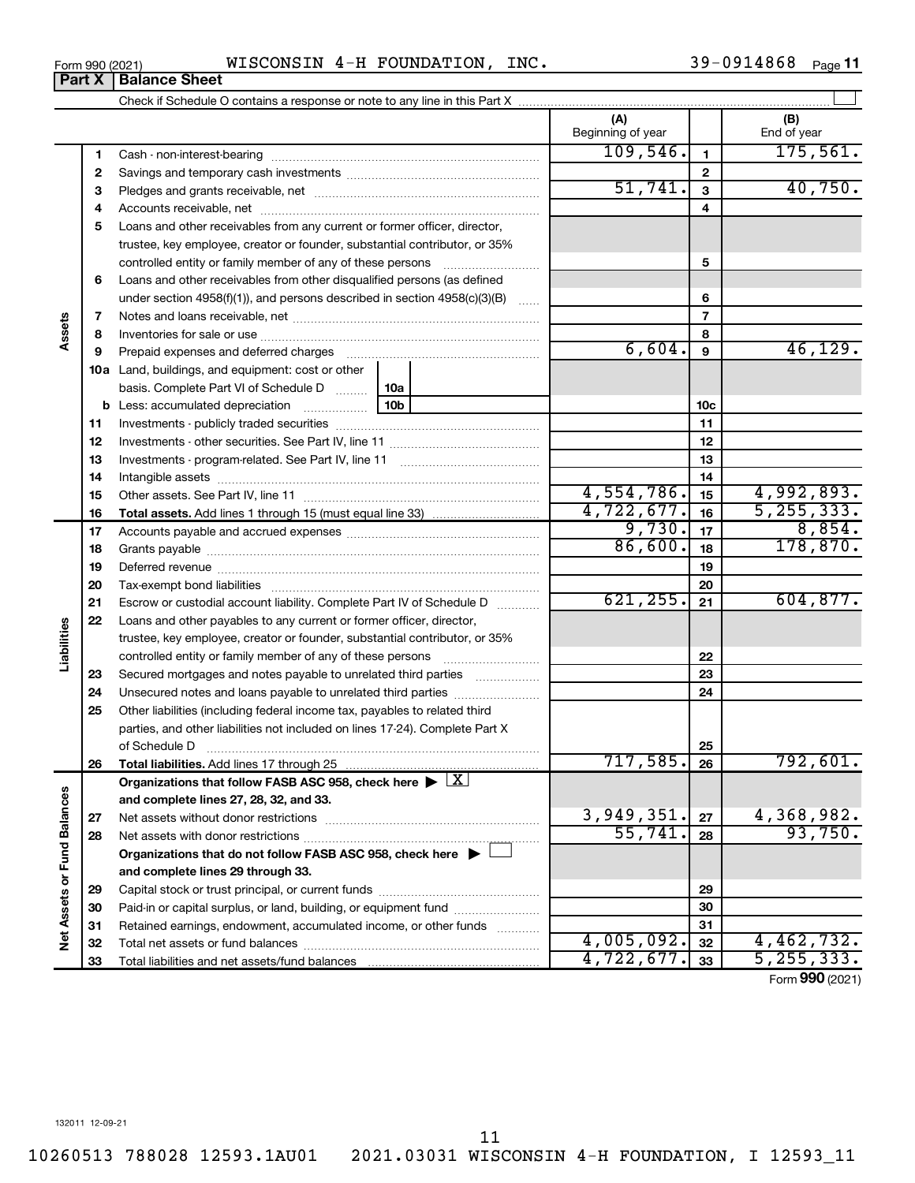10260513 788028 12593.1AU01 2021.03031 WISCONSIN 4-H FOUNDATION, I 12593\_11 11

39-0914868 Page 11

|                             |    |                                                                                                                                                                                                                                      |                 | (A)<br>Beginning of year |                  | (B)<br>End of year    |
|-----------------------------|----|--------------------------------------------------------------------------------------------------------------------------------------------------------------------------------------------------------------------------------------|-----------------|--------------------------|------------------|-----------------------|
|                             | 1  |                                                                                                                                                                                                                                      |                 | 109,546.                 | $\mathbf{1}$     | 175,561.              |
|                             | 2  |                                                                                                                                                                                                                                      |                 | $\mathbf{2}$             |                  |                       |
|                             | з  |                                                                                                                                                                                                                                      | 51,741.         | $\overline{\mathbf{3}}$  | 40,750.          |                       |
|                             | 4  |                                                                                                                                                                                                                                      |                 | 4                        |                  |                       |
|                             | 5  | Loans and other receivables from any current or former officer, director,                                                                                                                                                            |                 |                          |                  |                       |
|                             |    | trustee, key employee, creator or founder, substantial contributor, or 35%                                                                                                                                                           |                 |                          |                  |                       |
|                             |    | controlled entity or family member of any of these persons                                                                                                                                                                           |                 |                          | 5                |                       |
|                             | 6  | Loans and other receivables from other disqualified persons (as defined                                                                                                                                                              |                 |                          |                  |                       |
|                             |    | under section $4958(f)(1)$ , and persons described in section $4958(c)(3)(B)$                                                                                                                                                        | <b>Section</b>  |                          | 6                |                       |
|                             | 7  |                                                                                                                                                                                                                                      |                 |                          | $\overline{7}$   |                       |
| Assets                      | 8  |                                                                                                                                                                                                                                      |                 |                          | 8                |                       |
|                             | 9  |                                                                                                                                                                                                                                      |                 | 6,604.                   | $\boldsymbol{9}$ | 46, 129.              |
|                             |    | <b>10a</b> Land, buildings, and equipment: cost or other                                                                                                                                                                             |                 |                          |                  |                       |
|                             |    | basis. Complete Part VI of Schedule D                                                                                                                                                                                                | 10a             |                          |                  |                       |
|                             |    | <b>b</b> Less: accumulated depreciation                                                                                                                                                                                              | 10 <sub>b</sub> |                          | 10c              |                       |
|                             | 11 |                                                                                                                                                                                                                                      |                 |                          | 11               |                       |
|                             | 12 |                                                                                                                                                                                                                                      |                 |                          | 12               |                       |
|                             | 13 |                                                                                                                                                                                                                                      |                 | 13                       |                  |                       |
|                             | 14 |                                                                                                                                                                                                                                      |                 |                          | 14               |                       |
|                             | 15 |                                                                                                                                                                                                                                      |                 | 4,554,786.               | 15               | 4,992,893.            |
|                             | 16 |                                                                                                                                                                                                                                      |                 | 4,722,677.               | 16               | 5, 255, 333.          |
|                             | 17 |                                                                                                                                                                                                                                      |                 | 9,730.                   | 17               | 8,854.                |
|                             | 18 |                                                                                                                                                                                                                                      |                 | 86,600.                  | 18               | 178,870.              |
|                             | 19 |                                                                                                                                                                                                                                      |                 | 19                       |                  |                       |
|                             | 20 |                                                                                                                                                                                                                                      |                 |                          | 20               |                       |
|                             | 21 | Escrow or custodial account liability. Complete Part IV of Schedule D                                                                                                                                                                |                 | 621, 255.                | 21               | 604, 877.             |
|                             | 22 | Loans and other payables to any current or former officer, director,                                                                                                                                                                 |                 |                          |                  |                       |
| Liabilities                 |    | trustee, key employee, creator or founder, substantial contributor, or 35%                                                                                                                                                           |                 |                          |                  |                       |
|                             |    | controlled entity or family member of any of these persons [                                                                                                                                                                         |                 |                          | 22               |                       |
|                             | 23 | Secured mortgages and notes payable to unrelated third parties                                                                                                                                                                       |                 |                          | 23               |                       |
|                             | 24 | Unsecured notes and loans payable to unrelated third parties                                                                                                                                                                         |                 |                          | 24               |                       |
|                             | 25 | Other liabilities (including federal income tax, payables to related third                                                                                                                                                           |                 |                          |                  |                       |
|                             |    | parties, and other liabilities not included on lines 17-24). Complete Part X                                                                                                                                                         |                 |                          |                  |                       |
|                             |    | of Schedule D <b>Machine Communication Contract Contract Contract Contract Contract Contract Contract Contract Contract Contract Contract Contract Contract Contract Contract Contract Contract Contract Contract Contract Contr</b> |                 |                          | 25               |                       |
|                             | 26 | Total liabilities. Add lines 17 through 25                                                                                                                                                                                           |                 | 717,585.                 | 26               | <u>792,601.</u>       |
|                             |    | Organizations that follow FASB ASC 958, check here $\blacktriangleright \lfloor \underline{X} \rfloor$                                                                                                                               |                 |                          |                  |                       |
|                             |    | and complete lines 27, 28, 32, and 33.                                                                                                                                                                                               |                 | 3,949,351.               |                  |                       |
|                             | 27 |                                                                                                                                                                                                                                      |                 | 55,741.                  | 27               | 4,368,982.<br>93,750. |
|                             | 28 |                                                                                                                                                                                                                                      |                 |                          | 28               |                       |
|                             |    | Organizations that do not follow FASB ASC 958, check here $\blacktriangleright$                                                                                                                                                      |                 |                          |                  |                       |
|                             |    | and complete lines 29 through 33.                                                                                                                                                                                                    |                 |                          |                  |                       |
|                             | 29 |                                                                                                                                                                                                                                      |                 |                          | 29               |                       |
|                             | 30 | Paid-in or capital surplus, or land, building, or equipment fund                                                                                                                                                                     |                 |                          | 30               |                       |
| Net Assets or Fund Balances | 31 | Retained earnings, endowment, accumulated income, or other funds                                                                                                                                                                     |                 | 4,005,092.               | 31               | 4,462,732.            |
|                             | 32 |                                                                                                                                                                                                                                      |                 | 4,722,677.               | 32<br>33         | 5, 255, 333.          |
|                             | 33 |                                                                                                                                                                                                                                      |                 |                          |                  | Form 990 (2021)       |
|                             |    |                                                                                                                                                                                                                                      |                 |                          |                  |                       |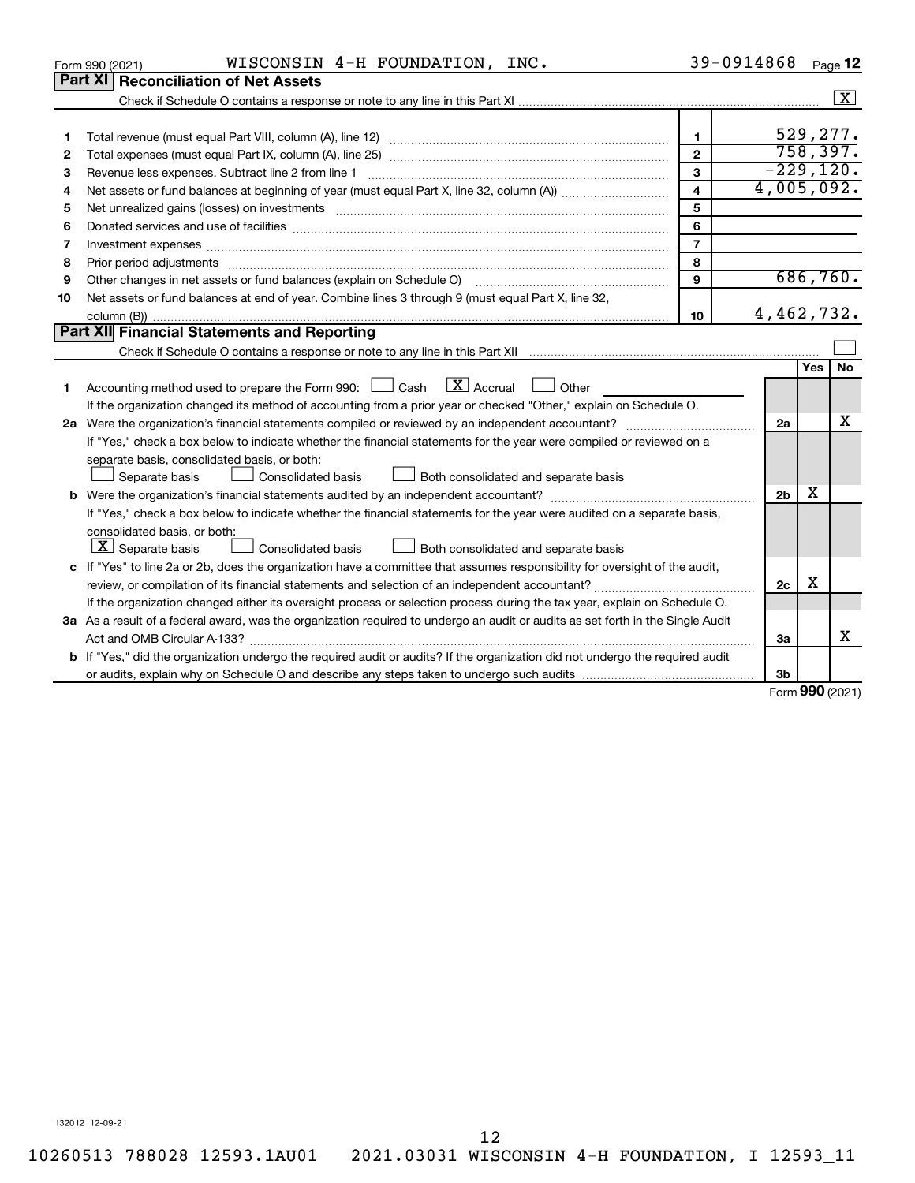|    | WISCONSIN 4-H FOUNDATION, INC.<br>Form 990 (2021)                                                                                                                                                                                                            |                         | 39-0914868     |     | Page 12            |
|----|--------------------------------------------------------------------------------------------------------------------------------------------------------------------------------------------------------------------------------------------------------------|-------------------------|----------------|-----|--------------------|
|    | <b>Part XI Reconciliation of Net Assets</b>                                                                                                                                                                                                                  |                         |                |     |                    |
|    |                                                                                                                                                                                                                                                              |                         |                |     | $\boxed{\text{X}}$ |
|    |                                                                                                                                                                                                                                                              |                         |                |     |                    |
| 1  |                                                                                                                                                                                                                                                              | $\mathbf{1}$            |                |     | 529,277.           |
| 2  |                                                                                                                                                                                                                                                              | $\overline{2}$          |                |     | 758,397.           |
| 3  |                                                                                                                                                                                                                                                              | 3                       |                |     | $-229,120.$        |
| 4  |                                                                                                                                                                                                                                                              | $\overline{\mathbf{4}}$ | 4,005,092.     |     |                    |
| 5  | Net unrealized gains (losses) on investments [111] www.martime.community.community.community.community.communi                                                                                                                                               | 5                       |                |     |                    |
| 6  | Donated services and use of facilities [[111] matter contracts and use of facilities [[11] matter contracts and use of facilities [[11] matter contracts and use of facilities [[11] matter contracts and a service contract o                               | 6                       |                |     |                    |
| 7  | Investment expenses www.communication.com/www.communication.com/www.communication.com/www.com                                                                                                                                                                | $\overline{7}$          |                |     |                    |
| 8  | Prior period adjustments www.communication.communication.communication.communication.com                                                                                                                                                                     | 8                       |                |     |                    |
| 9  | Other changes in net assets or fund balances (explain on Schedule O)                                                                                                                                                                                         | 9                       |                |     | 686,760.           |
| 10 | Net assets or fund balances at end of year. Combine lines 3 through 9 (must equal Part X, line 32,                                                                                                                                                           |                         |                |     |                    |
|    |                                                                                                                                                                                                                                                              | 10                      | 4,462,732.     |     |                    |
|    | Part XII Financial Statements and Reporting                                                                                                                                                                                                                  |                         |                |     |                    |
|    |                                                                                                                                                                                                                                                              |                         |                |     |                    |
|    |                                                                                                                                                                                                                                                              |                         |                | Yes | <b>No</b>          |
| 1  | $\mathbf{X}$ Accrual<br>Accounting method used to prepare the Form 990: [130] Cash<br>Other                                                                                                                                                                  |                         |                |     |                    |
|    | If the organization changed its method of accounting from a prior year or checked "Other," explain on Schedule O.                                                                                                                                            |                         |                |     |                    |
|    |                                                                                                                                                                                                                                                              |                         | 2a             |     | х                  |
|    | If "Yes," check a box below to indicate whether the financial statements for the year were compiled or reviewed on a                                                                                                                                         |                         |                |     |                    |
|    | separate basis, consolidated basis, or both:                                                                                                                                                                                                                 |                         |                |     |                    |
|    | Separate basis<br>Consolidated basis<br>Both consolidated and separate basis                                                                                                                                                                                 |                         |                | х   |                    |
|    |                                                                                                                                                                                                                                                              |                         | 2 <sub>b</sub> |     |                    |
|    | If "Yes," check a box below to indicate whether the financial statements for the year were audited on a separate basis,                                                                                                                                      |                         |                |     |                    |
|    | consolidated basis, or both:<br>$ \mathbf{X} $ Separate basis                                                                                                                                                                                                |                         |                |     |                    |
|    | <b>Consolidated basis</b><br>Both consolidated and separate basis                                                                                                                                                                                            |                         |                |     |                    |
|    | c If "Yes" to line 2a or 2b, does the organization have a committee that assumes responsibility for oversight of the audit,                                                                                                                                  |                         | 2c             | х   |                    |
|    |                                                                                                                                                                                                                                                              |                         |                |     |                    |
|    | If the organization changed either its oversight process or selection process during the tax year, explain on Schedule O.<br>3a As a result of a federal award, was the organization required to undergo an audit or audits as set forth in the Single Audit |                         |                |     |                    |
|    |                                                                                                                                                                                                                                                              |                         | За             |     | х                  |
|    | b If "Yes," did the organization undergo the required audit or audits? If the organization did not undergo the required audit                                                                                                                                |                         |                |     |                    |
|    |                                                                                                                                                                                                                                                              |                         | 3b             |     |                    |
|    |                                                                                                                                                                                                                                                              |                         |                |     | Form 990 (2021)    |
|    |                                                                                                                                                                                                                                                              |                         |                |     |                    |

10260513 788028 12593.1AU01 2021.03031 WISCONSIN 4-H FOUNDATION, I 12593\_11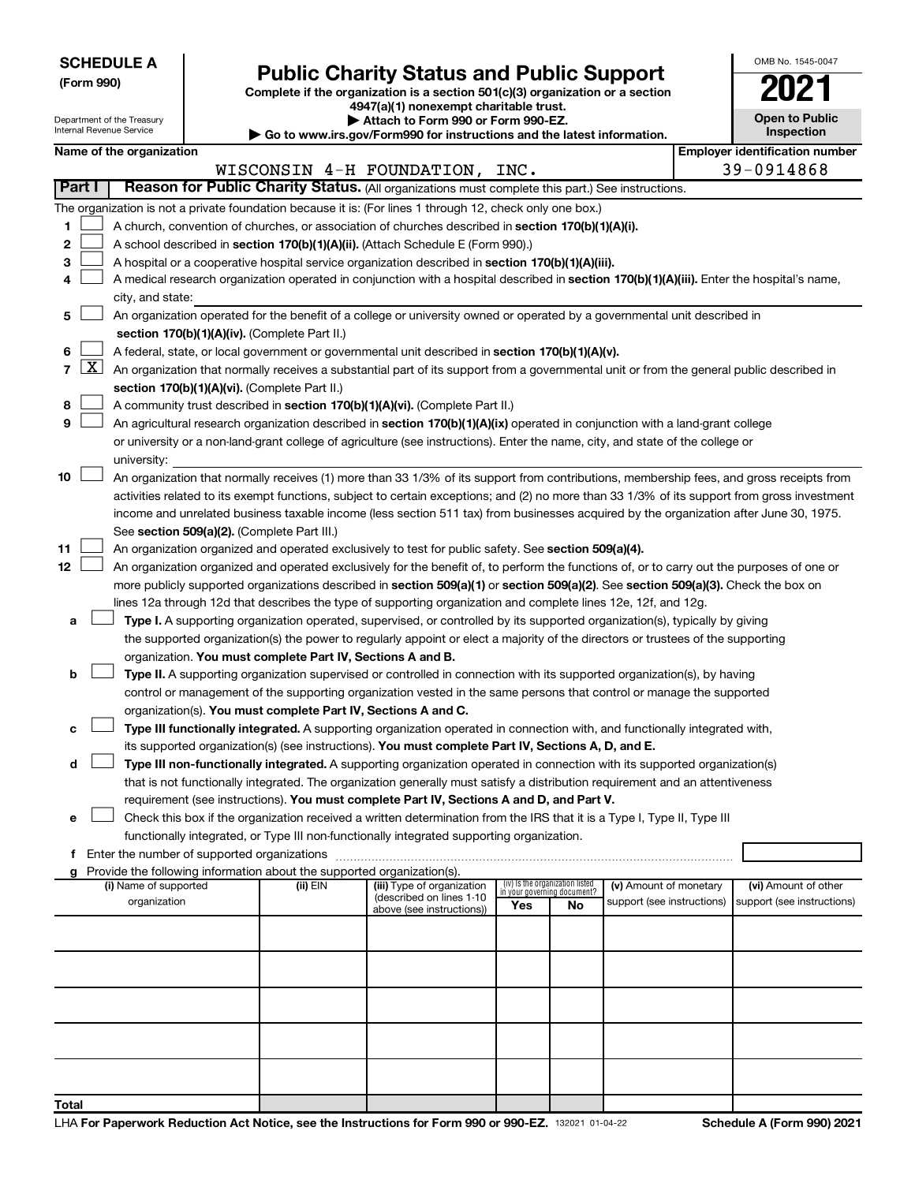**Total**

# Form 990)<br>
Complete if the organization is a section 501(c)(3) organization or a section<br> **Public Charity Status and Public Support**

**4947(a)(1) nonexempt charitable trust. | Attach to Form 990 or Form 990-EZ.** 

| OMB No 1545-0047                    |
|-------------------------------------|
|                                     |
| <b>Open to Public</b><br>Inspection |
|                                     |

| Department of the Treasury<br>Internal Revenue Service |                                       |  | Attach to Form 990 or Form 990-EZ.<br>Go to www.irs.gov/Form990 for instructions and the latest information. | <b>Open to Public</b><br>Inspection                                                                                                          |     |                                 |                                                      |                                                    |
|--------------------------------------------------------|---------------------------------------|--|--------------------------------------------------------------------------------------------------------------|----------------------------------------------------------------------------------------------------------------------------------------------|-----|---------------------------------|------------------------------------------------------|----------------------------------------------------|
|                                                        | Name of the organization              |  |                                                                                                              |                                                                                                                                              |     |                                 |                                                      | <b>Employer identification number</b>              |
|                                                        |                                       |  |                                                                                                              | WISCONSIN 4-H FOUNDATION, INC.                                                                                                               |     |                                 |                                                      | 39-0914868                                         |
| Part I                                                 |                                       |  |                                                                                                              | Reason for Public Charity Status. (All organizations must complete this part.) See instructions.                                             |     |                                 |                                                      |                                                    |
|                                                        |                                       |  |                                                                                                              | The organization is not a private foundation because it is: (For lines 1 through 12, check only one box.)                                    |     |                                 |                                                      |                                                    |
| 1                                                      |                                       |  |                                                                                                              | A church, convention of churches, or association of churches described in section 170(b)(1)(A)(i).                                           |     |                                 |                                                      |                                                    |
| 2                                                      |                                       |  |                                                                                                              | A school described in section 170(b)(1)(A)(ii). (Attach Schedule E (Form 990).)                                                              |     |                                 |                                                      |                                                    |
| 3                                                      |                                       |  |                                                                                                              | A hospital or a cooperative hospital service organization described in section 170(b)(1)(A)(iii).                                            |     |                                 |                                                      |                                                    |
| 4                                                      |                                       |  |                                                                                                              | A medical research organization operated in conjunction with a hospital described in section 170(b)(1)(A)(iii). Enter the hospital's name,   |     |                                 |                                                      |                                                    |
|                                                        | city, and state:                      |  |                                                                                                              |                                                                                                                                              |     |                                 |                                                      |                                                    |
| 5                                                      |                                       |  |                                                                                                              | An organization operated for the benefit of a college or university owned or operated by a governmental unit described in                    |     |                                 |                                                      |                                                    |
|                                                        |                                       |  | section 170(b)(1)(A)(iv). (Complete Part II.)                                                                |                                                                                                                                              |     |                                 |                                                      |                                                    |
| 6                                                      |                                       |  |                                                                                                              | A federal, state, or local government or governmental unit described in section 170(b)(1)(A)(v).                                             |     |                                 |                                                      |                                                    |
| $\lfloor x \rfloor$<br>7                               |                                       |  |                                                                                                              | An organization that normally receives a substantial part of its support from a governmental unit or from the general public described in    |     |                                 |                                                      |                                                    |
|                                                        |                                       |  | section 170(b)(1)(A)(vi). (Complete Part II.)                                                                |                                                                                                                                              |     |                                 |                                                      |                                                    |
| 8                                                      |                                       |  |                                                                                                              | A community trust described in section 170(b)(1)(A)(vi). (Complete Part II.)                                                                 |     |                                 |                                                      |                                                    |
| 9                                                      |                                       |  |                                                                                                              | An agricultural research organization described in section 170(b)(1)(A)(ix) operated in conjunction with a land-grant college                |     |                                 |                                                      |                                                    |
|                                                        |                                       |  |                                                                                                              | or university or a non-land-grant college of agriculture (see instructions). Enter the name, city, and state of the college or               |     |                                 |                                                      |                                                    |
|                                                        | university:                           |  |                                                                                                              |                                                                                                                                              |     |                                 |                                                      |                                                    |
| 10                                                     |                                       |  |                                                                                                              | An organization that normally receives (1) more than 33 1/3% of its support from contributions, membership fees, and gross receipts from     |     |                                 |                                                      |                                                    |
|                                                        |                                       |  |                                                                                                              | activities related to its exempt functions, subject to certain exceptions; and (2) no more than 33 1/3% of its support from gross investment |     |                                 |                                                      |                                                    |
|                                                        |                                       |  |                                                                                                              | income and unrelated business taxable income (less section 511 tax) from businesses acquired by the organization after June 30, 1975.        |     |                                 |                                                      |                                                    |
|                                                        |                                       |  | See section 509(a)(2). (Complete Part III.)                                                                  |                                                                                                                                              |     |                                 |                                                      |                                                    |
| 11                                                     |                                       |  |                                                                                                              | An organization organized and operated exclusively to test for public safety. See section 509(a)(4).                                         |     |                                 |                                                      |                                                    |
| 12 <sup>°</sup>                                        |                                       |  |                                                                                                              | An organization organized and operated exclusively for the benefit of, to perform the functions of, or to carry out the purposes of one or   |     |                                 |                                                      |                                                    |
|                                                        |                                       |  |                                                                                                              |                                                                                                                                              |     |                                 |                                                      |                                                    |
|                                                        |                                       |  |                                                                                                              | more publicly supported organizations described in section 509(a)(1) or section 509(a)(2). See section 509(a)(3). Check the box on           |     |                                 |                                                      |                                                    |
|                                                        |                                       |  |                                                                                                              | lines 12a through 12d that describes the type of supporting organization and complete lines 12e, 12f, and 12g.                               |     |                                 |                                                      |                                                    |
| а                                                      |                                       |  |                                                                                                              | Type I. A supporting organization operated, supervised, or controlled by its supported organization(s), typically by giving                  |     |                                 |                                                      |                                                    |
|                                                        |                                       |  |                                                                                                              | the supported organization(s) the power to regularly appoint or elect a majority of the directors or trustees of the supporting              |     |                                 |                                                      |                                                    |
|                                                        |                                       |  | organization. You must complete Part IV, Sections A and B.                                                   |                                                                                                                                              |     |                                 |                                                      |                                                    |
| b                                                      |                                       |  |                                                                                                              | Type II. A supporting organization supervised or controlled in connection with its supported organization(s), by having                      |     |                                 |                                                      |                                                    |
|                                                        |                                       |  |                                                                                                              | control or management of the supporting organization vested in the same persons that control or manage the supported                         |     |                                 |                                                      |                                                    |
|                                                        |                                       |  | organization(s). You must complete Part IV, Sections A and C.                                                |                                                                                                                                              |     |                                 |                                                      |                                                    |
| с                                                      |                                       |  |                                                                                                              | Type III functionally integrated. A supporting organization operated in connection with, and functionally integrated with,                   |     |                                 |                                                      |                                                    |
|                                                        |                                       |  |                                                                                                              | its supported organization(s) (see instructions). You must complete Part IV, Sections A, D, and E.                                           |     |                                 |                                                      |                                                    |
| d                                                      |                                       |  |                                                                                                              | Type III non-functionally integrated. A supporting organization operated in connection with its supported organization(s)                    |     |                                 |                                                      |                                                    |
|                                                        |                                       |  |                                                                                                              | that is not functionally integrated. The organization generally must satisfy a distribution requirement and an attentiveness                 |     |                                 |                                                      |                                                    |
|                                                        |                                       |  |                                                                                                              | requirement (see instructions). You must complete Part IV, Sections A and D, and Part V.                                                     |     |                                 |                                                      |                                                    |
| е                                                      |                                       |  |                                                                                                              | Check this box if the organization received a written determination from the IRS that it is a Type I, Type II, Type III                      |     |                                 |                                                      |                                                    |
|                                                        |                                       |  |                                                                                                              | functionally integrated, or Type III non-functionally integrated supporting organization.                                                    |     |                                 |                                                      |                                                    |
|                                                        |                                       |  |                                                                                                              |                                                                                                                                              |     |                                 |                                                      |                                                    |
|                                                        |                                       |  | g Provide the following information about the supported organization(s).                                     |                                                                                                                                              |     | (iv) Is the organization listed |                                                      |                                                    |
|                                                        | (i) Name of supported<br>organization |  | (ii) EIN                                                                                                     | (iii) Type of organization<br>(described on lines 1-10                                                                                       |     | in your governing document?     | (v) Amount of monetary<br>support (see instructions) | (vi) Amount of other<br>support (see instructions) |
|                                                        |                                       |  |                                                                                                              | above (see instructions))                                                                                                                    | Yes | No                              |                                                      |                                                    |
|                                                        |                                       |  |                                                                                                              |                                                                                                                                              |     |                                 |                                                      |                                                    |
|                                                        |                                       |  |                                                                                                              |                                                                                                                                              |     |                                 |                                                      |                                                    |
|                                                        |                                       |  |                                                                                                              |                                                                                                                                              |     |                                 |                                                      |                                                    |
|                                                        |                                       |  |                                                                                                              |                                                                                                                                              |     |                                 |                                                      |                                                    |
|                                                        |                                       |  |                                                                                                              |                                                                                                                                              |     |                                 |                                                      |                                                    |
|                                                        |                                       |  |                                                                                                              |                                                                                                                                              |     |                                 |                                                      |                                                    |
|                                                        |                                       |  |                                                                                                              |                                                                                                                                              |     |                                 |                                                      |                                                    |
|                                                        |                                       |  |                                                                                                              |                                                                                                                                              |     |                                 |                                                      |                                                    |
|                                                        |                                       |  |                                                                                                              |                                                                                                                                              |     |                                 |                                                      |                                                    |
|                                                        |                                       |  |                                                                                                              |                                                                                                                                              |     |                                 |                                                      |                                                    |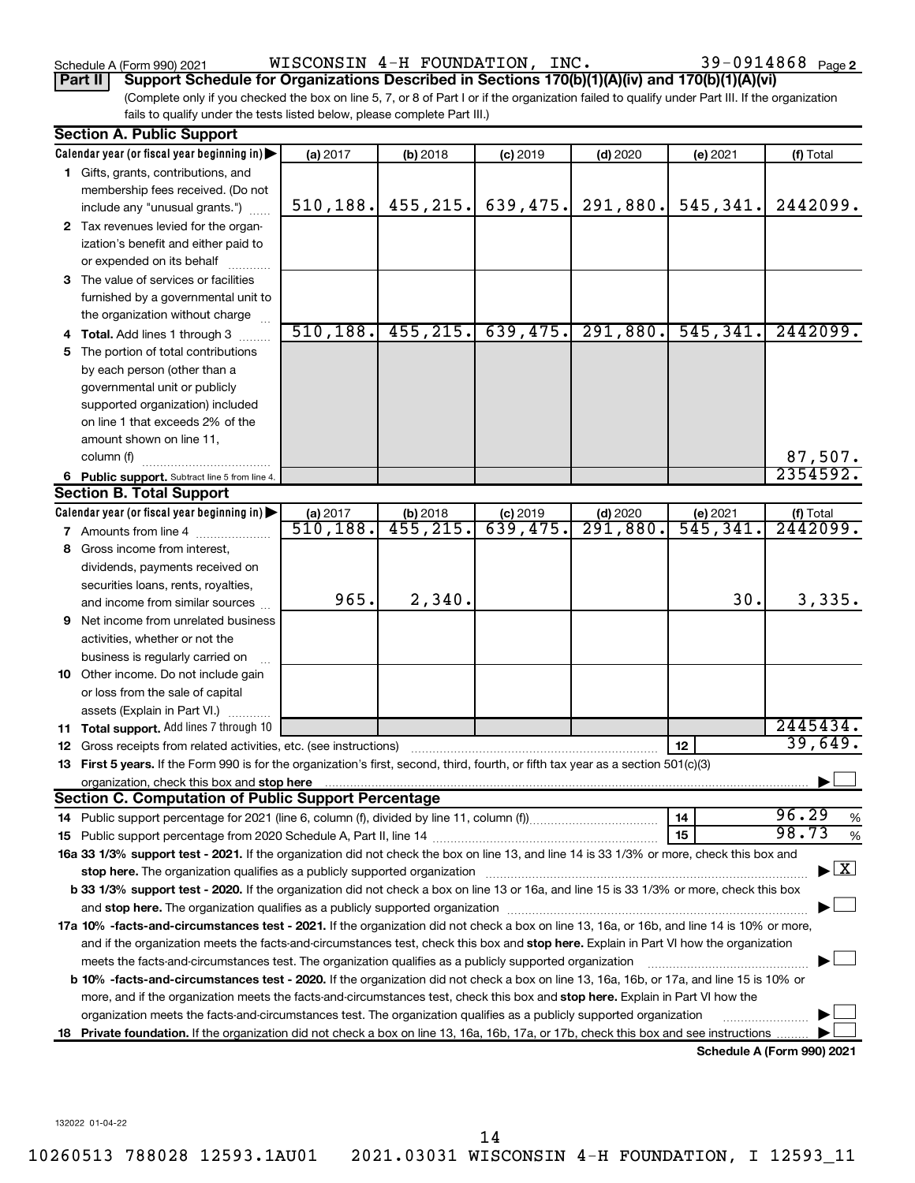Schedule A (Form 990) 2021  $_{\rm WISCONSIM}$   $\rm 4-H$   $\rm FOUNDATION$  ,  $\rm INC.$   $\rm 39-0914868$   $_{\rm Page}$ 

## **Part II Support Schedule for Organizations Described in Sections 170(b)(1)(A)(iv) and 170(b)(1)(A)(vi)**

(Complete only if you checked the box on line 5, 7, or 8 of Part I or if the organization failed to qualify under Part III. If the organization fails to qualify under the tests listed below, please complete Part III.)

|    | <b>Section A. Public Support</b>                                                                                                                                                                                                                                                            |           |                         |            |            |           |                                          |
|----|---------------------------------------------------------------------------------------------------------------------------------------------------------------------------------------------------------------------------------------------------------------------------------------------|-----------|-------------------------|------------|------------|-----------|------------------------------------------|
|    | Calendar year (or fiscal year beginning in)                                                                                                                                                                                                                                                 | (a) 2017  | (b) 2018                | $(c)$ 2019 | $(d)$ 2020 | (e) 2021  | (f) Total                                |
|    | 1 Gifts, grants, contributions, and                                                                                                                                                                                                                                                         |           |                         |            |            |           |                                          |
|    | membership fees received. (Do not                                                                                                                                                                                                                                                           |           |                         |            |            |           |                                          |
|    | include any "unusual grants.")                                                                                                                                                                                                                                                              | 510, 188. | 455, 215.               | 639, 475.  | 291,880.   | 545,341.  | 2442099.                                 |
|    | 2 Tax revenues levied for the organ-                                                                                                                                                                                                                                                        |           |                         |            |            |           |                                          |
|    | ization's benefit and either paid to                                                                                                                                                                                                                                                        |           |                         |            |            |           |                                          |
|    | or expended on its behalf                                                                                                                                                                                                                                                                   |           |                         |            |            |           |                                          |
|    | 3 The value of services or facilities                                                                                                                                                                                                                                                       |           |                         |            |            |           |                                          |
|    | furnished by a governmental unit to                                                                                                                                                                                                                                                         |           |                         |            |            |           |                                          |
|    | the organization without charge                                                                                                                                                                                                                                                             |           |                         |            |            |           |                                          |
|    | <b>Total.</b> Add lines 1 through 3                                                                                                                                                                                                                                                         | 510, 188. | 455, 215.               | 639,475.   | 291,880.   | 545, 341. | 2442099.                                 |
| 5. | The portion of total contributions                                                                                                                                                                                                                                                          |           |                         |            |            |           |                                          |
|    | by each person (other than a                                                                                                                                                                                                                                                                |           |                         |            |            |           |                                          |
|    | governmental unit or publicly                                                                                                                                                                                                                                                               |           |                         |            |            |           |                                          |
|    | supported organization) included                                                                                                                                                                                                                                                            |           |                         |            |            |           |                                          |
|    | on line 1 that exceeds 2% of the                                                                                                                                                                                                                                                            |           |                         |            |            |           |                                          |
|    | amount shown on line 11,                                                                                                                                                                                                                                                                    |           |                         |            |            |           |                                          |
|    | column (f)                                                                                                                                                                                                                                                                                  |           |                         |            |            |           | 87,507.                                  |
|    | 6 Public support. Subtract line 5 from line 4.                                                                                                                                                                                                                                              |           |                         |            |            |           | 2354592.                                 |
|    | <b>Section B. Total Support</b>                                                                                                                                                                                                                                                             |           |                         |            |            |           |                                          |
|    | Calendar year (or fiscal year beginning in)                                                                                                                                                                                                                                                 | (a) 2017  | (b) 2018                | $(c)$ 2019 | $(d)$ 2020 | (e) 2021  | (f) Total                                |
|    | <b>7</b> Amounts from line 4                                                                                                                                                                                                                                                                | 510, 188. | $\overline{455}$ , 215. | 639,475.   | 291,880.   | 545,341   | 2442099.                                 |
| 8  | Gross income from interest,                                                                                                                                                                                                                                                                 |           |                         |            |            |           |                                          |
|    | dividends, payments received on                                                                                                                                                                                                                                                             |           |                         |            |            |           |                                          |
|    | securities loans, rents, royalties,                                                                                                                                                                                                                                                         |           |                         |            |            |           |                                          |
|    | and income from similar sources                                                                                                                                                                                                                                                             | 965.      | 2,340.                  |            |            | 30.       | 3,335.                                   |
| 9  | Net income from unrelated business                                                                                                                                                                                                                                                          |           |                         |            |            |           |                                          |
|    | activities, whether or not the                                                                                                                                                                                                                                                              |           |                         |            |            |           |                                          |
|    | business is regularly carried on                                                                                                                                                                                                                                                            |           |                         |            |            |           |                                          |
|    | 10 Other income. Do not include gain                                                                                                                                                                                                                                                        |           |                         |            |            |           |                                          |
|    | or loss from the sale of capital                                                                                                                                                                                                                                                            |           |                         |            |            |           |                                          |
|    | assets (Explain in Part VI.)                                                                                                                                                                                                                                                                |           |                         |            |            |           | 2445434.                                 |
|    | <b>11 Total support.</b> Add lines 7 through 10                                                                                                                                                                                                                                             |           |                         |            |            | 12        | 39,649.                                  |
|    | <b>12</b> Gross receipts from related activities, etc. (see instructions)<br>13 First 5 years. If the Form 990 is for the organization's first, second, third, fourth, or fifth tax year as a section 501(c)(3)                                                                             |           |                         |            |            |           |                                          |
|    |                                                                                                                                                                                                                                                                                             |           |                         |            |            |           |                                          |
|    | organization, check this box and stop here match and the content of the content of the content of the content of the content of the content of the content of the content of the content of the content of the content of the<br><b>Section C. Computation of Public Support Percentage</b> |           |                         |            |            |           |                                          |
|    |                                                                                                                                                                                                                                                                                             |           |                         |            |            | 14        | 96.29<br>%                               |
|    |                                                                                                                                                                                                                                                                                             |           |                         |            |            | 15        | 98.73<br>$\%$                            |
|    | 16a 33 1/3% support test - 2021. If the organization did not check the box on line 13, and line 14 is 33 1/3% or more, check this box and                                                                                                                                                   |           |                         |            |            |           |                                          |
|    | stop here. The organization qualifies as a publicly supported organization manufaction manufacture or manufacture or the organization manufacture or the state of the state of the state of the state of the state of the stat                                                              |           |                         |            |            |           | $\blacktriangleright$ $\boxed{\text{X}}$ |
|    | b 33 1/3% support test - 2020. If the organization did not check a box on line 13 or 16a, and line 15 is 33 1/3% or more, check this box                                                                                                                                                    |           |                         |            |            |           |                                          |
|    | and stop here. The organization qualifies as a publicly supported organization [11,111] and stop here. The organization [11] and stop here. The organization [11] and stop here. The organization [11] and stop here is a publ                                                              |           |                         |            |            |           |                                          |
|    | 17a 10% -facts-and-circumstances test - 2021. If the organization did not check a box on line 13, 16a, or 16b, and line 14 is 10% or more,                                                                                                                                                  |           |                         |            |            |           |                                          |
|    | and if the organization meets the facts-and-circumstances test, check this box and stop here. Explain in Part VI how the organization                                                                                                                                                       |           |                         |            |            |           |                                          |
|    | meets the facts-and-circumstances test. The organization qualifies as a publicly supported organization                                                                                                                                                                                     |           |                         |            |            |           |                                          |
|    | <b>b 10%</b> -facts-and-circumstances test - 2020. If the organization did not check a box on line 13, 16a, 16b, or 17a, and line 15 is 10% or                                                                                                                                              |           |                         |            |            |           |                                          |
|    | more, and if the organization meets the facts-and-circumstances test, check this box and stop here. Explain in Part VI how the                                                                                                                                                              |           |                         |            |            |           |                                          |
|    | organization meets the facts-and-circumstances test. The organization qualifies as a publicly supported organization                                                                                                                                                                        |           |                         |            |            |           |                                          |
|    | 18 Private foundation. If the organization did not check a box on line 13, 16a, 16b, 17a, or 17b, check this box and see instructions                                                                                                                                                       |           |                         |            |            |           |                                          |
|    |                                                                                                                                                                                                                                                                                             |           |                         |            |            |           | Schedule A (Form 990) 2021               |

132022 01-04-22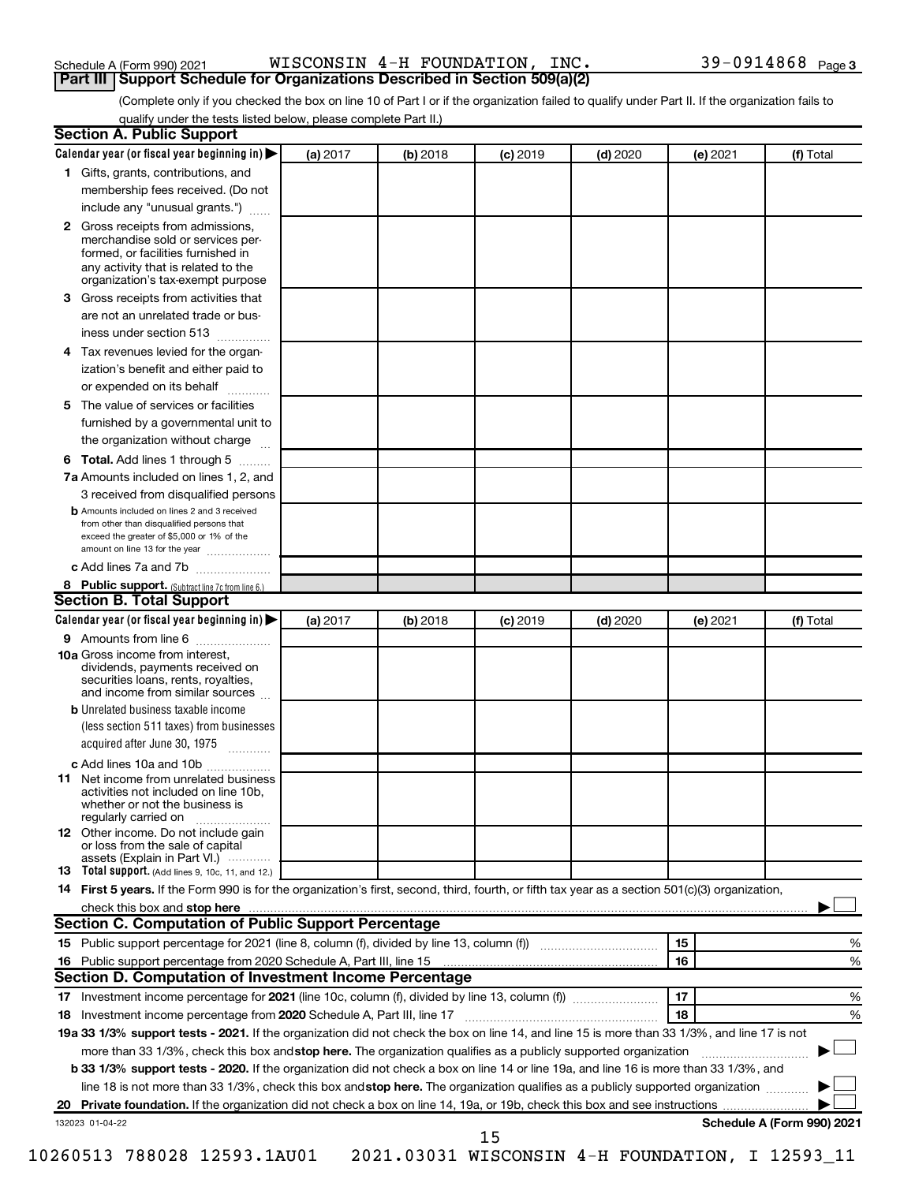| Schedule A (Form 990) 2021 |  |
|----------------------------|--|
|----------------------------|--|

| Schedule A (Form 990) 2021 |  |  |  |  | WISCONSIN 4-H FOUNDATION, INC. |  | $39 - 0914868$ Page 3 |  |
|----------------------------|--|--|--|--|--------------------------------|--|-----------------------|--|
|----------------------------|--|--|--|--|--------------------------------|--|-----------------------|--|

**Part III Support Schedule for Organizations Described in Section 509(a)(2)** 

(Complete only if you checked the box on line 10 of Part I or if the organization failed to qualify under Part II. If the organization fails to qualify under the tests listed below, please complete Part II.)

|    | Calendar year (or fiscal year beginning in)                                                                                                                                                                                   | (a) 2017 | (b) 2018 | $(c)$ 2019 | $(d)$ 2020 |    | (e) 2021 | (f) Total                  |
|----|-------------------------------------------------------------------------------------------------------------------------------------------------------------------------------------------------------------------------------|----------|----------|------------|------------|----|----------|----------------------------|
|    | 1 Gifts, grants, contributions, and                                                                                                                                                                                           |          |          |            |            |    |          |                            |
|    | membership fees received. (Do not                                                                                                                                                                                             |          |          |            |            |    |          |                            |
|    | include any "unusual grants.")                                                                                                                                                                                                |          |          |            |            |    |          |                            |
|    | 2 Gross receipts from admissions,<br>merchandise sold or services per-<br>formed, or facilities furnished in<br>any activity that is related to the                                                                           |          |          |            |            |    |          |                            |
|    | organization's tax-exempt purpose                                                                                                                                                                                             |          |          |            |            |    |          |                            |
| 3  | Gross receipts from activities that                                                                                                                                                                                           |          |          |            |            |    |          |                            |
|    | are not an unrelated trade or bus-<br>iness under section 513                                                                                                                                                                 |          |          |            |            |    |          |                            |
| 4  | Tax revenues levied for the organ-                                                                                                                                                                                            |          |          |            |            |    |          |                            |
|    | ization's benefit and either paid to<br>or expended on its behalf<br>.                                                                                                                                                        |          |          |            |            |    |          |                            |
| 5. | The value of services or facilities                                                                                                                                                                                           |          |          |            |            |    |          |                            |
|    | furnished by a governmental unit to<br>the organization without charge                                                                                                                                                        |          |          |            |            |    |          |                            |
|    |                                                                                                                                                                                                                               |          |          |            |            |    |          |                            |
| 6  | Total. Add lines 1 through 5                                                                                                                                                                                                  |          |          |            |            |    |          |                            |
|    | 7a Amounts included on lines 1, 2, and                                                                                                                                                                                        |          |          |            |            |    |          |                            |
|    | 3 received from disqualified persons<br><b>b</b> Amounts included on lines 2 and 3 received                                                                                                                                   |          |          |            |            |    |          |                            |
|    | from other than disqualified persons that<br>exceed the greater of \$5,000 or 1% of the<br>amount on line 13 for the year                                                                                                     |          |          |            |            |    |          |                            |
|    | c Add lines 7a and 7b                                                                                                                                                                                                         |          |          |            |            |    |          |                            |
|    | 8 Public support. (Subtract line 7c from line 6.)                                                                                                                                                                             |          |          |            |            |    |          |                            |
|    | <b>Section B. Total Support</b>                                                                                                                                                                                               |          |          |            |            |    |          |                            |
|    | Calendar year (or fiscal year beginning in)                                                                                                                                                                                   | (a) 2017 | (b) 2018 | $(c)$ 2019 | $(d)$ 2020 |    | (e) 2021 | (f) Total                  |
|    | 9 Amounts from line 6                                                                                                                                                                                                         |          |          |            |            |    |          |                            |
|    | <b>10a</b> Gross income from interest,<br>dividends, payments received on<br>securities loans, rents, royalties,<br>and income from similar sources                                                                           |          |          |            |            |    |          |                            |
|    | <b>b</b> Unrelated business taxable income                                                                                                                                                                                    |          |          |            |            |    |          |                            |
|    | (less section 511 taxes) from businesses<br>acquired after June 30, 1975                                                                                                                                                      |          |          |            |            |    |          |                            |
|    | c Add lines 10a and 10b                                                                                                                                                                                                       |          |          |            |            |    |          |                            |
| 11 | Net income from unrelated business<br>activities not included on line 10b.<br>whether or not the business is<br>regularly carried on                                                                                          |          |          |            |            |    |          |                            |
|    | <b>12</b> Other income. Do not include gain<br>or loss from the sale of capital                                                                                                                                               |          |          |            |            |    |          |                            |
|    | assets (Explain in Part VI.)<br><b>13</b> Total support. (Add lines 9, 10c, 11, and 12.)                                                                                                                                      |          |          |            |            |    |          |                            |
|    | 14 First 5 years. If the Form 990 is for the organization's first, second, third, fourth, or fifth tax year as a section 501(c)(3) organization,                                                                              |          |          |            |            |    |          |                            |
|    | check this box and stop here manufactured and stop here and stop here are manufactured and stop here and stop here and stop here and stop here and stop here and stop here and stop here and stop here and stop here and stop |          |          |            |            |    |          |                            |
|    | <b>Section C. Computation of Public Support Percentage</b>                                                                                                                                                                    |          |          |            |            |    |          |                            |
|    |                                                                                                                                                                                                                               |          |          |            |            | 15 |          | %                          |
|    |                                                                                                                                                                                                                               |          |          |            |            | 16 |          | %                          |
|    | Section D. Computation of Investment Income Percentage                                                                                                                                                                        |          |          |            |            |    |          |                            |
|    |                                                                                                                                                                                                                               |          |          |            |            | 17 |          |                            |
|    |                                                                                                                                                                                                                               |          |          |            |            |    |          | %                          |
|    |                                                                                                                                                                                                                               |          |          |            |            | 18 |          | %                          |
|    |                                                                                                                                                                                                                               |          |          |            |            |    |          |                            |
|    | 19a 33 1/3% support tests - 2021. If the organization did not check the box on line 14, and line 15 is more than 33 1/3%, and line 17 is not                                                                                  |          |          |            |            |    |          |                            |
|    | more than 33 1/3%, check this box and stop here. The organization qualifies as a publicly supported organization                                                                                                              |          |          |            |            |    |          |                            |
|    | <b>b 33 1/3% support tests - 2020.</b> If the organization did not check a box on line 14 or line 19a, and line 16 is more than 33 1/3%, and                                                                                  |          |          |            |            |    |          |                            |
|    | line 18 is not more than 33 1/3%, check this box and stop here. The organization qualifies as a publicly supported organization                                                                                               |          |          |            |            |    |          |                            |
|    | 132023 01-04-22                                                                                                                                                                                                               |          |          |            |            |    |          | Schedule A (Form 990) 2021 |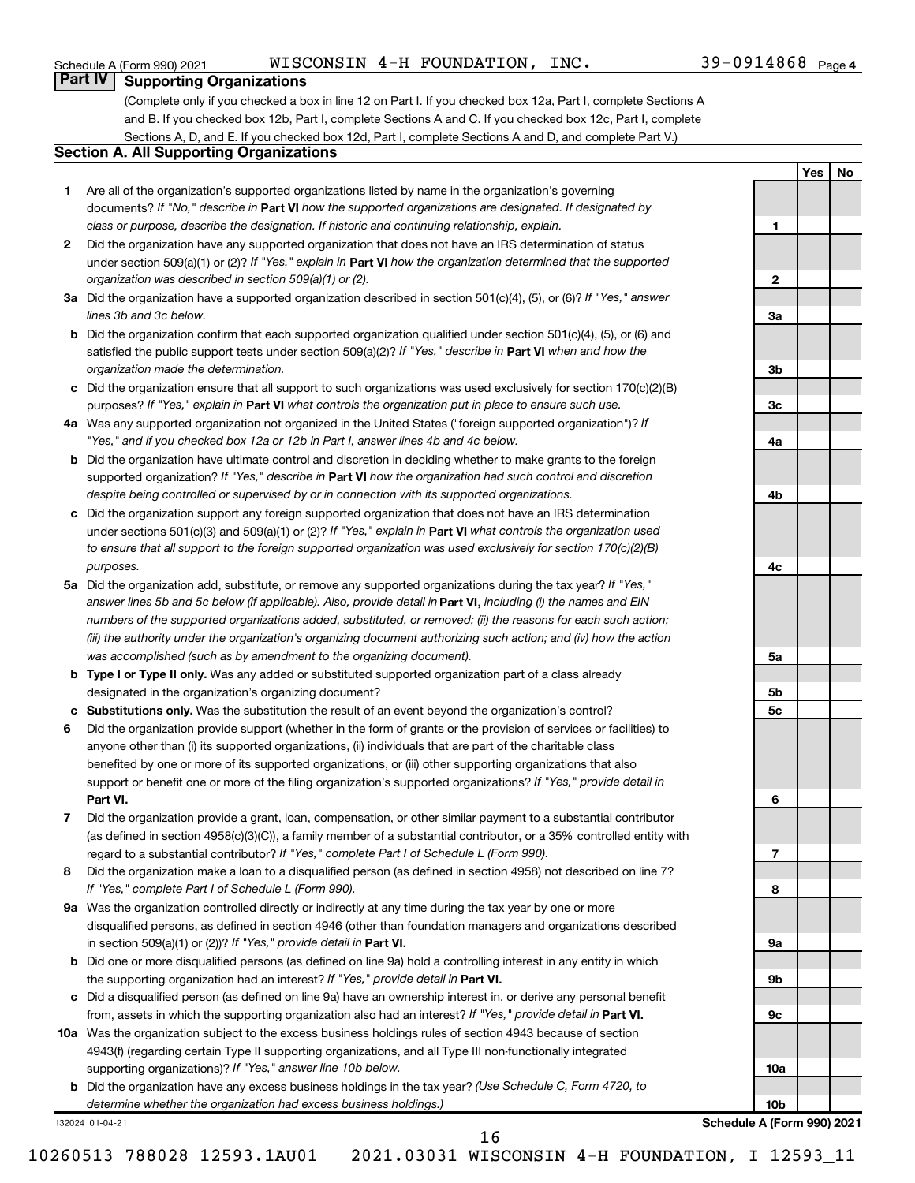## Schedule A (Form 990) 2021  $_{\rm WISCONSIM}$   $\rm 4-H$   $\rm FOUNDATION$  ,  $\rm INC.$   $\rm 39-0914868$   $_{\rm Page}$

**1**

**2**

**3a**

**3b**

**3c**

**4a**

**4b**

**4c**

**5a**

**5b 5c**

**6**

**7**

**8**

**9a**

**9b**

**9c**

**10a**

**Yes No**

## **Part IV Supporting Organizations**

(Complete only if you checked a box in line 12 on Part I. If you checked box 12a, Part I, complete Sections A and B. If you checked box 12b, Part I, complete Sections A and C. If you checked box 12c, Part I, complete Sections A, D, and E. If you checked box 12d, Part I, complete Sections A and D, and complete Part V.)

## **Section A. All Supporting Organizations**

- **1** Are all of the organization's supported organizations listed by name in the organization's governing documents? If "No," describe in Part VI how the supported organizations are designated. If designated by *class or purpose, describe the designation. If historic and continuing relationship, explain.*
- **2** Did the organization have any supported organization that does not have an IRS determination of status under section 509(a)(1) or (2)? If "Yes," explain in Part **VI** how the organization determined that the supported *organization was described in section 509(a)(1) or (2).*
- **3a** Did the organization have a supported organization described in section 501(c)(4), (5), or (6)? If "Yes," answer *lines 3b and 3c below.*
- **b** Did the organization confirm that each supported organization qualified under section 501(c)(4), (5), or (6) and satisfied the public support tests under section 509(a)(2)? If "Yes," describe in Part VI when and how the *organization made the determination.*
- **c** Did the organization ensure that all support to such organizations was used exclusively for section 170(c)(2)(B) purposes? If "Yes," explain in Part VI what controls the organization put in place to ensure such use.
- **4 a** *If* Was any supported organization not organized in the United States ("foreign supported organization")? *"Yes," and if you checked box 12a or 12b in Part I, answer lines 4b and 4c below.*
- **b** Did the organization have ultimate control and discretion in deciding whether to make grants to the foreign supported organization? If "Yes," describe in Part VI how the organization had such control and discretion *despite being controlled or supervised by or in connection with its supported organizations.*
- **c** Did the organization support any foreign supported organization that does not have an IRS determination under sections 501(c)(3) and 509(a)(1) or (2)? If "Yes," explain in Part VI what controls the organization used *to ensure that all support to the foreign supported organization was used exclusively for section 170(c)(2)(B) purposes.*
- **5a** Did the organization add, substitute, or remove any supported organizations during the tax year? If "Yes," answer lines 5b and 5c below (if applicable). Also, provide detail in **Part VI,** including (i) the names and EIN *numbers of the supported organizations added, substituted, or removed; (ii) the reasons for each such action; (iii) the authority under the organization's organizing document authorizing such action; and (iv) how the action was accomplished (such as by amendment to the organizing document).*
- **b Type I or Type II only.** Was any added or substituted supported organization part of a class already designated in the organization's organizing document?
- **c Substitutions only.**  Was the substitution the result of an event beyond the organization's control?
- **6** Did the organization provide support (whether in the form of grants or the provision of services or facilities) to **Part VI.** support or benefit one or more of the filing organization's supported organizations? If "Yes," provide detail in anyone other than (i) its supported organizations, (ii) individuals that are part of the charitable class benefited by one or more of its supported organizations, or (iii) other supporting organizations that also
- **7** Did the organization provide a grant, loan, compensation, or other similar payment to a substantial contributor regard to a substantial contributor? If "Yes," complete Part I of Schedule L (Form 990). (as defined in section 4958(c)(3)(C)), a family member of a substantial contributor, or a 35% controlled entity with
- **8** Did the organization make a loan to a disqualified person (as defined in section 4958) not described on line 7? *If "Yes," complete Part I of Schedule L (Form 990).*
- **9 a** Was the organization controlled directly or indirectly at any time during the tax year by one or more in section 509(a)(1) or (2))? If "Yes," provide detail in **Part VI.** disqualified persons, as defined in section 4946 (other than foundation managers and organizations described
- **b** Did one or more disqualified persons (as defined on line 9a) hold a controlling interest in any entity in which the supporting organization had an interest? If "Yes," provide detail in Part VI.
- **c** Did a disqualified person (as defined on line 9a) have an ownership interest in, or derive any personal benefit from, assets in which the supporting organization also had an interest? If "Yes," provide detail in Part VI.
- **10 a** Was the organization subject to the excess business holdings rules of section 4943 because of section supporting organizations)? If "Yes," answer line 10b below. 4943(f) (regarding certain Type II supporting organizations, and all Type III non-functionally integrated
	- **b** Did the organization have any excess business holdings in the tax year? (Use Schedule C, Form 4720, to *determine whether the organization had excess business holdings.)*

132024 01-04-21

**10b Schedule A (Form 990) 2021**

16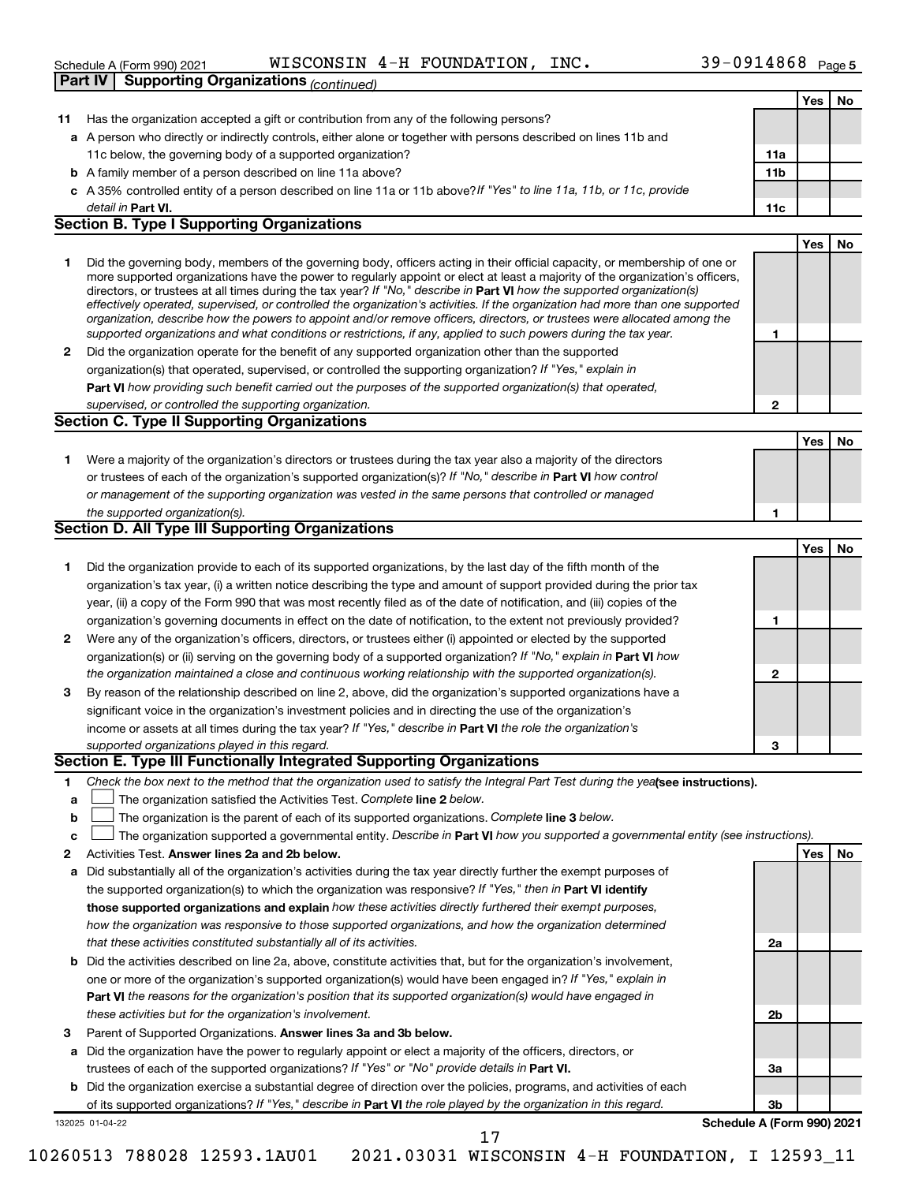|    | Part IV   Supporting Organizations (continued)                                                                                                                                                                                                           |              |            |    |
|----|----------------------------------------------------------------------------------------------------------------------------------------------------------------------------------------------------------------------------------------------------------|--------------|------------|----|
|    |                                                                                                                                                                                                                                                          |              | Yes        | No |
| 11 | Has the organization accepted a gift or contribution from any of the following persons?                                                                                                                                                                  |              |            |    |
|    | a A person who directly or indirectly controls, either alone or together with persons described on lines 11b and                                                                                                                                         |              |            |    |
|    | 11c below, the governing body of a supported organization?                                                                                                                                                                                               | 11a          |            |    |
|    | <b>b</b> A family member of a person described on line 11a above?                                                                                                                                                                                        | 11b          |            |    |
|    | c A 35% controlled entity of a person described on line 11a or 11b above?If "Yes" to line 11a, 11b, or 11c, provide                                                                                                                                      |              |            |    |
|    | detail in Part VI.                                                                                                                                                                                                                                       | 11c          |            |    |
|    | <b>Section B. Type I Supporting Organizations</b>                                                                                                                                                                                                        |              |            |    |
|    |                                                                                                                                                                                                                                                          |              | <b>Yes</b> | No |
| 1  | Did the governing body, members of the governing body, officers acting in their official capacity, or membership of one or                                                                                                                               |              |            |    |
|    | more supported organizations have the power to regularly appoint or elect at least a majority of the organization's officers,<br>directors, or trustees at all times during the tax year? If "No," describe in Part VI how the supported organization(s) |              |            |    |
|    | effectively operated, supervised, or controlled the organization's activities. If the organization had more than one supported                                                                                                                           |              |            |    |
|    | organization, describe how the powers to appoint and/or remove officers, directors, or trustees were allocated among the                                                                                                                                 |              |            |    |
|    | supported organizations and what conditions or restrictions, if any, applied to such powers during the tax year.                                                                                                                                         | 1            |            |    |
| 2  | Did the organization operate for the benefit of any supported organization other than the supported                                                                                                                                                      |              |            |    |
|    | organization(s) that operated, supervised, or controlled the supporting organization? If "Yes," explain in                                                                                                                                               |              |            |    |
|    | Part VI how providing such benefit carried out the purposes of the supported organization(s) that operated,                                                                                                                                              |              |            |    |
|    | supervised, or controlled the supporting organization.                                                                                                                                                                                                   | 2            |            |    |
|    | <b>Section C. Type II Supporting Organizations</b>                                                                                                                                                                                                       |              |            |    |
|    |                                                                                                                                                                                                                                                          |              | Yes        | No |
| 1. | Were a majority of the organization's directors or trustees during the tax year also a majority of the directors                                                                                                                                         |              |            |    |
|    | or trustees of each of the organization's supported organization(s)? If "No," describe in Part VI how control                                                                                                                                            |              |            |    |
|    | or management of the supporting organization was vested in the same persons that controlled or managed                                                                                                                                                   |              |            |    |
|    | the supported organization(s).                                                                                                                                                                                                                           | 1            |            |    |
|    | <b>Section D. All Type III Supporting Organizations</b>                                                                                                                                                                                                  |              |            |    |
|    |                                                                                                                                                                                                                                                          |              | Yes        | No |
| 1  | Did the organization provide to each of its supported organizations, by the last day of the fifth month of the                                                                                                                                           |              |            |    |
|    | organization's tax year, (i) a written notice describing the type and amount of support provided during the prior tax                                                                                                                                    |              |            |    |
|    | year, (ii) a copy of the Form 990 that was most recently filed as of the date of notification, and (iii) copies of the                                                                                                                                   |              |            |    |
|    | organization's governing documents in effect on the date of notification, to the extent not previously provided?                                                                                                                                         | 1            |            |    |
| 2  | Were any of the organization's officers, directors, or trustees either (i) appointed or elected by the supported                                                                                                                                         |              |            |    |
|    | organization(s) or (ii) serving on the governing body of a supported organization? If "No," explain in Part VI how                                                                                                                                       |              |            |    |
|    | the organization maintained a close and continuous working relationship with the supported organization(s).                                                                                                                                              | $\mathbf{2}$ |            |    |
| 3  | By reason of the relationship described on line 2, above, did the organization's supported organizations have a                                                                                                                                          |              |            |    |
|    | significant voice in the organization's investment policies and in directing the use of the organization's                                                                                                                                               |              |            |    |
|    | income or assets at all times during the tax year? If "Yes," describe in Part VI the role the organization's                                                                                                                                             |              |            |    |
|    | supported organizations played in this regard.                                                                                                                                                                                                           | 3            |            |    |
|    | Section E. Type III Functionally Integrated Supporting Organizations                                                                                                                                                                                     |              |            |    |
| 1. | Check the box next to the method that the organization used to satisfy the Integral Part Test during the yealsee instructions).                                                                                                                          |              |            |    |
| a  | The organization satisfied the Activities Test. Complete line 2 below.                                                                                                                                                                                   |              |            |    |
| b  | The organization is the parent of each of its supported organizations. Complete line 3 below.                                                                                                                                                            |              |            |    |
| c  | The organization supported a governmental entity. Describe in Part VI how you supported a governmental entity (see instructions).                                                                                                                        |              |            |    |
| 2  | Activities Test. Answer lines 2a and 2b below.                                                                                                                                                                                                           |              | Yes        | No |
| a  | Did substantially all of the organization's activities during the tax year directly further the exempt purposes of                                                                                                                                       |              |            |    |
|    | the supported organization(s) to which the organization was responsive? If "Yes," then in Part VI identify                                                                                                                                               |              |            |    |
|    | those supported organizations and explain how these activities directly furthered their exempt purposes,                                                                                                                                                 |              |            |    |
|    | how the organization was responsive to those supported organizations, and how the organization determined                                                                                                                                                |              |            |    |
|    | that these activities constituted substantially all of its activities.                                                                                                                                                                                   | 2a           |            |    |
|    | <b>b</b> Did the activities described on line 2a, above, constitute activities that, but for the organization's involvement,                                                                                                                             |              |            |    |
|    | one or more of the organization's supported organization(s) would have been engaged in? If "Yes," explain in                                                                                                                                             |              |            |    |
|    | <b>Part VI</b> the reasons for the organization's position that its supported organization(s) would have engaged in                                                                                                                                      |              |            |    |
|    | these activities but for the organization's involvement.                                                                                                                                                                                                 | 2b           |            |    |
| з  | Parent of Supported Organizations. Answer lines 3a and 3b below.                                                                                                                                                                                         |              |            |    |
| a  | Did the organization have the power to regularly appoint or elect a majority of the officers, directors, or                                                                                                                                              |              |            |    |
|    | trustees of each of the supported organizations? If "Yes" or "No" provide details in Part VI.                                                                                                                                                            | За           |            |    |

**b** Did the organization exercise a substantial degree of direction over the policies, programs, and activities of each of its supported organizations? If "Yes," describe in Part VI the role played by the organization in this regard.

132025 01-04-22

**3b Schedule A (Form 990) 2021**

17

10260513 788028 12593.1AU01 2021.03031 WISCONSIN 4-H FOUNDATION, I 12593\_11

|  | <b>Part IV</b> Supporting Organizations $_{(continued)}$ |  |
|--|----------------------------------------------------------|--|
|  |                                                          |  |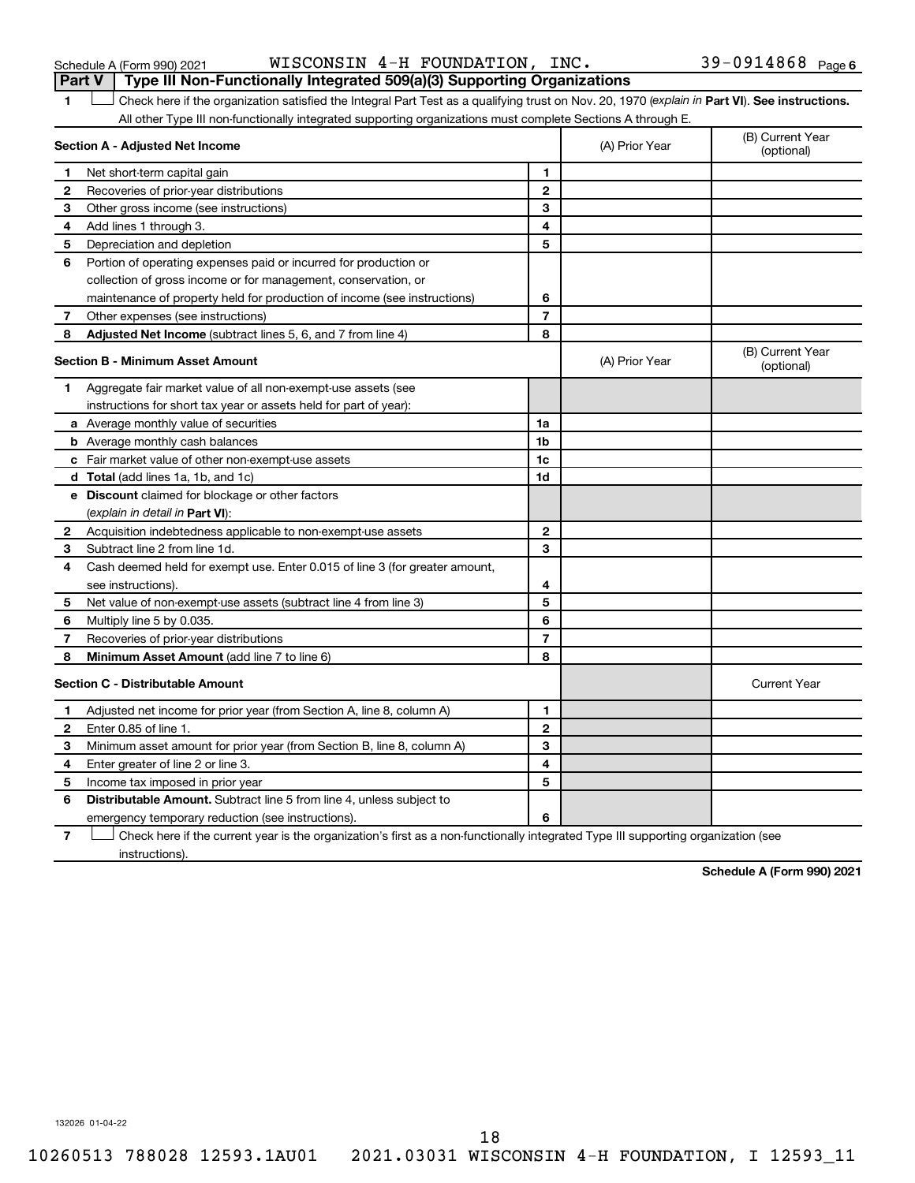| Schedule A (Form 990) 2021 |  |  |
|----------------------------|--|--|
|----------------------------|--|--|

Schedule A (Form 990) 2021 Page WISCONSIN 4-H FOUNDATION, INC. 39-0914868

|              | Part V<br>Type III Non-Functionally Integrated 509(a)(3) Supporting Organizations                                                              |                |                                |                     |
|--------------|------------------------------------------------------------------------------------------------------------------------------------------------|----------------|--------------------------------|---------------------|
| 1            | Check here if the organization satisfied the Integral Part Test as a qualifying trust on Nov. 20, 1970 (explain in Part VI). See instructions. |                |                                |                     |
|              | All other Type III non-functionally integrated supporting organizations must complete Sections A through E.                                    |                |                                |                     |
|              | Section A - Adjusted Net Income                                                                                                                | (A) Prior Year | (B) Current Year<br>(optional) |                     |
| 1            | Net short-term capital gain                                                                                                                    | 1              |                                |                     |
| $\mathbf{2}$ | Recoveries of prior-year distributions                                                                                                         | $\overline{2}$ |                                |                     |
| З            | Other gross income (see instructions)                                                                                                          | 3              |                                |                     |
| 4            | Add lines 1 through 3.                                                                                                                         | 4              |                                |                     |
| 5            | Depreciation and depletion                                                                                                                     | 5              |                                |                     |
| 6            | Portion of operating expenses paid or incurred for production or                                                                               |                |                                |                     |
|              | collection of gross income or for management, conservation, or                                                                                 |                |                                |                     |
|              | maintenance of property held for production of income (see instructions)                                                                       | 6              |                                |                     |
| 7            | Other expenses (see instructions)                                                                                                              | $\overline{7}$ |                                |                     |
| 8            | <b>Adjusted Net Income</b> (subtract lines 5, 6, and 7 from line 4)                                                                            | 8              |                                |                     |
|              | <b>Section B - Minimum Asset Amount</b>                                                                                                        | (A) Prior Year | (B) Current Year<br>(optional) |                     |
| 1.           | Aggregate fair market value of all non-exempt-use assets (see                                                                                  |                |                                |                     |
|              | instructions for short tax year or assets held for part of year):                                                                              |                |                                |                     |
|              | a Average monthly value of securities                                                                                                          | 1a             |                                |                     |
|              | <b>b</b> Average monthly cash balances                                                                                                         | 1b             |                                |                     |
|              | <b>c</b> Fair market value of other non-exempt-use assets                                                                                      | 1c             |                                |                     |
|              | <b>d</b> Total (add lines 1a, 1b, and 1c)                                                                                                      | 1d             |                                |                     |
|              | e Discount claimed for blockage or other factors                                                                                               |                |                                |                     |
|              | (explain in detail in <b>Part VI</b> ):                                                                                                        |                |                                |                     |
| 2            | Acquisition indebtedness applicable to non-exempt-use assets                                                                                   | $\mathbf{2}$   |                                |                     |
| з            | Subtract line 2 from line 1d.                                                                                                                  | 3              |                                |                     |
| 4            | Cash deemed held for exempt use. Enter 0.015 of line 3 (for greater amount,                                                                    |                |                                |                     |
|              | see instructions).                                                                                                                             | 4              |                                |                     |
| 5            | Net value of non-exempt-use assets (subtract line 4 from line 3)                                                                               | 5              |                                |                     |
| 6            | Multiply line 5 by 0.035.                                                                                                                      | 6              |                                |                     |
| 7            | Recoveries of prior-year distributions                                                                                                         | 7              |                                |                     |
| 8            | <b>Minimum Asset Amount (add line 7 to line 6)</b>                                                                                             | 8              |                                |                     |
|              | <b>Section C - Distributable Amount</b>                                                                                                        |                |                                | <b>Current Year</b> |
| 1            | Adjusted net income for prior year (from Section A, line 8, column A)                                                                          | 1              |                                |                     |
| $\mathbf{2}$ | Enter 0.85 of line 1.                                                                                                                          | $\mathbf{2}$   |                                |                     |
| З            | Minimum asset amount for prior year (from Section B, line 8, column A)                                                                         | 3              |                                |                     |
| 4            | Enter greater of line 2 or line 3.                                                                                                             | 4              |                                |                     |
| 5            | Income tax imposed in prior year                                                                                                               | 5              |                                |                     |
| 6            | <b>Distributable Amount.</b> Subtract line 5 from line 4, unless subject to                                                                    |                |                                |                     |
|              | emergency temporary reduction (see instructions).                                                                                              | 6              |                                |                     |
|              |                                                                                                                                                |                |                                |                     |

**7** Let Check here if the current year is the organization's first as a non-functionally integrated Type III supporting organization (see instructions).

**Schedule A (Form 990) 2021**

132026 01-04-22

10260513 788028 12593.1AU01 2021.03031 WISCONSIN 4-H FOUNDATION, I 12593\_11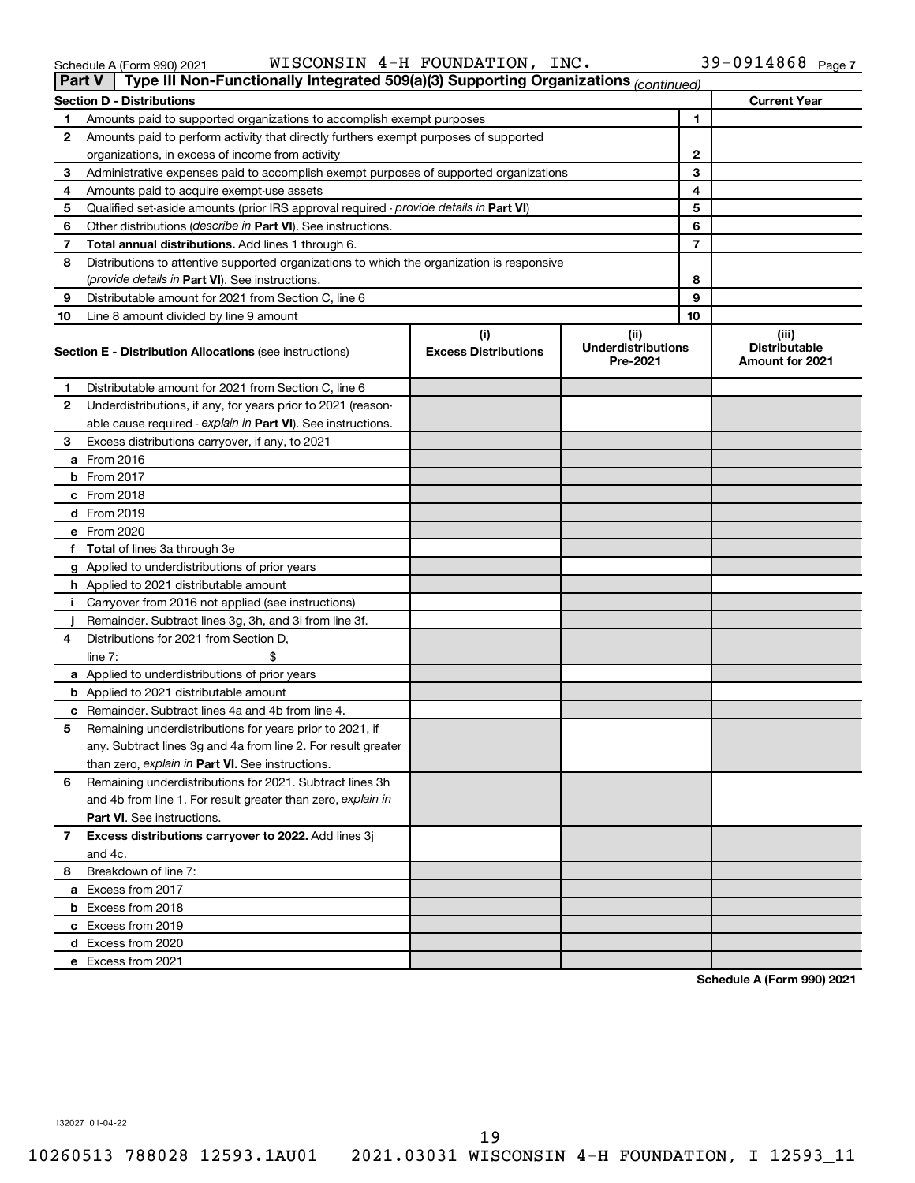|    | Type III Non-Functionally Integrated 509(a)(3) Supporting Organizations (continued)<br><b>Part V</b> |                                    |                                               |                                                         |
|----|------------------------------------------------------------------------------------------------------|------------------------------------|-----------------------------------------------|---------------------------------------------------------|
|    | <b>Section D - Distributions</b>                                                                     |                                    |                                               | <b>Current Year</b>                                     |
| 1  | Amounts paid to supported organizations to accomplish exempt purposes                                | 1                                  |                                               |                                                         |
| 2  | Amounts paid to perform activity that directly furthers exempt purposes of supported                 |                                    |                                               |                                                         |
|    | organizations, in excess of income from activity                                                     | 2                                  |                                               |                                                         |
| 3  | Administrative expenses paid to accomplish exempt purposes of supported organizations                |                                    | 3                                             |                                                         |
| 4  | Amounts paid to acquire exempt-use assets                                                            |                                    | 4                                             |                                                         |
| 5  | Qualified set-aside amounts (prior IRS approval required - provide details in Part VI)               |                                    | 5                                             |                                                         |
| 6  | Other distributions (describe in Part VI). See instructions.                                         |                                    | 6                                             |                                                         |
| 7  | Total annual distributions. Add lines 1 through 6.                                                   |                                    | 7                                             |                                                         |
| 8  | Distributions to attentive supported organizations to which the organization is responsive           |                                    |                                               |                                                         |
|    | (provide details in Part VI). See instructions.                                                      |                                    | 8                                             |                                                         |
| 9  | Distributable amount for 2021 from Section C, line 6                                                 |                                    | 9                                             |                                                         |
| 10 | Line 8 amount divided by line 9 amount                                                               |                                    | 10                                            |                                                         |
|    | <b>Section E - Distribution Allocations (see instructions)</b>                                       | (i)<br><b>Excess Distributions</b> | (ii)<br><b>Underdistributions</b><br>Pre-2021 | (iii)<br><b>Distributable</b><br><b>Amount for 2021</b> |
| 1  | Distributable amount for 2021 from Section C, line 6                                                 |                                    |                                               |                                                         |
| 2  | Underdistributions, if any, for years prior to 2021 (reason-                                         |                                    |                                               |                                                         |
|    | able cause required - explain in Part VI). See instructions.                                         |                                    |                                               |                                                         |
| 3  | Excess distributions carryover, if any, to 2021                                                      |                                    |                                               |                                                         |
|    | a From 2016                                                                                          |                                    |                                               |                                                         |
|    | <b>b</b> From 2017                                                                                   |                                    |                                               |                                                         |
|    | c From 2018                                                                                          |                                    |                                               |                                                         |
|    | d From 2019                                                                                          |                                    |                                               |                                                         |
|    | e From 2020                                                                                          |                                    |                                               |                                                         |
|    | f Total of lines 3a through 3e                                                                       |                                    |                                               |                                                         |
|    | g Applied to underdistributions of prior years                                                       |                                    |                                               |                                                         |
|    | <b>h</b> Applied to 2021 distributable amount                                                        |                                    |                                               |                                                         |
| Ť. | Carryover from 2016 not applied (see instructions)                                                   |                                    |                                               |                                                         |
|    | Remainder. Subtract lines 3g, 3h, and 3i from line 3f.                                               |                                    |                                               |                                                         |
| 4  | Distributions for 2021 from Section D,                                                               |                                    |                                               |                                                         |
|    | line $7:$                                                                                            |                                    |                                               |                                                         |
|    | a Applied to underdistributions of prior years                                                       |                                    |                                               |                                                         |
|    | <b>b</b> Applied to 2021 distributable amount                                                        |                                    |                                               |                                                         |
|    | c Remainder. Subtract lines 4a and 4b from line 4.                                                   |                                    |                                               |                                                         |
| 5  | Remaining underdistributions for years prior to 2021, if                                             |                                    |                                               |                                                         |
|    | any. Subtract lines 3g and 4a from line 2. For result greater                                        |                                    |                                               |                                                         |
|    | than zero, explain in Part VI. See instructions.                                                     |                                    |                                               |                                                         |
| 6  | Remaining underdistributions for 2021. Subtract lines 3h                                             |                                    |                                               |                                                         |
|    | and 4b from line 1. For result greater than zero, explain in                                         |                                    |                                               |                                                         |
|    | <b>Part VI.</b> See instructions.                                                                    |                                    |                                               |                                                         |
| 7  | Excess distributions carryover to 2022. Add lines 3j                                                 |                                    |                                               |                                                         |
|    | and 4c.                                                                                              |                                    |                                               |                                                         |
| 8  | Breakdown of line 7:                                                                                 |                                    |                                               |                                                         |
|    | a Excess from 2017                                                                                   |                                    |                                               |                                                         |
|    | <b>b</b> Excess from 2018                                                                            |                                    |                                               |                                                         |
|    | c Excess from 2019                                                                                   |                                    |                                               |                                                         |
|    | d Excess from 2020                                                                                   |                                    |                                               |                                                         |
|    | e Excess from 2021                                                                                   |                                    |                                               |                                                         |

**Schedule A (Form 990) 2021**

132027 01-04-22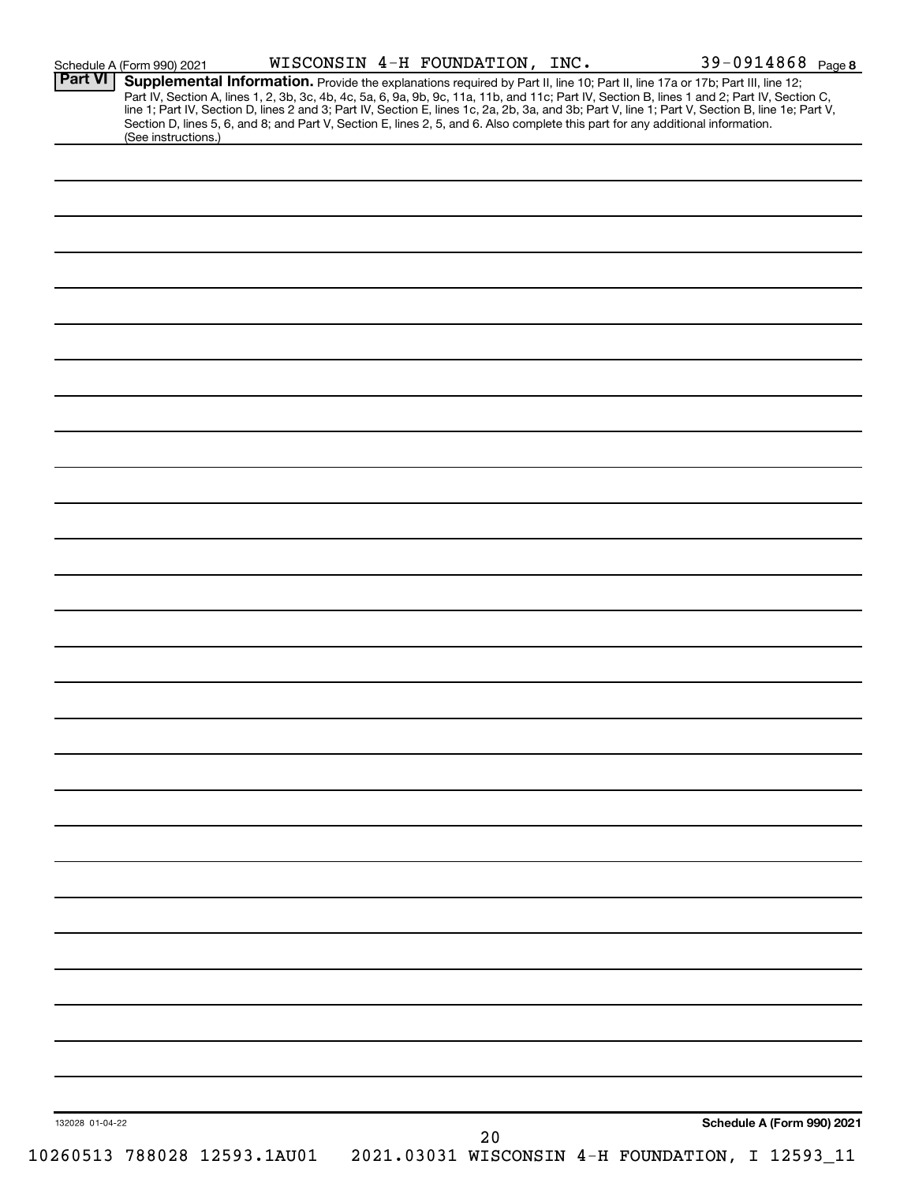| <b>Part VI</b>  | Schedule A (Form 990) 2021  |  | WISCONSIN 4-H FOUNDATION, INC. |    |                                                                                                                                                                                                                                                                               | 39-0914868 Page 8          |
|-----------------|-----------------------------|--|--------------------------------|----|-------------------------------------------------------------------------------------------------------------------------------------------------------------------------------------------------------------------------------------------------------------------------------|----------------------------|
|                 |                             |  |                                |    | Supplemental Information. Provide the explanations required by Part II, line 10; Part II, line 17a or 17b; Part III, line 12;<br>Part IV, Section A, lines 1, 2, 3b, 3c, 4b, 4c, 5a, 6, 9a, 9b, 9c, 11a, 11b, and 11c; Part IV, Section B, lines 1 and 2; Part IV, Section C, |                            |
|                 |                             |  |                                |    | line 1; Part IV, Section D, lines 2 and 3; Part IV, Section E, lines 1c, 2a, 2b, 3a, and 3b; Part V, line 1; Part V, Section B, line 1e; Part V,                                                                                                                              |                            |
|                 |                             |  |                                |    | Section D, lines 5, 6, and 8; and Part V, Section E, lines 2, 5, and 6. Also complete this part for any additional information.                                                                                                                                               |                            |
|                 | (See instructions.)         |  |                                |    |                                                                                                                                                                                                                                                                               |                            |
|                 |                             |  |                                |    |                                                                                                                                                                                                                                                                               |                            |
|                 |                             |  |                                |    |                                                                                                                                                                                                                                                                               |                            |
|                 |                             |  |                                |    |                                                                                                                                                                                                                                                                               |                            |
|                 |                             |  |                                |    |                                                                                                                                                                                                                                                                               |                            |
|                 |                             |  |                                |    |                                                                                                                                                                                                                                                                               |                            |
|                 |                             |  |                                |    |                                                                                                                                                                                                                                                                               |                            |
|                 |                             |  |                                |    |                                                                                                                                                                                                                                                                               |                            |
|                 |                             |  |                                |    |                                                                                                                                                                                                                                                                               |                            |
|                 |                             |  |                                |    |                                                                                                                                                                                                                                                                               |                            |
|                 |                             |  |                                |    |                                                                                                                                                                                                                                                                               |                            |
|                 |                             |  |                                |    |                                                                                                                                                                                                                                                                               |                            |
|                 |                             |  |                                |    |                                                                                                                                                                                                                                                                               |                            |
|                 |                             |  |                                |    |                                                                                                                                                                                                                                                                               |                            |
|                 |                             |  |                                |    |                                                                                                                                                                                                                                                                               |                            |
|                 |                             |  |                                |    |                                                                                                                                                                                                                                                                               |                            |
|                 |                             |  |                                |    |                                                                                                                                                                                                                                                                               |                            |
|                 |                             |  |                                |    |                                                                                                                                                                                                                                                                               |                            |
|                 |                             |  |                                |    |                                                                                                                                                                                                                                                                               |                            |
|                 |                             |  |                                |    |                                                                                                                                                                                                                                                                               |                            |
|                 |                             |  |                                |    |                                                                                                                                                                                                                                                                               |                            |
|                 |                             |  |                                |    |                                                                                                                                                                                                                                                                               |                            |
|                 |                             |  |                                |    |                                                                                                                                                                                                                                                                               |                            |
|                 |                             |  |                                |    |                                                                                                                                                                                                                                                                               |                            |
|                 |                             |  |                                |    |                                                                                                                                                                                                                                                                               |                            |
|                 |                             |  |                                |    |                                                                                                                                                                                                                                                                               |                            |
|                 |                             |  |                                |    |                                                                                                                                                                                                                                                                               |                            |
|                 |                             |  |                                |    |                                                                                                                                                                                                                                                                               |                            |
|                 |                             |  |                                |    |                                                                                                                                                                                                                                                                               |                            |
|                 |                             |  |                                |    |                                                                                                                                                                                                                                                                               |                            |
|                 |                             |  |                                |    |                                                                                                                                                                                                                                                                               |                            |
|                 |                             |  |                                |    |                                                                                                                                                                                                                                                                               |                            |
|                 |                             |  |                                |    |                                                                                                                                                                                                                                                                               |                            |
|                 |                             |  |                                |    |                                                                                                                                                                                                                                                                               |                            |
|                 |                             |  |                                |    |                                                                                                                                                                                                                                                                               |                            |
|                 |                             |  |                                |    |                                                                                                                                                                                                                                                                               |                            |
|                 |                             |  |                                |    |                                                                                                                                                                                                                                                                               |                            |
|                 |                             |  |                                |    |                                                                                                                                                                                                                                                                               |                            |
|                 |                             |  |                                |    |                                                                                                                                                                                                                                                                               |                            |
|                 |                             |  |                                |    |                                                                                                                                                                                                                                                                               |                            |
|                 |                             |  |                                |    |                                                                                                                                                                                                                                                                               |                            |
|                 |                             |  |                                |    |                                                                                                                                                                                                                                                                               |                            |
|                 |                             |  |                                |    |                                                                                                                                                                                                                                                                               |                            |
|                 |                             |  |                                |    |                                                                                                                                                                                                                                                                               |                            |
|                 |                             |  |                                |    |                                                                                                                                                                                                                                                                               |                            |
|                 |                             |  |                                |    |                                                                                                                                                                                                                                                                               |                            |
|                 |                             |  |                                |    |                                                                                                                                                                                                                                                                               |                            |
|                 |                             |  |                                |    |                                                                                                                                                                                                                                                                               |                            |
|                 |                             |  |                                |    |                                                                                                                                                                                                                                                                               |                            |
|                 |                             |  |                                |    |                                                                                                                                                                                                                                                                               |                            |
|                 |                             |  |                                |    |                                                                                                                                                                                                                                                                               |                            |
|                 |                             |  |                                |    |                                                                                                                                                                                                                                                                               |                            |
|                 |                             |  |                                |    |                                                                                                                                                                                                                                                                               |                            |
|                 |                             |  |                                |    |                                                                                                                                                                                                                                                                               |                            |
|                 |                             |  |                                |    |                                                                                                                                                                                                                                                                               |                            |
| 132028 01-04-22 |                             |  |                                |    |                                                                                                                                                                                                                                                                               | Schedule A (Form 990) 2021 |
|                 |                             |  |                                | 20 |                                                                                                                                                                                                                                                                               |                            |
|                 | 10260513 788028 12593.1AU01 |  |                                |    | 2021.03031 WISCONSIN 4-H FOUNDATION, I 12593_11                                                                                                                                                                                                                               |                            |
|                 |                             |  |                                |    |                                                                                                                                                                                                                                                                               |                            |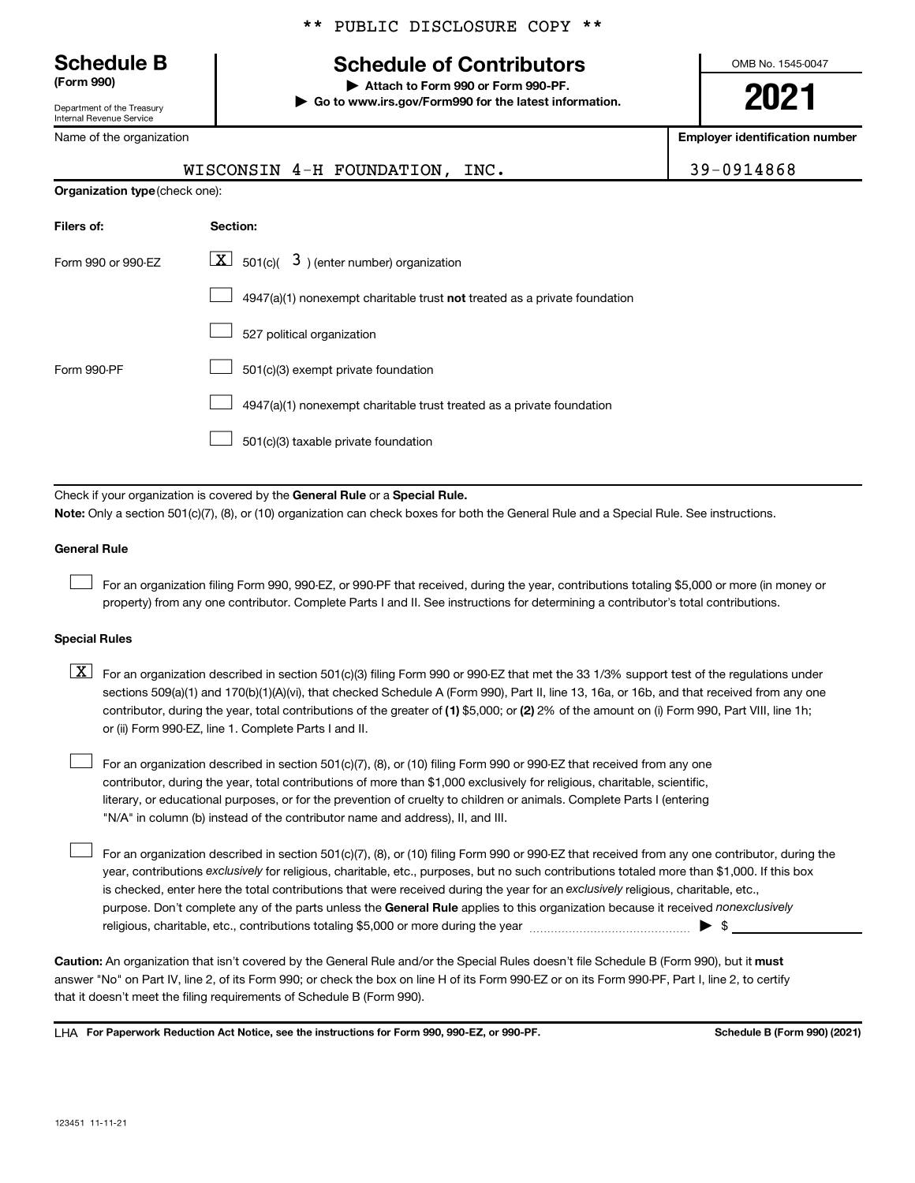$\Box$ 

123451 11-11-21

Department of the Treasury Internal Revenue Service

Name of the organization

## \*\* PUBLIC DISCLOSURE COPY \*\*

## **Schedule B Schedule of Contributors**

**(Form 990) | Attach to Form 990 or Form 990-PF. | Go to www.irs.gov/Form990 for the latest information.** OMB No. 1545-0047

**Employer identification number**

|                                | WISCONSIN 4-H FOUNDATION, INC.                                               | 39-0914868 |  |  |  |  |
|--------------------------------|------------------------------------------------------------------------------|------------|--|--|--|--|
| Organization type (check one): |                                                                              |            |  |  |  |  |
| Filers of:                     | Section:                                                                     |            |  |  |  |  |
| Form 990 or 990-EZ             | $ \mathbf{X} $ 501(c)( 3) (enter number) organization                        |            |  |  |  |  |
|                                | $4947(a)(1)$ nonexempt charitable trust not treated as a private foundation  |            |  |  |  |  |
|                                | 527 political organization                                                   |            |  |  |  |  |
| Form 990-PF                    | 501(c)(3) exempt private foundation                                          |            |  |  |  |  |
|                                | 4947(a)(1) nonexempt charitable trust treated as a private foundation        |            |  |  |  |  |
|                                | 501(c)(3) taxable private foundation                                         |            |  |  |  |  |
|                                |                                                                              |            |  |  |  |  |
|                                | Check if your organization is covered by the General Rule or a Special Rule. |            |  |  |  |  |

**Note:**  Only a section 501(c)(7), (8), or (10) organization can check boxes for both the General Rule and a Special Rule. See instructions.

### **General Rule**

 $\Box$ 

For an organization filing Form 990, 990-EZ, or 990-PF that received, during the year, contributions totaling \$5,000 or more (in money or property) from any one contributor. Complete Parts I and II. See instructions for determining a contributor's total contributions.

### **Special Rules**

contributor, during the year, total contributions of the greater of (1) \$5,000; or (2) 2% of the amount on (i) Form 990, Part VIII, line 1h;  $\boxed{\text{X}}$  For an organization described in section 501(c)(3) filing Form 990 or 990-EZ that met the 33 1/3% support test of the regulations under sections 509(a)(1) and 170(b)(1)(A)(vi), that checked Schedule A (Form 990), Part II, line 13, 16a, or 16b, and that received from any one or (ii) Form 990-EZ, line 1. Complete Parts I and II.

For an organization described in section 501(c)(7), (8), or (10) filing Form 990 or 990-EZ that received from any one contributor, during the year, total contributions of more than \$1,000 exclusively for religious, charitable, scientific, literary, or educational purposes, or for the prevention of cruelty to children or animals. Complete Parts I (entering "N/A" in column (b) instead of the contributor name and address), II, and III.  $\Box$ 

purpose. Don't complete any of the parts unless the General Rule applies to this organization because it received nonexclusively year, contributions exclusively for religious, charitable, etc., purposes, but no such contributions totaled more than \$1,000. If this box is checked, enter here the total contributions that were received during the year for an exclusively religious, charitable, etc., For an organization described in section 501(c)(7), (8), or (10) filing Form 990 or 990-EZ that received from any one contributor, during the religious, charitable, etc., contributions totaling \$5,000 or more during the year  $~\ldots\ldots\ldots\ldots\ldots\ldots\ldots\ldots\blacktriangleright~$ \$

Caution: An organization that isn't covered by the General Rule and/or the Special Rules doesn't file Schedule B (Form 990), but it must answer "No" on Part IV, line 2, of its Form 990; or check the box on line H of its Form 990-EZ or on its Form 990-PF, Part I, line 2, to certify that it doesn't meet the filing requirements of Schedule B (Form 990).

LHA For Paperwork Reduction Act Notice, see the instructions for Form 990, 990-EZ, or 990-PF. **Schell B (Form 990)** (2021)

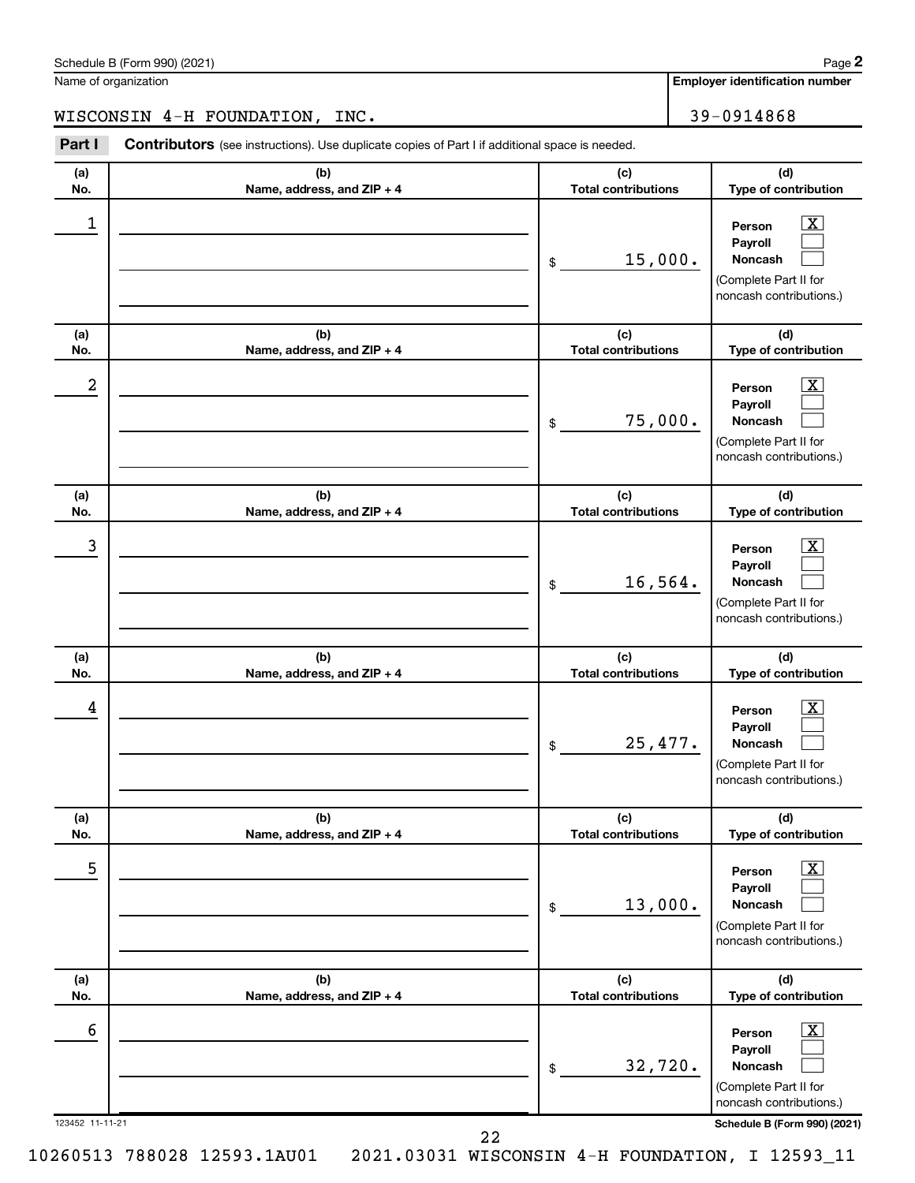| 593.1AU01 |  | 1 2021.03031 WISCONSIN 4-H FOUNDATION, I 12593_11 |  |  |
|-----------|--|---------------------------------------------------|--|--|
|           |  |                                                   |  |  |

|--|

Name of organization

10260513 788028 12

**(a) (b) (c) Part I** Contributors (see instructions). Use duplicate copies of Part I if additional space is needed.

| (a)                  | (b)                                 | (c)                               | (d)                                                                                                                                       |
|----------------------|-------------------------------------|-----------------------------------|-------------------------------------------------------------------------------------------------------------------------------------------|
| No.                  | Name, address, and ZIP + 4          | <b>Total contributions</b>        | Type of contribution                                                                                                                      |
| 1                    |                                     | 15,000.<br>$\,$                   | $\overline{\textbf{x}}$<br>Person<br>Payroll<br>Noncash<br>(Complete Part II for<br>noncash contributions.)                               |
| (a)<br>No.           | (b)<br>Name, address, and ZIP + 4   | (c)<br><b>Total contributions</b> | (d)<br>Type of contribution                                                                                                               |
| 2                    |                                     | 75,000.<br>\$                     | $\overline{\text{X}}$<br>Person<br>Payroll<br>Noncash<br>(Complete Part II for<br>noncash contributions.)                                 |
| (a)<br>No.           | (b)<br>Name, address, and ZIP + 4   | (c)<br><b>Total contributions</b> | (d)<br>Type of contribution                                                                                                               |
| 3                    |                                     | 16,564.<br>\$                     | X<br>Person<br>Payroll<br>Noncash<br>(Complete Part II for<br>noncash contributions.)                                                     |
| (a)<br>No.           | (b)<br>Name, address, and ZIP + 4   | (c)<br><b>Total contributions</b> | (d)<br>Type of contribution                                                                                                               |
| 4                    |                                     | 25,477.<br>\$                     | X<br>Person<br>Payroll<br>Noncash<br>(Complete Part II for<br>noncash contributions.)                                                     |
| (a)<br>No.           | (b)<br>Name, address, and $ZIP + 4$ | (c)<br><b>Total contributions</b> | (d)<br><b>Type of contribution</b>                                                                                                        |
| 5                    |                                     | 13,000.<br>\$                     | $\overline{\mathbf{X}}$<br>Person<br>Payroll<br>Noncash<br>(Complete Part II for<br>noncash contributions.)                               |
| (a)<br>No.           | (b)<br>Name, address, and ZIP + 4   | (c)<br><b>Total contributions</b> | (d)<br>Type of contribution                                                                                                               |
| 6<br>123452 11-11-21 |                                     | 32,720.<br>\$                     | $\overline{\text{X}}$<br>Person<br>Payroll<br>Noncash<br>(Complete Part II for<br>noncash contributions.)<br>Schedule B (Form 990) (2021) |
|                      | 22                                  |                                   |                                                                                                                                           |

**Employer identification number**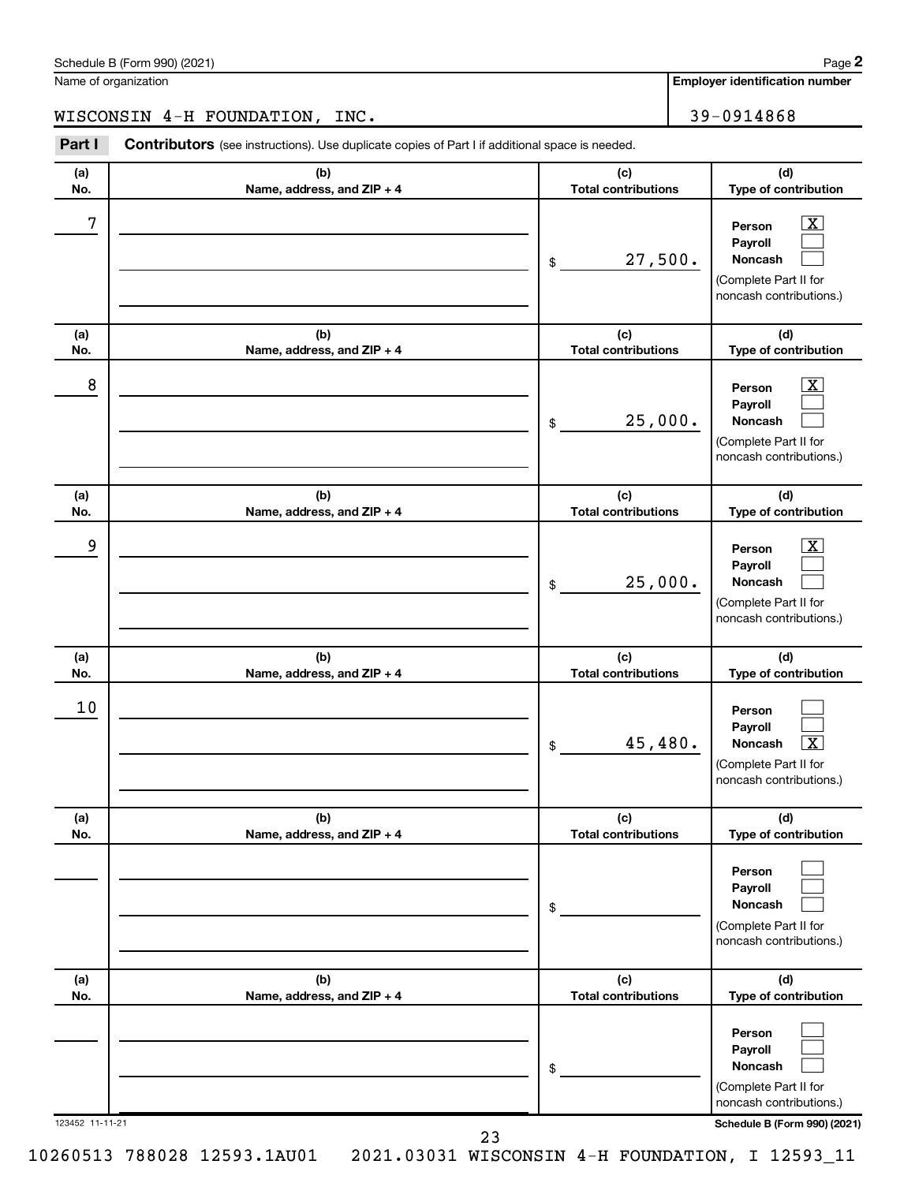|  |  | 10260513 788028 12593.1AU01  2021.03031 WISCONSIN 4-H FOUNDATION, I 12593_11 |  |  |  |  |  |  |  |
|--|--|------------------------------------------------------------------------------|--|--|--|--|--|--|--|
|--|--|------------------------------------------------------------------------------|--|--|--|--|--|--|--|

| n<br>n<br>м |  |
|-------------|--|
| nIJ         |  |

| 8               |                                                                                    | 25,000.<br>\$                     | $\overline{\text{x}}$<br>Person<br>Payroll<br><b>Noncash</b><br>(Complete Part II for<br>noncash contributions.) |
|-----------------|------------------------------------------------------------------------------------|-----------------------------------|------------------------------------------------------------------------------------------------------------------|
| (a)<br>No.      | (b)<br>Name, address, and ZIP + 4                                                  | (c)<br><b>Total contributions</b> | (d)<br>Type of contribution                                                                                      |
| 9               |                                                                                    | 25,000.<br>\$                     | $\overline{\text{X}}$<br>Person<br>Payroll<br>Noncash<br>(Complete Part II for<br>noncash contributions.)        |
| (a)<br>No.      | (b)<br>Name, address, and ZIP + 4                                                  | (c)<br><b>Total contributions</b> | (d)<br>Type of contribution                                                                                      |
| 10              |                                                                                    | 45,480.<br>\$                     | Person<br>Payroll<br>$\overline{\textbf{x}}$<br>Noncash<br>(Complete Part II for<br>noncash contributions.)      |
| (a)<br>No.      | (b)<br>Name, address, and ZIP + 4                                                  | (c)<br><b>Total contributions</b> | (d)<br>Type of contribution                                                                                      |
|                 |                                                                                    | \$                                | Person<br>Payroll<br>Noncash<br>(Complete Part II for<br>noncash contributions.)                                 |
| (a)<br>No.      | (b)<br>Name, address, and ZIP + 4                                                  | (c)<br><b>Total contributions</b> | (d)<br>Type of contribution                                                                                      |
|                 |                                                                                    | \$                                | Person<br>Payroll<br>Noncash<br>(Complete Part II for<br>noncash contributions.)                                 |
|                 |                                                                                    |                                   |                                                                                                                  |
| 123452 11-11-21 | 23<br>260513 788028 12593.1AU01<br>2021.03031 WISCONSIN 4-H FOUNDATION, I 12593_11 |                                   | Schedule B (Form 990) (2021)                                                                                     |

WISCONSIN 4-H FOUNDATION, INC. 29-0914868

**Part I** Contributors (see instructions). Use duplicate copies of Part I if additional space is needed.

**(b) Name, address, and ZIP + 4**

**(b) Name, address, and ZIP + 4**

**(a) No.**

**(a) No.** **Employer identification number**

**(d) Type of contribution**

> $\boxed{\text{X}}$  $\Box$  $\Box$

**(d) Type of contribution**

(Complete Part II for noncash contributions.)

**Person Payroll Noncash**

**(c) Total contributions**

**(c) Total contributions**

27,500.

\$

 $7$   $|$  Person  $\overline{\text{X}}$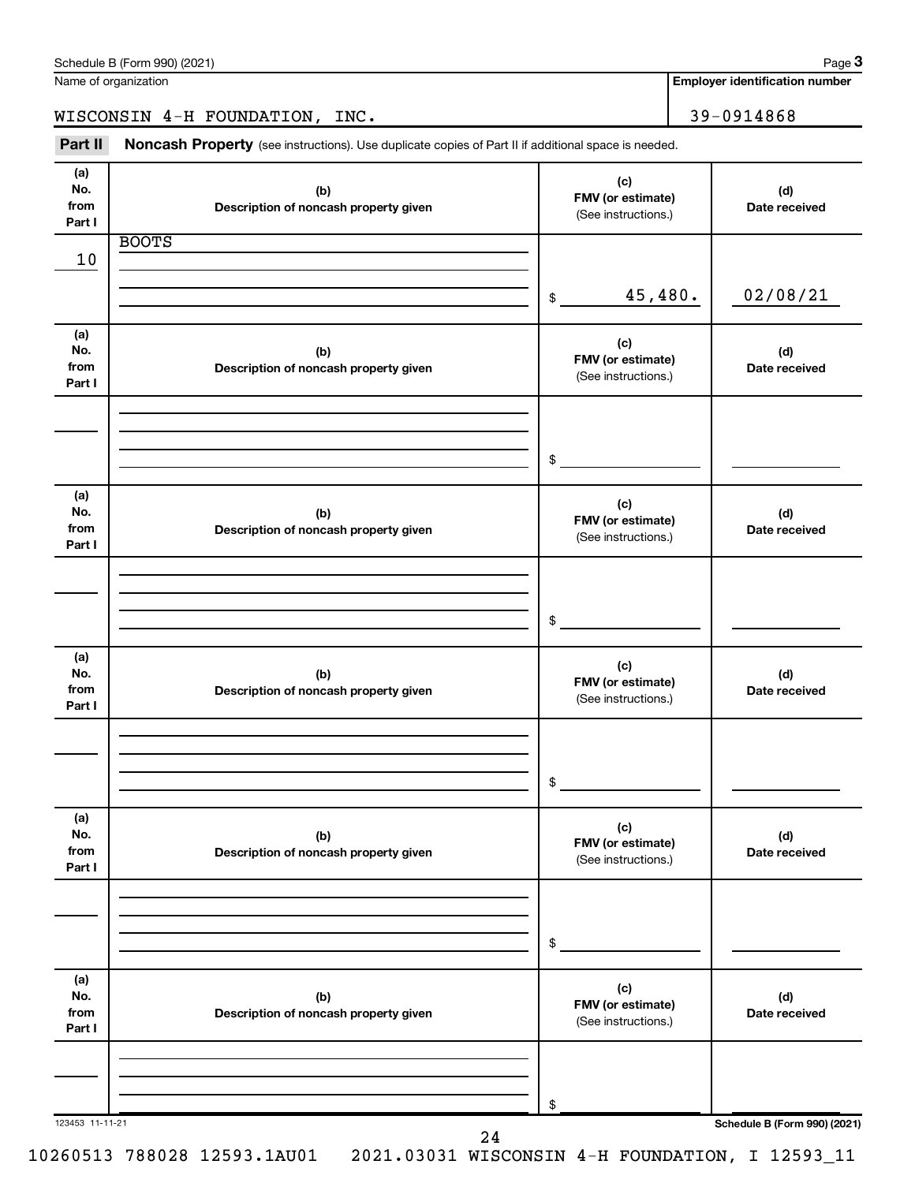| Part II                      | Noncash Property (see instructions). Use duplicate copies of Part II if additional space is needed. |                                                 |                      |  |  |
|------------------------------|-----------------------------------------------------------------------------------------------------|-------------------------------------------------|----------------------|--|--|
| (a)<br>No.<br>from<br>Part I | (b)<br>Description of noncash property given                                                        | (c)<br>FMV (or estimate)<br>(See instructions.) | (d)<br>Date received |  |  |
| 10                           | <b>BOOTS</b>                                                                                        |                                                 |                      |  |  |
|                              |                                                                                                     | 45,480.<br>$\frac{1}{2}$                        | 02/08/21             |  |  |
| (a)<br>No.<br>from<br>Part I | (b)<br>Description of noncash property given                                                        | (c)<br>FMV (or estimate)<br>(See instructions.) | (d)<br>Date received |  |  |
|                              |                                                                                                     | $$\circ$$                                       |                      |  |  |
| (a)<br>No.<br>from<br>Part I | (b)<br>Description of noncash property given                                                        | (c)<br>FMV (or estimate)<br>(See instructions.) | (d)<br>Date received |  |  |
|                              |                                                                                                     | $\frac{1}{2}$                                   |                      |  |  |
| (a)<br>No.<br>from<br>Part I | (b)<br>Description of noncash property given                                                        | (c)<br>FMV (or estimate)<br>(See instructions.) | (d)<br>Date received |  |  |
|                              |                                                                                                     | \$                                              |                      |  |  |
| (a)<br>No.<br>from<br>Part I | (b)<br>Description of noncash property given                                                        | (c)<br>FMV (or estimate)<br>(See instructions.) | (d)<br>Date received |  |  |
|                              |                                                                                                     | \$                                              |                      |  |  |
| (a)<br>No.<br>from<br>Part I | (b)<br>Description of noncash property given                                                        | (c)<br>FMV (or estimate)<br>(See instructions.) | (d)<br>Date received |  |  |
|                              |                                                                                                     | \$                                              |                      |  |  |

Schedule B (Form 990) (2021)

Name of organization

**Employer identification number**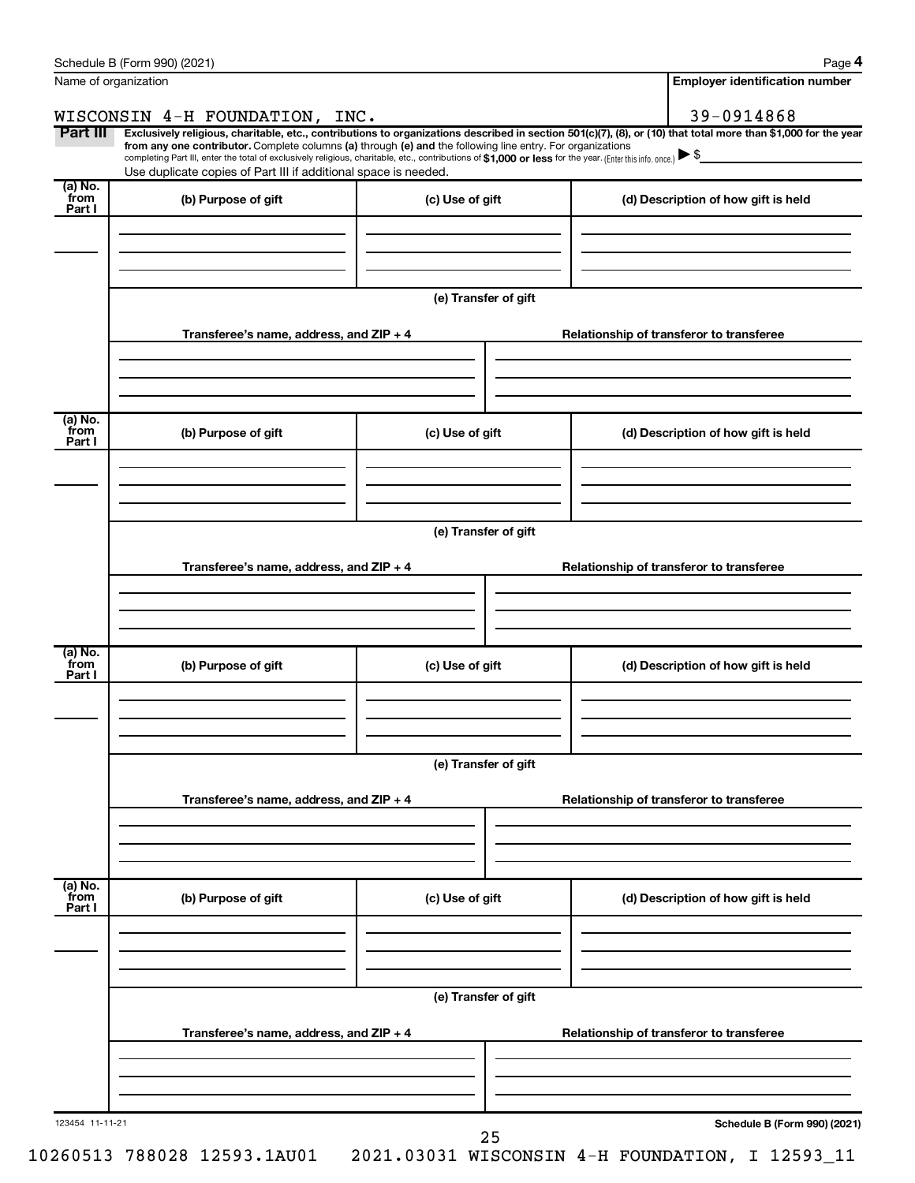| Name of organization      |                                                                                                                                                                                                                                                                                                                                                                    |                      | <b>Employer identification number</b>                                                                                                                          |
|---------------------------|--------------------------------------------------------------------------------------------------------------------------------------------------------------------------------------------------------------------------------------------------------------------------------------------------------------------------------------------------------------------|----------------------|----------------------------------------------------------------------------------------------------------------------------------------------------------------|
|                           | WISCONSIN 4-H FOUNDATION, INC.                                                                                                                                                                                                                                                                                                                                     |                      | 39-0914868                                                                                                                                                     |
| Part III                  | from any one contributor. Complete columns (a) through (e) and the following line entry. For organizations<br>completing Part III, enter the total of exclusively religious, charitable, etc., contributions of \$1,000 or less for the year. (Enter this info. once.) $\blacktriangleright$ \$<br>Use duplicate copies of Part III if additional space is needed. |                      | Exclusively religious, charitable, etc., contributions to organizations described in section 501(c)(7), (8), or (10) that total more than \$1,000 for the year |
| (a) No.<br>`from          | (b) Purpose of gift                                                                                                                                                                                                                                                                                                                                                | (c) Use of gift      | (d) Description of how gift is held                                                                                                                            |
| Part I                    |                                                                                                                                                                                                                                                                                                                                                                    |                      |                                                                                                                                                                |
|                           |                                                                                                                                                                                                                                                                                                                                                                    | (e) Transfer of gift |                                                                                                                                                                |
|                           | Transferee's name, address, and ZIP + 4                                                                                                                                                                                                                                                                                                                            |                      | Relationship of transferor to transferee                                                                                                                       |
| (a) No.<br>from           |                                                                                                                                                                                                                                                                                                                                                                    |                      |                                                                                                                                                                |
| Part I                    | (b) Purpose of gift                                                                                                                                                                                                                                                                                                                                                | (c) Use of gift      | (d) Description of how gift is held                                                                                                                            |
|                           |                                                                                                                                                                                                                                                                                                                                                                    | (e) Transfer of gift |                                                                                                                                                                |
|                           | Transferee's name, address, and ZIP + 4                                                                                                                                                                                                                                                                                                                            |                      | Relationship of transferor to transferee                                                                                                                       |
|                           |                                                                                                                                                                                                                                                                                                                                                                    |                      |                                                                                                                                                                |
| (a) No.<br>from<br>Part I | (b) Purpose of gift                                                                                                                                                                                                                                                                                                                                                | (c) Use of gift      | (d) Description of how gift is held                                                                                                                            |
|                           |                                                                                                                                                                                                                                                                                                                                                                    |                      |                                                                                                                                                                |
|                           |                                                                                                                                                                                                                                                                                                                                                                    | (e) Transfer of gift |                                                                                                                                                                |
|                           | Transferee's name, address, and ZIP + 4                                                                                                                                                                                                                                                                                                                            |                      | Relationship of transferor to transferee                                                                                                                       |
|                           |                                                                                                                                                                                                                                                                                                                                                                    |                      |                                                                                                                                                                |
| (a) No.<br>from<br>Part I | (b) Purpose of gift                                                                                                                                                                                                                                                                                                                                                | (c) Use of gift      | (d) Description of how gift is held                                                                                                                            |
|                           |                                                                                                                                                                                                                                                                                                                                                                    | (e) Transfer of gift |                                                                                                                                                                |
|                           | Transferee's name, address, and ZIP + 4                                                                                                                                                                                                                                                                                                                            |                      | Relationship of transferor to transferee                                                                                                                       |
|                           |                                                                                                                                                                                                                                                                                                                                                                    |                      |                                                                                                                                                                |
| 123454 11-11-21           |                                                                                                                                                                                                                                                                                                                                                                    |                      | Schedule B (Form 990) (2021)                                                                                                                                   |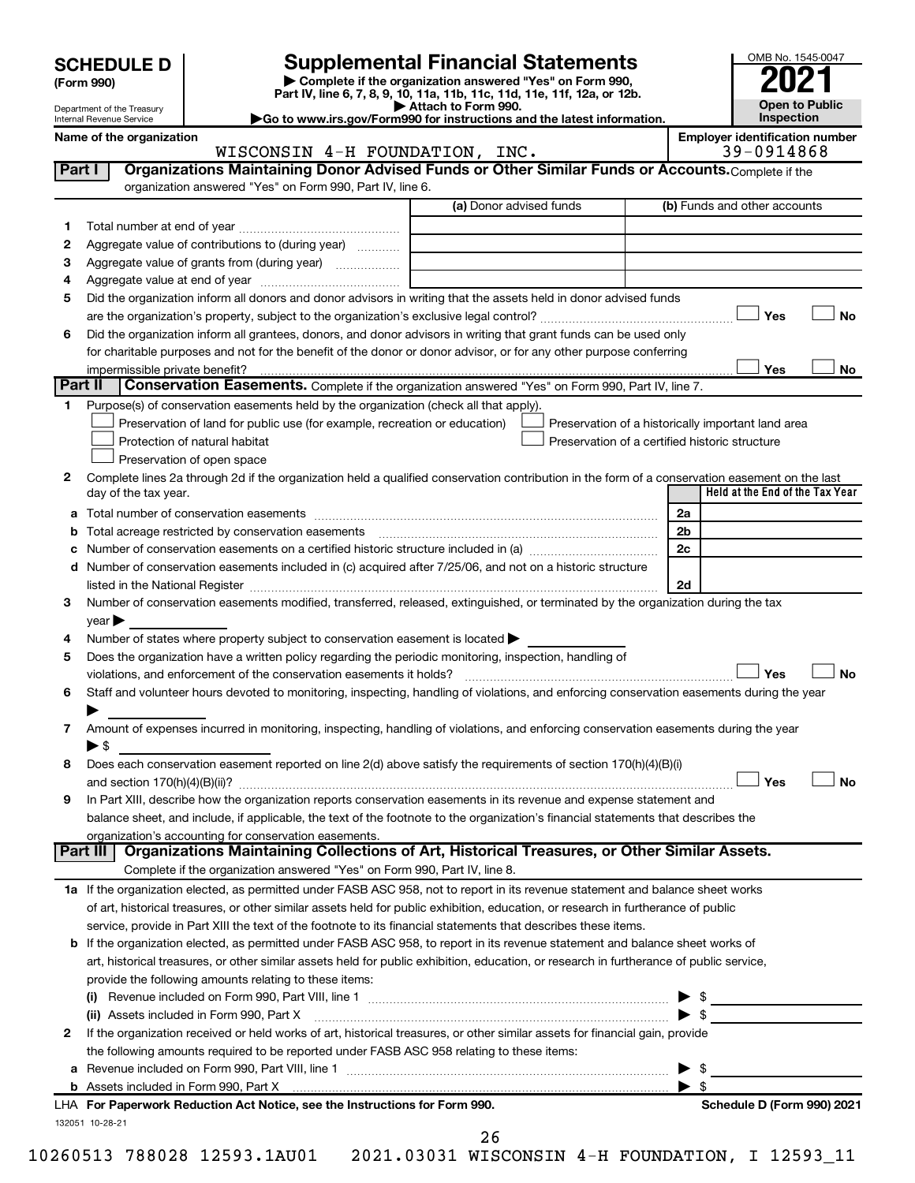| <b>SCHEDULE D</b> |  |
|-------------------|--|
|-------------------|--|

**| Complete if the organization answered "Yes" on Form 990, Part IV, line 6, 7, 8, 9, 10, 11a, 11b, 11c, 11d, 11e, 11f, 12a, or 12b. SCHEDULE D Supplemental Financial Statements**<br> **Form 990 Example 5 2021**<br>
Part IV. line 6, 7, 8, 9, 10, 11a, 11b, 11c, 11d, 11e, 11f, 12a, or 12b.

**| Attach to Form 990. |Go to www.irs.gov/Form990 for instructions and the latest information.**



Department of the Treasury Internal Revenue Service

Name of the organization<br>
WISCONSIN 4-H FOUNDATION, INC.<br>
29-0914868 WISCONSIN  $4-H$  FOUNDATION, INC.

| Part I  | Organizations Maintaining Donor Advised Funds or Other Similar Funds or Accounts. Complete if the<br>organization answered "Yes" on Form 990, Part IV, line 6.                                                                |                                                |                                                    |
|---------|-------------------------------------------------------------------------------------------------------------------------------------------------------------------------------------------------------------------------------|------------------------------------------------|----------------------------------------------------|
|         |                                                                                                                                                                                                                               | (a) Donor advised funds                        | (b) Funds and other accounts                       |
| 1       |                                                                                                                                                                                                                               |                                                |                                                    |
| 2       | Aggregate value of contributions to (during year)                                                                                                                                                                             |                                                |                                                    |
| з       |                                                                                                                                                                                                                               |                                                |                                                    |
| 4       |                                                                                                                                                                                                                               |                                                |                                                    |
| 5       | Did the organization inform all donors and donor advisors in writing that the assets held in donor advised funds                                                                                                              |                                                |                                                    |
|         |                                                                                                                                                                                                                               |                                                | <b>No</b><br>Yes                                   |
| 6       | Did the organization inform all grantees, donors, and donor advisors in writing that grant funds can be used only                                                                                                             |                                                |                                                    |
|         | for charitable purposes and not for the benefit of the donor or donor advisor, or for any other purpose conferring                                                                                                            |                                                |                                                    |
|         | impermissible private benefit?                                                                                                                                                                                                |                                                | Yes<br>No                                          |
| Part II | Conservation Easements. Complete if the organization answered "Yes" on Form 990, Part IV, line 7.                                                                                                                             |                                                |                                                    |
| 1.      | Purpose(s) of conservation easements held by the organization (check all that apply).                                                                                                                                         |                                                |                                                    |
|         | Preservation of land for public use (for example, recreation or education)                                                                                                                                                    |                                                | Preservation of a historically important land area |
|         | Protection of natural habitat                                                                                                                                                                                                 | Preservation of a certified historic structure |                                                    |
|         | Preservation of open space                                                                                                                                                                                                    |                                                |                                                    |
| 2       | Complete lines 2a through 2d if the organization held a qualified conservation contribution in the form of a conservation easement on the last                                                                                |                                                |                                                    |
|         | day of the tax year.                                                                                                                                                                                                          |                                                | Held at the End of the Tax Year                    |
| а       |                                                                                                                                                                                                                               |                                                | 2a                                                 |
|         | Total acreage restricted by conservation easements                                                                                                                                                                            |                                                | 2 <sub>b</sub>                                     |
|         | Number of conservation easements on a certified historic structure included in (a) <i>manumumumumum</i>                                                                                                                       |                                                | 2c                                                 |
| d       | Number of conservation easements included in (c) acquired after 7/25/06, and not on a historic structure                                                                                                                      |                                                |                                                    |
|         | listed in the National Register [111] Marshall Register [11] Marshall Register [11] Marshall Register [11] Marshall Register [11] Marshall Register [11] Marshall Register [11] Marshall Register [11] Marshall Register [11] |                                                | 2d                                                 |
| З       | Number of conservation easements modified, transferred, released, extinguished, or terminated by the organization during the tax                                                                                              |                                                |                                                    |
|         | year                                                                                                                                                                                                                          |                                                |                                                    |
| 4       | Number of states where property subject to conservation easement is located >                                                                                                                                                 |                                                |                                                    |
| 5       | Does the organization have a written policy regarding the periodic monitoring, inspection, handling of                                                                                                                        |                                                |                                                    |
|         | violations, and enforcement of the conservation easements it holds?                                                                                                                                                           |                                                | Yes<br>No                                          |
| 6       | Staff and volunteer hours devoted to monitoring, inspecting, handling of violations, and enforcing conservation easements during the year                                                                                     |                                                |                                                    |
|         |                                                                                                                                                                                                                               |                                                |                                                    |
| 7       | Amount of expenses incurred in monitoring, inspecting, handling of violations, and enforcing conservation easements during the year                                                                                           |                                                |                                                    |
|         | $\blacktriangleright$ \$                                                                                                                                                                                                      |                                                |                                                    |
| 8       | Does each conservation easement reported on line 2(d) above satisfy the requirements of section 170(h)(4)(B)(i)                                                                                                               |                                                |                                                    |
|         |                                                                                                                                                                                                                               |                                                | Yes<br>No                                          |
| 9       | In Part XIII, describe how the organization reports conservation easements in its revenue and expense statement and                                                                                                           |                                                |                                                    |
|         | balance sheet, and include, if applicable, the text of the footnote to the organization's financial statements that describes the                                                                                             |                                                |                                                    |
|         | organization's accounting for conservation easements.                                                                                                                                                                         |                                                |                                                    |
|         | Organizations Maintaining Collections of Art, Historical Treasures, or Other Similar Assets.<br>Part III                                                                                                                      |                                                |                                                    |
|         | Complete if the organization answered "Yes" on Form 990, Part IV, line 8.                                                                                                                                                     |                                                |                                                    |
|         | 1a If the organization elected, as permitted under FASB ASC 958, not to report in its revenue statement and balance sheet works                                                                                               |                                                |                                                    |
|         | of art, historical treasures, or other similar assets held for public exhibition, education, or research in furtherance of public                                                                                             |                                                |                                                    |
|         | service, provide in Part XIII the text of the footnote to its financial statements that describes these items.                                                                                                                |                                                |                                                    |
|         | <b>b</b> If the organization elected, as permitted under FASB ASC 958, to report in its revenue statement and balance sheet works of                                                                                          |                                                |                                                    |
|         | art, historical treasures, or other similar assets held for public exhibition, education, or research in furtherance of public service,                                                                                       |                                                |                                                    |
|         | provide the following amounts relating to these items:                                                                                                                                                                        |                                                |                                                    |
|         |                                                                                                                                                                                                                               |                                                |                                                    |
|         | (ii) Assets included in Form 990, Part X                                                                                                                                                                                      |                                                | $\blacktriangleright$ s                            |
| 2       | If the organization received or held works of art, historical treasures, or other similar assets for financial gain, provide                                                                                                  |                                                |                                                    |
|         | the following amounts required to be reported under FASB ASC 958 relating to these items:                                                                                                                                     |                                                |                                                    |
|         |                                                                                                                                                                                                                               |                                                | \$                                                 |
|         |                                                                                                                                                                                                                               |                                                | - \$                                               |
|         | LHA For Paperwork Reduction Act Notice, see the Instructions for Form 990.                                                                                                                                                    |                                                | Schedule D (Form 990) 2021                         |
|         | 132051 10-28-21                                                                                                                                                                                                               |                                                |                                                    |
|         |                                                                                                                                                                                                                               | 26                                             |                                                    |

10260513 788028 12593.1AU01 2021.03031 WISCONSIN 4-H FOUNDATION, I 12593\_11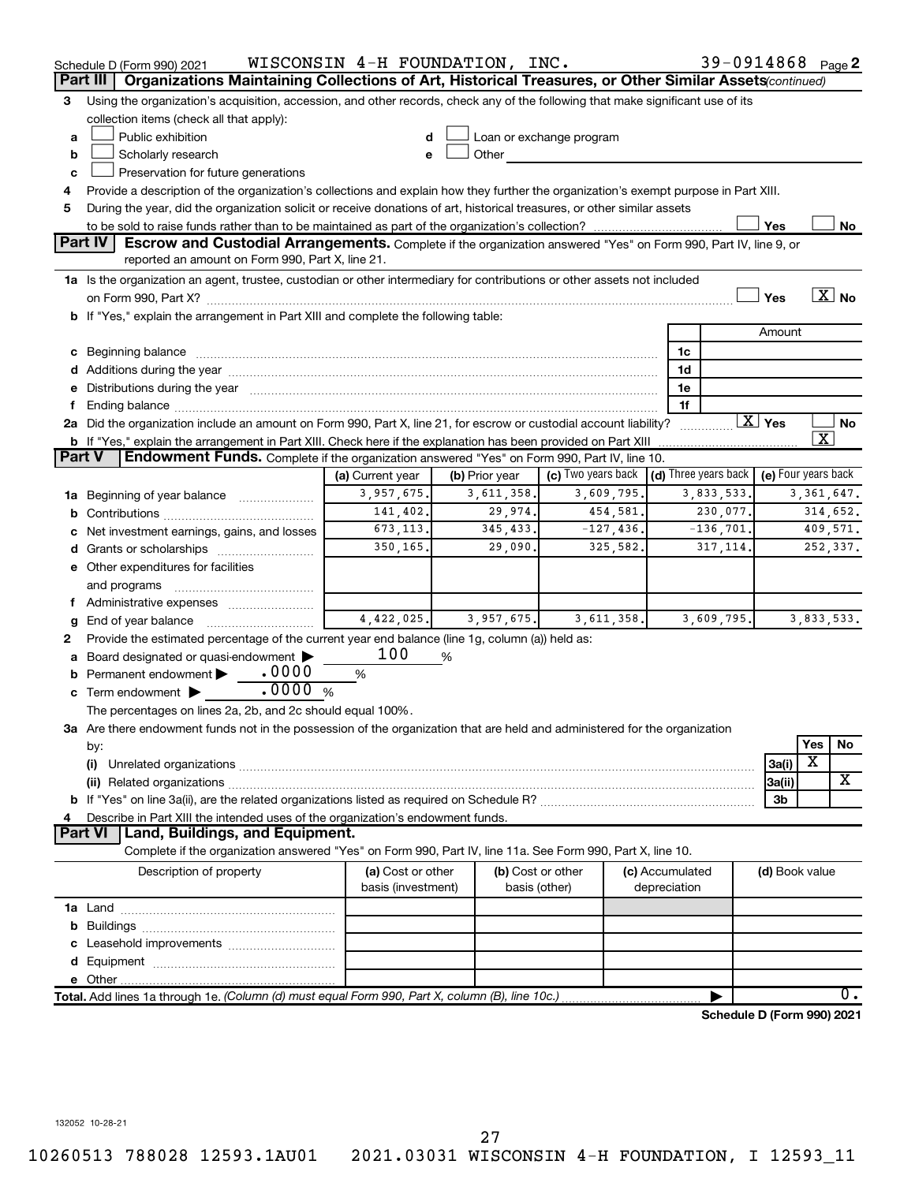|        | Schedule D (Form 990) 2021<br>Part III   Organizations Maintaining Collections of Art, Historical Treasures, or Other Similar Assets (continued)                                                                              | WISCONSIN 4-H FOUNDATION, INC. |                |                                                                                                                                                                                                                                |                 | 39-0914868 Page 2          |                        |              |                   |
|--------|-------------------------------------------------------------------------------------------------------------------------------------------------------------------------------------------------------------------------------|--------------------------------|----------------|--------------------------------------------------------------------------------------------------------------------------------------------------------------------------------------------------------------------------------|-----------------|----------------------------|------------------------|--------------|-------------------|
| 3      | Using the organization's acquisition, accession, and other records, check any of the following that make significant use of its                                                                                               |                                |                |                                                                                                                                                                                                                                |                 |                            |                        |              |                   |
|        | collection items (check all that apply):                                                                                                                                                                                      |                                |                |                                                                                                                                                                                                                                |                 |                            |                        |              |                   |
| a      | Public exhibition                                                                                                                                                                                                             |                                |                | Loan or exchange program                                                                                                                                                                                                       |                 |                            |                        |              |                   |
| b      | Scholarly research                                                                                                                                                                                                            | e                              |                | Other and the control of the control of the control of the control of the control of the control of the control of the control of the control of the control of the control of the control of the control of the control of th |                 |                            |                        |              |                   |
| c      | Preservation for future generations                                                                                                                                                                                           |                                |                |                                                                                                                                                                                                                                |                 |                            |                        |              |                   |
| 4      | Provide a description of the organization's collections and explain how they further the organization's exempt purpose in Part XIII.                                                                                          |                                |                |                                                                                                                                                                                                                                |                 |                            |                        |              |                   |
| 5      | During the year, did the organization solicit or receive donations of art, historical treasures, or other similar assets                                                                                                      |                                |                |                                                                                                                                                                                                                                |                 |                            |                        |              |                   |
|        |                                                                                                                                                                                                                               |                                |                |                                                                                                                                                                                                                                |                 |                            | Yes                    |              | No                |
|        | Part IV<br>Escrow and Custodial Arrangements. Complete if the organization answered "Yes" on Form 990, Part IV, line 9, or                                                                                                    |                                |                |                                                                                                                                                                                                                                |                 |                            |                        |              |                   |
|        | reported an amount on Form 990, Part X, line 21.                                                                                                                                                                              |                                |                |                                                                                                                                                                                                                                |                 |                            |                        |              |                   |
|        | 1a Is the organization an agent, trustee, custodian or other intermediary for contributions or other assets not included                                                                                                      |                                |                |                                                                                                                                                                                                                                |                 |                            |                        |              |                   |
|        |                                                                                                                                                                                                                               |                                |                |                                                                                                                                                                                                                                |                 |                            | Yes                    |              | $\overline{X}$ No |
|        | b If "Yes," explain the arrangement in Part XIII and complete the following table:                                                                                                                                            |                                |                |                                                                                                                                                                                                                                |                 |                            |                        |              |                   |
|        |                                                                                                                                                                                                                               |                                |                |                                                                                                                                                                                                                                |                 |                            | Amount                 |              |                   |
|        |                                                                                                                                                                                                                               |                                |                |                                                                                                                                                                                                                                | 1c              |                            |                        |              |                   |
|        |                                                                                                                                                                                                                               |                                |                |                                                                                                                                                                                                                                | 1d              |                            |                        |              |                   |
|        | e Distributions during the year manufactured and continuum control of the control of the control of the state of the control of the control of the control of the control of the control of the control of the control of the |                                |                |                                                                                                                                                                                                                                | 1e              |                            |                        |              |                   |
| f.     |                                                                                                                                                                                                                               |                                |                |                                                                                                                                                                                                                                | 1f              |                            |                        |              |                   |
|        | 2a Did the organization include an amount on Form 990, Part X, line 21, for escrow or custodial account liability?                                                                                                            |                                |                |                                                                                                                                                                                                                                |                 |                            | $\boxed{\text{X}}$ Yes |              | No                |
|        | <b>b</b> If "Yes," explain the arrangement in Part XIII. Check here if the explanation has been provided on Part XIII                                                                                                         |                                |                |                                                                                                                                                                                                                                |                 |                            |                        | x            |                   |
| Part V | <b>Endowment Funds.</b> Complete if the organization answered "Yes" on Form 990, Part IV, line 10.                                                                                                                            |                                |                |                                                                                                                                                                                                                                |                 |                            |                        |              |                   |
|        |                                                                                                                                                                                                                               | (a) Current year               | (b) Prior year | (c) Two years back $\vert$ (d) Three years back $\vert$ (e) Four years back                                                                                                                                                    |                 |                            |                        |              |                   |
|        | 1a Beginning of year balance                                                                                                                                                                                                  | 3,957,675.                     | 3,611,358.     | 3,609,795.                                                                                                                                                                                                                     |                 | 3,833,533.                 |                        | 3, 361, 647. |                   |
|        |                                                                                                                                                                                                                               | 141,402.                       | 29,974.        | 454,581.                                                                                                                                                                                                                       |                 | 230,077.                   |                        |              | 314,652.          |
|        | c Net investment earnings, gains, and losses                                                                                                                                                                                  | 673, 113.                      | 345, 433.      | $-127, 436.$                                                                                                                                                                                                                   |                 | $-136, 701.$               |                        |              | 409,571.          |
|        |                                                                                                                                                                                                                               | 350, 165.                      | 29,090.        | 325,582.                                                                                                                                                                                                                       |                 | 317, 114.                  |                        |              | 252,337.          |
|        | e Other expenditures for facilities                                                                                                                                                                                           |                                |                |                                                                                                                                                                                                                                |                 |                            |                        |              |                   |
|        | and programs                                                                                                                                                                                                                  |                                |                |                                                                                                                                                                                                                                |                 |                            |                        |              |                   |
|        | f Administrative expenses <i></i>                                                                                                                                                                                             | 4,422,025.                     |                |                                                                                                                                                                                                                                |                 |                            |                        |              |                   |
| g      | End of year balance <i>manually contained</i>                                                                                                                                                                                 |                                | 3,957,675.     | 3,611,358.                                                                                                                                                                                                                     |                 | 3,609,795.                 |                        | 3,833,533.   |                   |
| 2      | Provide the estimated percentage of the current year end balance (line 1g, column (a)) held as:<br>a Board designated or quasi-endowment >                                                                                    | 100                            | %              |                                                                                                                                                                                                                                |                 |                            |                        |              |                   |
|        | <b>b</b> Permanent endowment $\blacktriangleright$ . 0000                                                                                                                                                                     | %                              |                |                                                                                                                                                                                                                                |                 |                            |                        |              |                   |
|        | c Term endowment $\blacktriangleright$                                                                                                                                                                                        |                                |                |                                                                                                                                                                                                                                |                 |                            |                        |              |                   |
|        | The percentages on lines 2a, 2b, and 2c should equal 100%.                                                                                                                                                                    |                                |                |                                                                                                                                                                                                                                |                 |                            |                        |              |                   |
|        | 3a Are there endowment funds not in the possession of the organization that are held and administered for the organization                                                                                                    |                                |                |                                                                                                                                                                                                                                |                 |                            |                        |              |                   |
|        | by:                                                                                                                                                                                                                           |                                |                |                                                                                                                                                                                                                                |                 |                            |                        | Yes          | No                |
|        | (i)                                                                                                                                                                                                                           |                                |                |                                                                                                                                                                                                                                |                 |                            | 3a(i)                  | х            |                   |
|        |                                                                                                                                                                                                                               |                                |                |                                                                                                                                                                                                                                |                 |                            | 3a(ii)                 |              | X                 |
|        |                                                                                                                                                                                                                               |                                |                |                                                                                                                                                                                                                                |                 |                            | 3b                     |              |                   |
| 4      | Describe in Part XIII the intended uses of the organization's endowment funds.                                                                                                                                                |                                |                |                                                                                                                                                                                                                                |                 |                            |                        |              |                   |
|        | Land, Buildings, and Equipment.<br><b>Part VI</b>                                                                                                                                                                             |                                |                |                                                                                                                                                                                                                                |                 |                            |                        |              |                   |
|        | Complete if the organization answered "Yes" on Form 990, Part IV, line 11a. See Form 990, Part X, line 10.                                                                                                                    |                                |                |                                                                                                                                                                                                                                |                 |                            |                        |              |                   |
|        | Description of property                                                                                                                                                                                                       | (a) Cost or other              |                | (b) Cost or other                                                                                                                                                                                                              | (c) Accumulated |                            | (d) Book value         |              |                   |
|        |                                                                                                                                                                                                                               | basis (investment)             |                | basis (other)                                                                                                                                                                                                                  | depreciation    |                            |                        |              |                   |
|        |                                                                                                                                                                                                                               |                                |                |                                                                                                                                                                                                                                |                 |                            |                        |              |                   |
|        |                                                                                                                                                                                                                               |                                |                |                                                                                                                                                                                                                                |                 |                            |                        |              |                   |
|        |                                                                                                                                                                                                                               |                                |                |                                                                                                                                                                                                                                |                 |                            |                        |              |                   |
|        |                                                                                                                                                                                                                               |                                |                |                                                                                                                                                                                                                                |                 |                            |                        |              |                   |
|        |                                                                                                                                                                                                                               |                                |                |                                                                                                                                                                                                                                |                 |                            |                        |              |                   |
|        | Total. Add lines 1a through 1e. (Column (d) must equal Form 990, Part X, column (B), line 10c.)                                                                                                                               |                                |                |                                                                                                                                                                                                                                |                 |                            |                        |              | 0.                |
|        |                                                                                                                                                                                                                               |                                |                |                                                                                                                                                                                                                                |                 | Schedule D (Form 990) 2021 |                        |              |                   |

10260513 788028 12593.1AU01 2021.03031 WISCONSIN 4-H FOUNDATION, I 12593\_11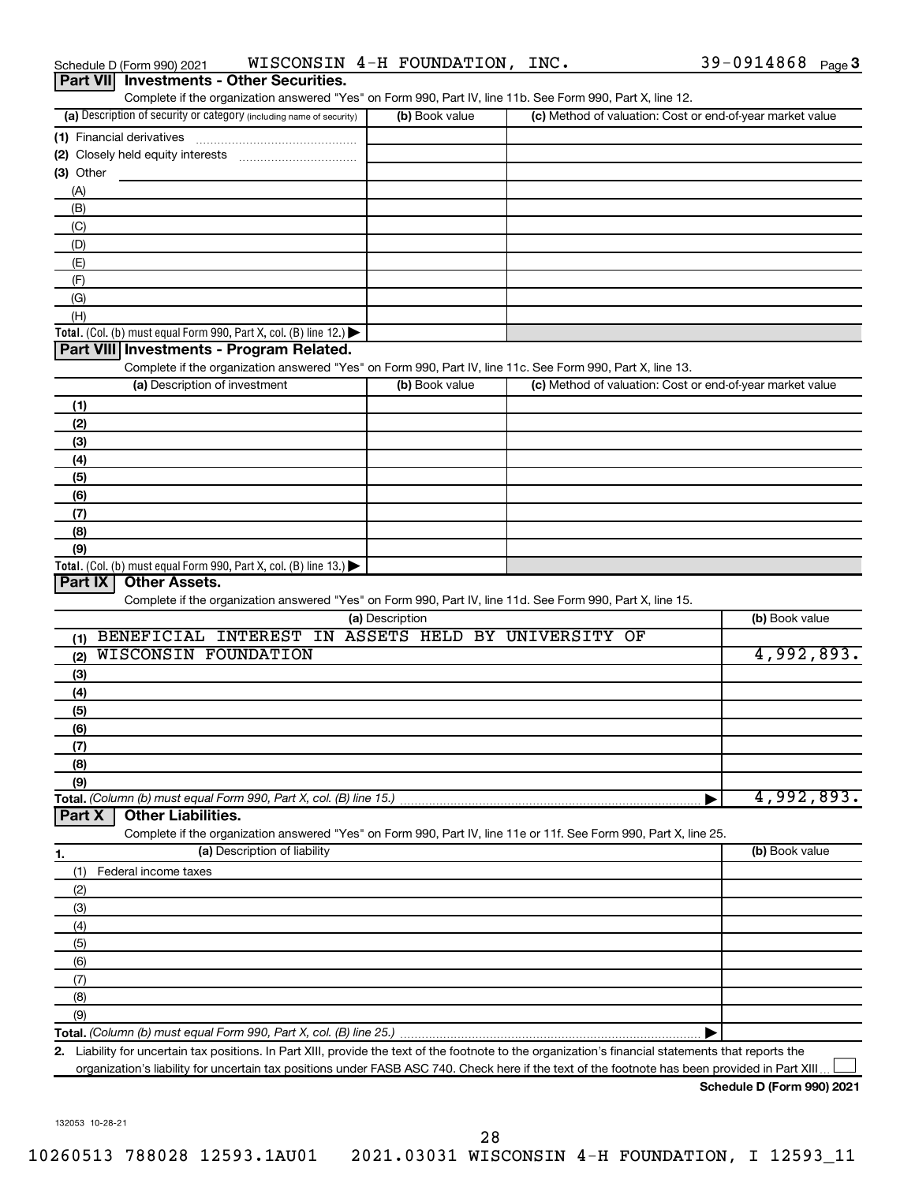|                  | Schedule D (Form 990) 2021                                                                                                                                                                     |                              | WISCONSIN 4-H FOUNDATION, INC. |                                                                                                                                                      | 39-0914868 Page 3                                         |
|------------------|------------------------------------------------------------------------------------------------------------------------------------------------------------------------------------------------|------------------------------|--------------------------------|------------------------------------------------------------------------------------------------------------------------------------------------------|-----------------------------------------------------------|
| <b>Part VIII</b> | <b>Investments - Other Securities.</b>                                                                                                                                                         |                              |                                |                                                                                                                                                      |                                                           |
|                  |                                                                                                                                                                                                |                              |                                | Complete if the organization answered "Yes" on Form 990, Part IV, line 11b. See Form 990, Part X, line 12.                                           |                                                           |
|                  | (a) Description of security or category (including name of security)                                                                                                                           |                              | (b) Book value                 |                                                                                                                                                      | (c) Method of valuation: Cost or end-of-year market value |
|                  | (1) Financial derivatives                                                                                                                                                                      |                              |                                |                                                                                                                                                      |                                                           |
|                  |                                                                                                                                                                                                |                              |                                |                                                                                                                                                      |                                                           |
| (3) Other        |                                                                                                                                                                                                |                              |                                |                                                                                                                                                      |                                                           |
| (A)              |                                                                                                                                                                                                |                              |                                |                                                                                                                                                      |                                                           |
| (B)              |                                                                                                                                                                                                |                              |                                |                                                                                                                                                      |                                                           |
| (C)              |                                                                                                                                                                                                |                              |                                |                                                                                                                                                      |                                                           |
| (D)              |                                                                                                                                                                                                |                              |                                |                                                                                                                                                      |                                                           |
| (E)              |                                                                                                                                                                                                |                              |                                |                                                                                                                                                      |                                                           |
| (F)<br>(G)       |                                                                                                                                                                                                |                              |                                |                                                                                                                                                      |                                                           |
| (H)              |                                                                                                                                                                                                |                              |                                |                                                                                                                                                      |                                                           |
|                  | <b>Total.</b> (Col. (b) must equal Form 990, Part X, col. (B) line 12.) $\blacktriangleright$                                                                                                  |                              |                                |                                                                                                                                                      |                                                           |
|                  | Part VIII Investments - Program Related.                                                                                                                                                       |                              |                                |                                                                                                                                                      |                                                           |
|                  |                                                                                                                                                                                                |                              |                                | Complete if the organization answered "Yes" on Form 990, Part IV, line 11c. See Form 990, Part X, line 13.                                           |                                                           |
|                  | (a) Description of investment                                                                                                                                                                  |                              | (b) Book value                 |                                                                                                                                                      | (c) Method of valuation: Cost or end-of-year market value |
| (1)              |                                                                                                                                                                                                |                              |                                |                                                                                                                                                      |                                                           |
| (2)              |                                                                                                                                                                                                |                              |                                |                                                                                                                                                      |                                                           |
| (3)              |                                                                                                                                                                                                |                              |                                |                                                                                                                                                      |                                                           |
| (4)              |                                                                                                                                                                                                |                              |                                |                                                                                                                                                      |                                                           |
| (5)              |                                                                                                                                                                                                |                              |                                |                                                                                                                                                      |                                                           |
| (6)              |                                                                                                                                                                                                |                              |                                |                                                                                                                                                      |                                                           |
| (7)              |                                                                                                                                                                                                |                              |                                |                                                                                                                                                      |                                                           |
| (8)              |                                                                                                                                                                                                |                              |                                |                                                                                                                                                      |                                                           |
| (9)              |                                                                                                                                                                                                |                              |                                |                                                                                                                                                      |                                                           |
|                  | <b>Total.</b> (Col. (b) must equal Form 990, Part X, col. (B) line 13.) $\blacktriangleright$                                                                                                  |                              |                                |                                                                                                                                                      |                                                           |
| Part IX          | <b>Other Assets.</b>                                                                                                                                                                           |                              |                                |                                                                                                                                                      |                                                           |
|                  |                                                                                                                                                                                                |                              |                                | Complete if the organization answered "Yes" on Form 990, Part IV, line 11d. See Form 990, Part X, line 15.                                           |                                                           |
|                  |                                                                                                                                                                                                |                              | (a) Description                |                                                                                                                                                      | (b) Book value                                            |
| (1)              |                                                                                                                                                                                                |                              |                                | BENEFICIAL INTEREST IN ASSETS HELD BY UNIVERSITY OF                                                                                                  |                                                           |
| (2)              | <b>WISCONSIN FOUNDATION</b>                                                                                                                                                                    |                              |                                |                                                                                                                                                      | 4,992,893.                                                |
| (3)              |                                                                                                                                                                                                |                              |                                |                                                                                                                                                      |                                                           |
| (4)              |                                                                                                                                                                                                |                              |                                |                                                                                                                                                      |                                                           |
| (5)              |                                                                                                                                                                                                |                              |                                |                                                                                                                                                      |                                                           |
| (6)              |                                                                                                                                                                                                |                              |                                |                                                                                                                                                      |                                                           |
| (7)              |                                                                                                                                                                                                |                              |                                |                                                                                                                                                      |                                                           |
| (8)              |                                                                                                                                                                                                |                              |                                |                                                                                                                                                      |                                                           |
| (9)              |                                                                                                                                                                                                |                              |                                |                                                                                                                                                      | 4,992,893.                                                |
| Part X           | Total. (Column (b) must equal Form 990, Part X, col. (B) line 15.)<br><b>Other Liabilities.</b>                                                                                                |                              |                                |                                                                                                                                                      |                                                           |
|                  |                                                                                                                                                                                                |                              |                                | Complete if the organization answered "Yes" on Form 990, Part IV, line 11e or 11f. See Form 990, Part X, line 25.                                    |                                                           |
|                  |                                                                                                                                                                                                | (a) Description of liability |                                |                                                                                                                                                      | (b) Book value                                            |
| 1.<br>(1)        | Federal income taxes                                                                                                                                                                           |                              |                                |                                                                                                                                                      |                                                           |
| (2)              |                                                                                                                                                                                                |                              |                                |                                                                                                                                                      |                                                           |
| (3)              |                                                                                                                                                                                                |                              |                                |                                                                                                                                                      |                                                           |
| (4)              |                                                                                                                                                                                                |                              |                                |                                                                                                                                                      |                                                           |
| (5)              |                                                                                                                                                                                                |                              |                                |                                                                                                                                                      |                                                           |
| (6)              |                                                                                                                                                                                                |                              |                                |                                                                                                                                                      |                                                           |
| (7)              |                                                                                                                                                                                                |                              |                                |                                                                                                                                                      |                                                           |
| (8)              |                                                                                                                                                                                                |                              |                                |                                                                                                                                                      |                                                           |
| (9)              |                                                                                                                                                                                                |                              |                                |                                                                                                                                                      |                                                           |
|                  | <b>Total.</b> (Column (b) must equal Form 990, Part X, col. (B) line 25.) $\ldots$ $\ldots$ $\ldots$ $\ldots$ $\ldots$ $\ldots$ $\ldots$ $\ldots$ $\ldots$ $\ldots$ $\ldots$ $\ldots$ $\ldots$ |                              |                                |                                                                                                                                                      |                                                           |
|                  |                                                                                                                                                                                                |                              |                                | 2. Liability for uncertain tax positions. In Part XIII, provide the text of the footnote to the organization's financial statements that reports the |                                                           |
|                  |                                                                                                                                                                                                |                              |                                | organization's liability for uncertain tax positions under FASB ASC 740. Check here if the text of the footnote has been provided in Part XIII.      |                                                           |

132053 10-28-21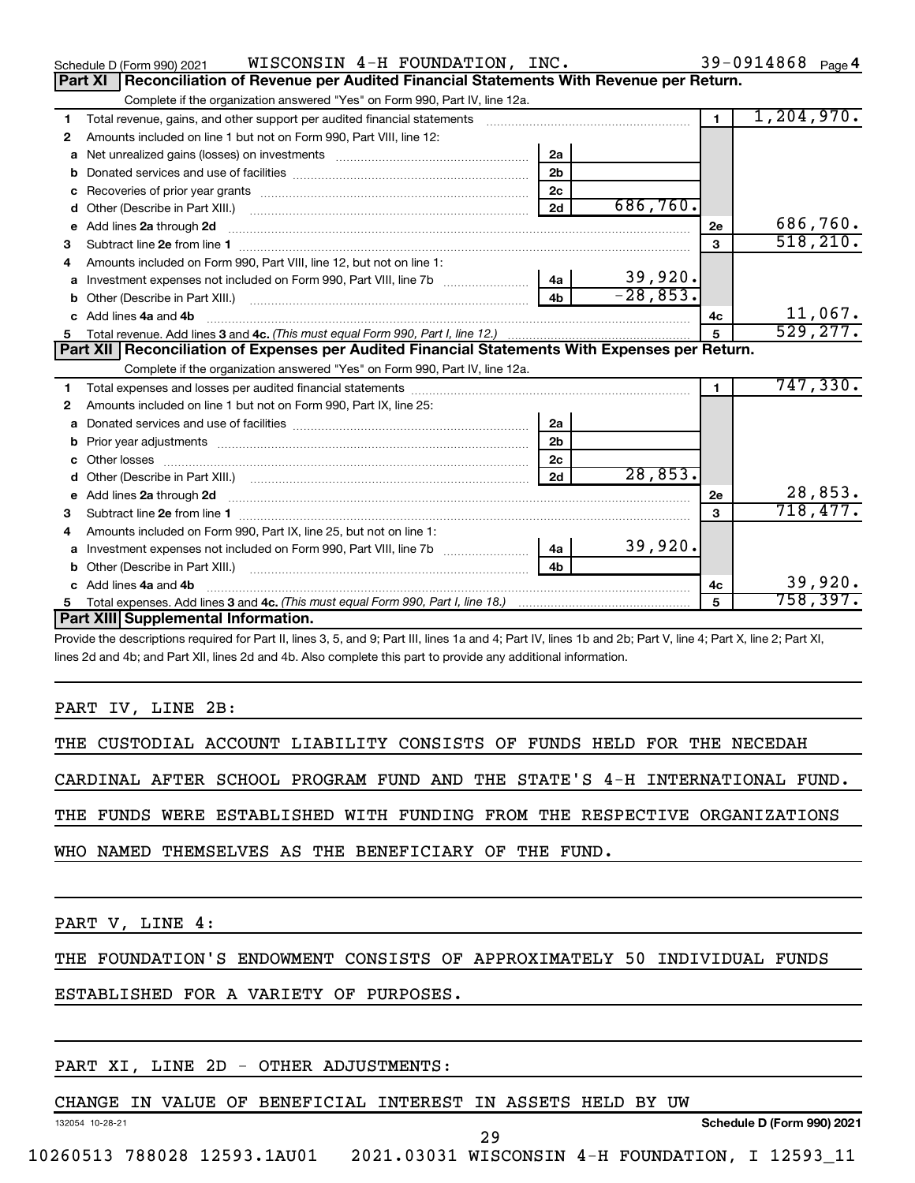|    | WISCONSIN 4-H FOUNDATION, INC.<br>Schedule D (Form 990) 2021                                                                                                                                                                        |                |                          |                | 39-0914868 $_{Page 4}$ |
|----|-------------------------------------------------------------------------------------------------------------------------------------------------------------------------------------------------------------------------------------|----------------|--------------------------|----------------|------------------------|
|    | Part XI<br>Reconciliation of Revenue per Audited Financial Statements With Revenue per Return.                                                                                                                                      |                |                          |                |                        |
|    | Complete if the organization answered "Yes" on Form 990, Part IV, line 12a.                                                                                                                                                         |                |                          |                |                        |
| 1  | Total revenue, gains, and other support per audited financial statements                                                                                                                                                            |                |                          | $\blacksquare$ | 1,204,970.             |
| 2  | Amounts included on line 1 but not on Form 990, Part VIII, line 12:                                                                                                                                                                 |                |                          |                |                        |
| a  |                                                                                                                                                                                                                                     | 2a             |                          |                |                        |
|    |                                                                                                                                                                                                                                     | 2 <sub>b</sub> |                          |                |                        |
| с  |                                                                                                                                                                                                                                     | 2c             |                          |                |                        |
| d  |                                                                                                                                                                                                                                     | 2d             | 686,760.                 |                |                        |
| e  | Add lines 2a through 2d                                                                                                                                                                                                             |                |                          | 2е             | 686,760.               |
| 3  |                                                                                                                                                                                                                                     |                |                          | 3              | 518, 210.              |
| 4  | Amounts included on Form 990, Part VIII, line 12, but not on line 1:                                                                                                                                                                |                |                          |                |                        |
| a  |                                                                                                                                                                                                                                     |                | $\frac{39,920}{-28,853}$ |                |                        |
| b  | Other (Describe in Part XIII.) (2000) (2000) (2000) (2010) (2010) (2010) (2010) (2010) (2010) (2010) (2010) (20                                                                                                                     | 4 <sub>h</sub> |                          |                |                        |
| c. | Add lines 4a and 4b                                                                                                                                                                                                                 |                |                          | 4с             | 11,067.                |
|    |                                                                                                                                                                                                                                     |                |                          |                | 529, 277.              |
|    | Part XII   Reconciliation of Expenses per Audited Financial Statements With Expenses per Return.                                                                                                                                    |                |                          |                |                        |
|    | Complete if the organization answered "Yes" on Form 990, Part IV, line 12a.                                                                                                                                                         |                |                          |                |                        |
| 1  |                                                                                                                                                                                                                                     |                |                          | $\blacksquare$ | 747,330.               |
| 2  | Amounts included on line 1 but not on Form 990, Part IX, line 25:                                                                                                                                                                   |                |                          |                |                        |
| a  |                                                                                                                                                                                                                                     | 2a             |                          |                |                        |
| b  |                                                                                                                                                                                                                                     | 2 <sub>b</sub> |                          |                |                        |
|    |                                                                                                                                                                                                                                     | 2c             |                          |                |                        |
| d  |                                                                                                                                                                                                                                     | 2d             | 28,853.                  |                |                        |
| е  | Add lines 2a through 2d <b>contained a contained a contained a contained a</b> contained a contact the set of the set of the set of the set of the set of the set of the set of the set of the set of the set of the set of the set |                |                          | 2е             | 28,853.                |
| з  |                                                                                                                                                                                                                                     |                |                          | 3              | 718,477.               |
| 4  | Amounts included on Form 990, Part IX, line 25, but not on line 1:                                                                                                                                                                  |                |                          |                |                        |
| a  | Investment expenses not included on Form 990, Part VIII, line 7b [11, 111, 120]                                                                                                                                                     | 4a             | 39,920.                  |                |                        |
| b  | Other (Describe in Part XIII.) <b>Construction Contract Construction</b> Chemistry Chemistry Chemistry Chemistry Chemistry                                                                                                          | 4 <sub>b</sub> |                          |                |                        |
| c. | Add lines 4a and 4b                                                                                                                                                                                                                 |                |                          | 4с             | 39,920.                |
|    |                                                                                                                                                                                                                                     |                |                          | 5              | 758,397.               |
|    | Part XIII Supplemental Information.                                                                                                                                                                                                 |                |                          |                |                        |

Provide the descriptions required for Part II, lines 3, 5, and 9; Part III, lines 1a and 4; Part IV, lines 1b and 2b; Part V, line 4; Part X, line 2; Part XI, lines 2d and 4b; and Part XII, lines 2d and 4b. Also complete this part to provide any additional information.

### PART IV, LINE 2B:

THE CUSTODIAL ACCOUNT LIABILITY CONSISTS OF FUNDS HELD FOR THE NECEDAH

CARDINAL AFTER SCHOOL PROGRAM FUND AND THE STATE'S 4-H INTERNATIONAL FUND.

THE FUNDS WERE ESTABLISHED WITH FUNDING FROM THE RESPECTIVE ORGANIZATIONS

WHO NAMED THEMSELVES AS THE BENEFICIARY OF THE FUND.

PART V, LINE 4:

132054 10-28-21

THE FOUNDATION'S ENDOWMENT CONSISTS OF APPROXIMATELY 50 INDIVIDUAL FUNDS

## ESTABLISHED FOR A VARIETY OF PURPOSES.

## PART XI, LINE 2D - OTHER ADJUSTMENTS:

CHANGE IN VALUE OF BENEFICIAL INTEREST IN ASSETS HELD BY UW

**Schedule D (Form 990) 2021**

10260513 788028 12593.1AU01 2021.03031 WISCONSIN 4-H FOUNDATION, I 12593\_11

29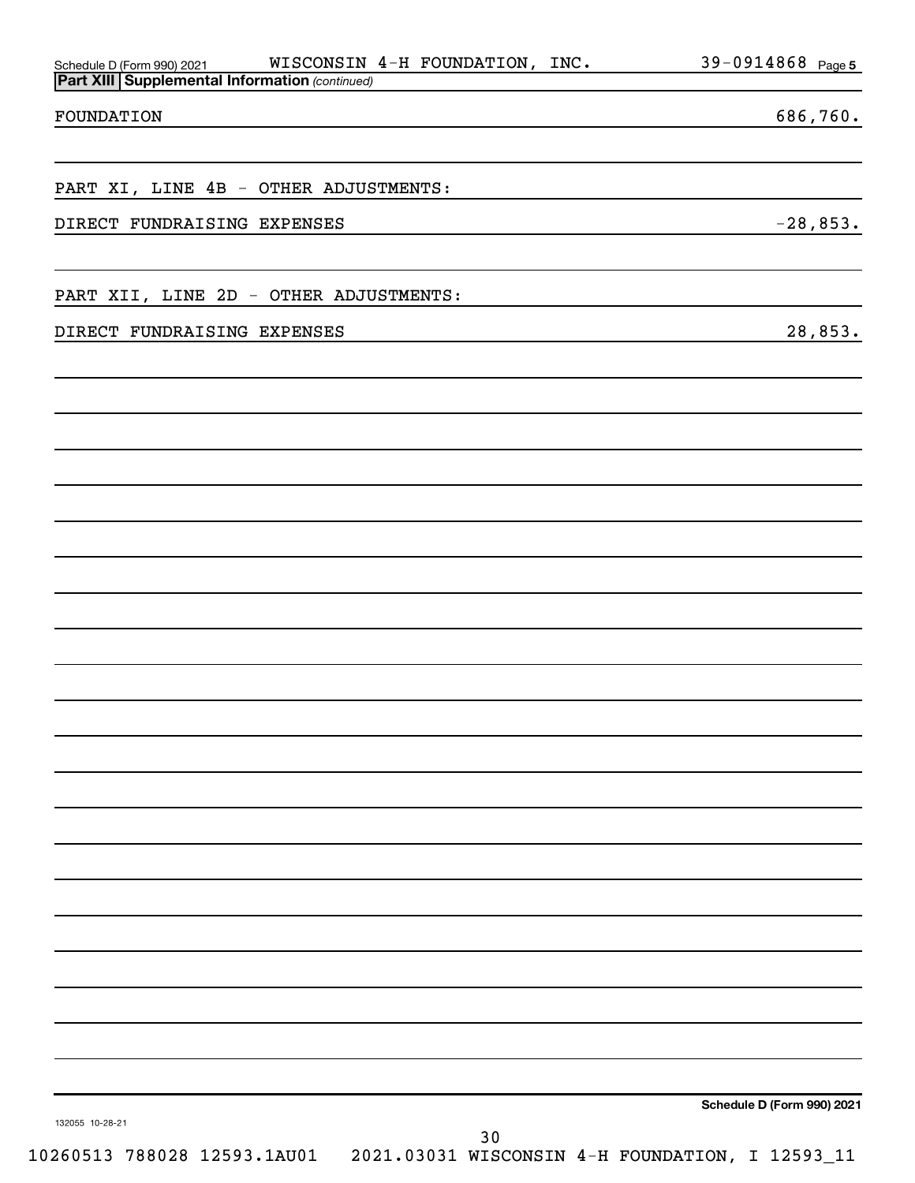| WISCONSIN 4-H FOUNDATION, INC.<br>Schedule D (Form 990) 2021<br>Part XIII Supplemental Information (continued) | $39 - 0914868$ Page 5      |
|----------------------------------------------------------------------------------------------------------------|----------------------------|
|                                                                                                                |                            |
| FOUNDATION                                                                                                     | 686,760.                   |
| PART XI, LINE 4B - OTHER ADJUSTMENTS:                                                                          |                            |
| DIRECT FUNDRAISING EXPENSES                                                                                    | $-28,853.$                 |
| PART XII, LINE 2D - OTHER ADJUSTMENTS:                                                                         |                            |
| DIRECT FUNDRAISING EXPENSES                                                                                    | 28,853.                    |
|                                                                                                                |                            |
|                                                                                                                |                            |
|                                                                                                                |                            |
|                                                                                                                |                            |
|                                                                                                                |                            |
|                                                                                                                |                            |
|                                                                                                                |                            |
|                                                                                                                |                            |
|                                                                                                                |                            |
|                                                                                                                |                            |
|                                                                                                                |                            |
|                                                                                                                |                            |
|                                                                                                                |                            |
|                                                                                                                | Schedule D (Form 990) 2021 |
| 132055 10-28-21<br>30<br>10260513 788028 12593.1AU01  2021.03031 WISCONSIN 4-H FOUNDATION, I 12593_11          |                            |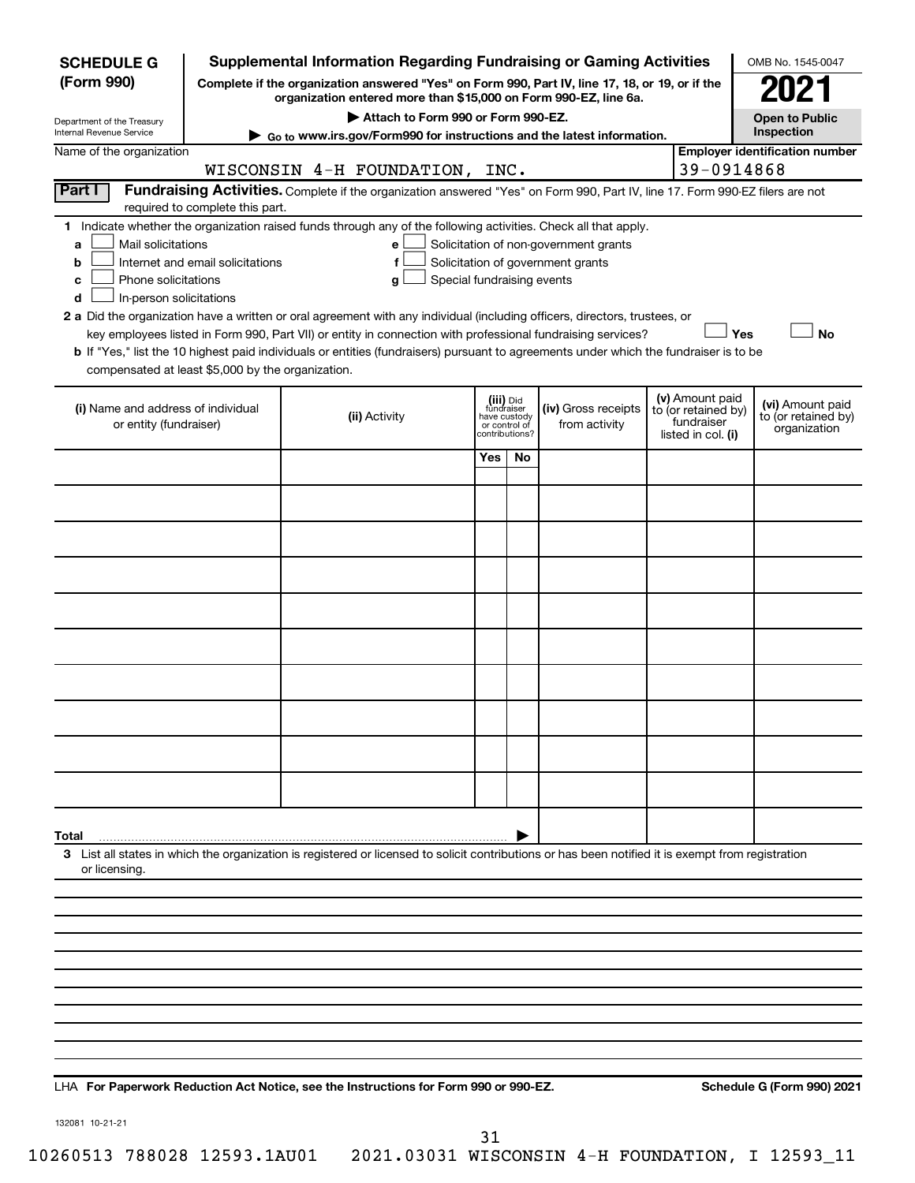| <b>SCHEDULE G</b>                                                                                                                                                                                                                                                                                                                                                          |                                                             | <b>Supplemental Information Regarding Fundraising or Gaming Activities</b>                                                                                                                                                                                                                                                                                                         |                                                                            |    |                                      |  |                                                                            | OMB No. 1545-0047                                       |  |
|----------------------------------------------------------------------------------------------------------------------------------------------------------------------------------------------------------------------------------------------------------------------------------------------------------------------------------------------------------------------------|-------------------------------------------------------------|------------------------------------------------------------------------------------------------------------------------------------------------------------------------------------------------------------------------------------------------------------------------------------------------------------------------------------------------------------------------------------|----------------------------------------------------------------------------|----|--------------------------------------|--|----------------------------------------------------------------------------|---------------------------------------------------------|--|
| (Form 990)                                                                                                                                                                                                                                                                                                                                                                 |                                                             | Complete if the organization answered "Yes" on Form 990, Part IV, line 17, 18, or 19, or if the<br>organization entered more than \$15,000 on Form 990-EZ, line 6a.                                                                                                                                                                                                                |                                                                            |    |                                      |  |                                                                            | 2021                                                    |  |
| Department of the Treasury                                                                                                                                                                                                                                                                                                                                                 | Attach to Form 990 or Form 990-EZ.<br><b>Open to Public</b> |                                                                                                                                                                                                                                                                                                                                                                                    |                                                                            |    |                                      |  |                                                                            |                                                         |  |
| Internal Revenue Service<br>Name of the organization                                                                                                                                                                                                                                                                                                                       |                                                             | ► Go to www.irs.gov/Form990 for instructions and the latest information.                                                                                                                                                                                                                                                                                                           |                                                                            |    |                                      |  |                                                                            | Inspection<br><b>Employer identification number</b>     |  |
|                                                                                                                                                                                                                                                                                                                                                                            |                                                             | WISCONSIN 4-H FOUNDATION, INC.                                                                                                                                                                                                                                                                                                                                                     |                                                                            |    |                                      |  | 39-0914868                                                                 |                                                         |  |
| Part I<br>Fundraising Activities. Complete if the organization answered "Yes" on Form 990, Part IV, line 17. Form 990-EZ filers are not                                                                                                                                                                                                                                    |                                                             |                                                                                                                                                                                                                                                                                                                                                                                    |                                                                            |    |                                      |  |                                                                            |                                                         |  |
|                                                                                                                                                                                                                                                                                                                                                                            | required to complete this part.                             |                                                                                                                                                                                                                                                                                                                                                                                    |                                                                            |    |                                      |  |                                                                            |                                                         |  |
| 1 Indicate whether the organization raised funds through any of the following activities. Check all that apply.<br>Mail solicitations<br>Solicitation of non-government grants<br>a<br>е<br>Internet and email solicitations<br>Solicitation of government grants<br>b<br>f<br>Phone solicitations<br>Special fundraising events<br>c<br>g<br>In-person solicitations<br>d |                                                             |                                                                                                                                                                                                                                                                                                                                                                                    |                                                                            |    |                                      |  |                                                                            |                                                         |  |
| compensated at least \$5,000 by the organization.                                                                                                                                                                                                                                                                                                                          |                                                             | 2 a Did the organization have a written or oral agreement with any individual (including officers, directors, trustees, or<br>key employees listed in Form 990, Part VII) or entity in connection with professional fundraising services?<br>b If "Yes," list the 10 highest paid individuals or entities (fundraisers) pursuant to agreements under which the fundraiser is to be |                                                                            |    |                                      |  | Yes                                                                        | <b>No</b>                                               |  |
| (i) Name and address of individual<br>or entity (fundraiser)                                                                                                                                                                                                                                                                                                               |                                                             | (ii) Activity                                                                                                                                                                                                                                                                                                                                                                      | (iii) Did<br>fundraiser<br>have custody<br>or control of<br>contributions? |    | (iv) Gross receipts<br>from activity |  | (v) Amount paid<br>to (or retained by)<br>fundraiser<br>listed in col. (i) | (vi) Amount paid<br>to (or retained by)<br>organization |  |
|                                                                                                                                                                                                                                                                                                                                                                            |                                                             |                                                                                                                                                                                                                                                                                                                                                                                    | Yes                                                                        | No |                                      |  |                                                                            |                                                         |  |
|                                                                                                                                                                                                                                                                                                                                                                            |                                                             |                                                                                                                                                                                                                                                                                                                                                                                    |                                                                            |    |                                      |  |                                                                            |                                                         |  |
|                                                                                                                                                                                                                                                                                                                                                                            |                                                             |                                                                                                                                                                                                                                                                                                                                                                                    |                                                                            |    |                                      |  |                                                                            |                                                         |  |
|                                                                                                                                                                                                                                                                                                                                                                            |                                                             |                                                                                                                                                                                                                                                                                                                                                                                    |                                                                            |    |                                      |  |                                                                            |                                                         |  |
|                                                                                                                                                                                                                                                                                                                                                                            |                                                             |                                                                                                                                                                                                                                                                                                                                                                                    |                                                                            |    |                                      |  |                                                                            |                                                         |  |
|                                                                                                                                                                                                                                                                                                                                                                            |                                                             |                                                                                                                                                                                                                                                                                                                                                                                    |                                                                            |    |                                      |  |                                                                            |                                                         |  |
|                                                                                                                                                                                                                                                                                                                                                                            |                                                             |                                                                                                                                                                                                                                                                                                                                                                                    |                                                                            |    |                                      |  |                                                                            |                                                         |  |
|                                                                                                                                                                                                                                                                                                                                                                            |                                                             |                                                                                                                                                                                                                                                                                                                                                                                    |                                                                            |    |                                      |  |                                                                            |                                                         |  |
|                                                                                                                                                                                                                                                                                                                                                                            |                                                             |                                                                                                                                                                                                                                                                                                                                                                                    |                                                                            |    |                                      |  |                                                                            |                                                         |  |
|                                                                                                                                                                                                                                                                                                                                                                            |                                                             |                                                                                                                                                                                                                                                                                                                                                                                    |                                                                            |    |                                      |  |                                                                            |                                                         |  |
|                                                                                                                                                                                                                                                                                                                                                                            |                                                             |                                                                                                                                                                                                                                                                                                                                                                                    |                                                                            |    |                                      |  |                                                                            |                                                         |  |
| Total                                                                                                                                                                                                                                                                                                                                                                      |                                                             |                                                                                                                                                                                                                                                                                                                                                                                    |                                                                            |    |                                      |  |                                                                            |                                                         |  |
| or licensing.                                                                                                                                                                                                                                                                                                                                                              |                                                             | 3 List all states in which the organization is registered or licensed to solicit contributions or has been notified it is exempt from registration                                                                                                                                                                                                                                 |                                                                            |    |                                      |  |                                                                            |                                                         |  |
|                                                                                                                                                                                                                                                                                                                                                                            |                                                             |                                                                                                                                                                                                                                                                                                                                                                                    |                                                                            |    |                                      |  |                                                                            |                                                         |  |
|                                                                                                                                                                                                                                                                                                                                                                            |                                                             |                                                                                                                                                                                                                                                                                                                                                                                    |                                                                            |    |                                      |  |                                                                            |                                                         |  |
|                                                                                                                                                                                                                                                                                                                                                                            |                                                             |                                                                                                                                                                                                                                                                                                                                                                                    |                                                                            |    |                                      |  |                                                                            |                                                         |  |
|                                                                                                                                                                                                                                                                                                                                                                            |                                                             |                                                                                                                                                                                                                                                                                                                                                                                    |                                                                            |    |                                      |  |                                                                            |                                                         |  |
|                                                                                                                                                                                                                                                                                                                                                                            |                                                             |                                                                                                                                                                                                                                                                                                                                                                                    |                                                                            |    |                                      |  |                                                                            |                                                         |  |
|                                                                                                                                                                                                                                                                                                                                                                            |                                                             |                                                                                                                                                                                                                                                                                                                                                                                    |                                                                            |    |                                      |  |                                                                            |                                                         |  |
|                                                                                                                                                                                                                                                                                                                                                                            |                                                             |                                                                                                                                                                                                                                                                                                                                                                                    |                                                                            |    |                                      |  |                                                                            |                                                         |  |
|                                                                                                                                                                                                                                                                                                                                                                            |                                                             |                                                                                                                                                                                                                                                                                                                                                                                    |                                                                            |    |                                      |  |                                                                            |                                                         |  |

LHA For Paperwork Reduction Act Notice, see the Instructions for Form 990 or 990-EZ. Schedule G (Form 990) 2021

132081 10-21-21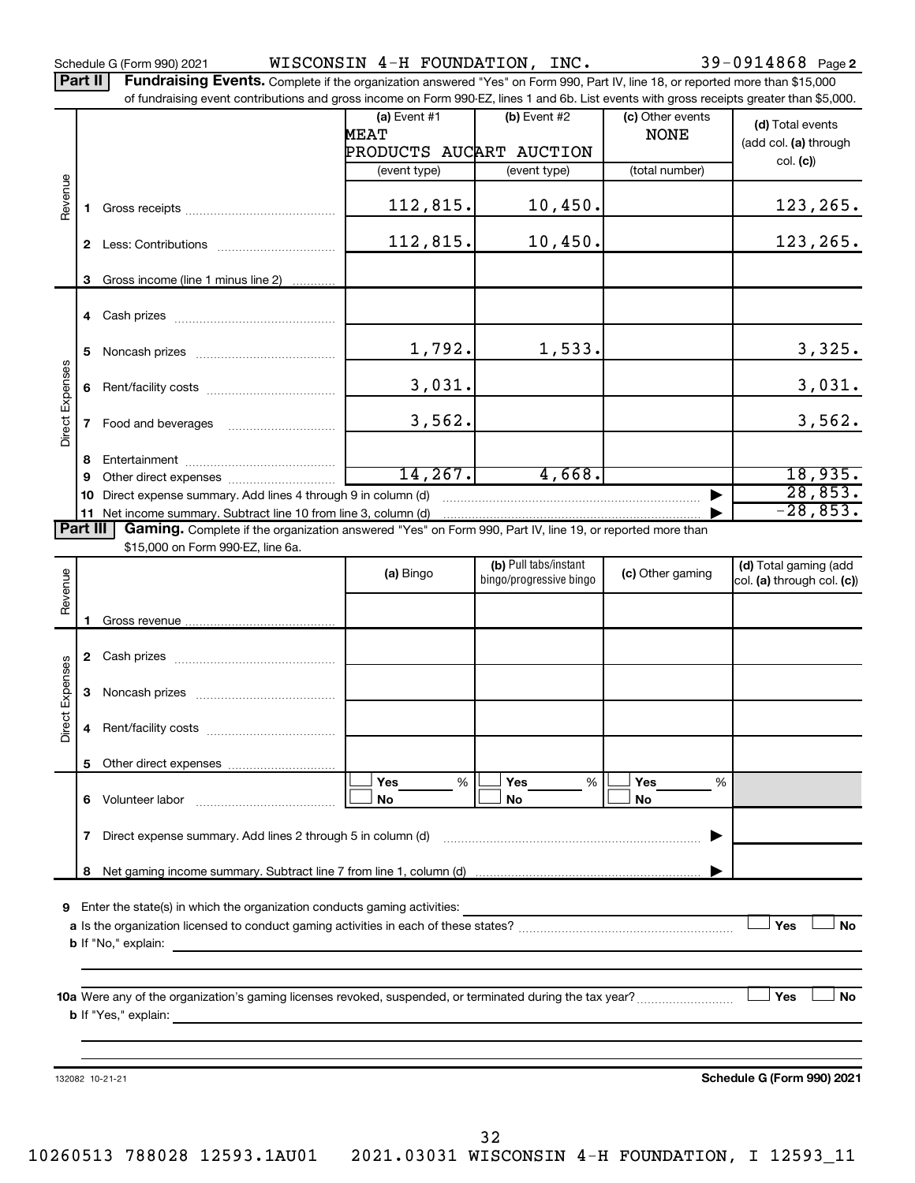Schedule G (Form 990) 2021 Page WISCONSIN 4-H FOUNDATION, INC. 39-0914868

Part II | Fundraising Events. Complete if the organization answered "Yes" on Form 990, Part IV, line 18, or reported more than \$15,000 of fundraising event contributions and gross income on Form 990-EZ, lines 1 and 6b. List events with gross receipts greater than \$5,000.

|                        |              | or iuridraising event contributions and gross income on Form 990-EZ, lines T and 6D. Eist events with gross receipts greater than \$5,000. |                               |                                                  |                                 |                                                     |
|------------------------|--------------|--------------------------------------------------------------------------------------------------------------------------------------------|-------------------------------|--------------------------------------------------|---------------------------------|-----------------------------------------------------|
|                        |              |                                                                                                                                            | (a) Event $#1$<br><b>MEAT</b> | $(b)$ Event #2                                   | (c) Other events<br><b>NONE</b> | (d) Total events                                    |
|                        |              |                                                                                                                                            | PRODUCTS AUCART AUCTION       |                                                  |                                 | (add col. (a) through                               |
|                        |              |                                                                                                                                            | (event type)                  | (event type)                                     | (total number)                  | col. (c)                                            |
|                        |              |                                                                                                                                            |                               |                                                  |                                 |                                                     |
| Revenue                | $\mathbf{1}$ |                                                                                                                                            | 112,815.                      | 10,450.                                          |                                 | 123,265.                                            |
|                        |              |                                                                                                                                            | 112,815.                      | 10,450.                                          |                                 | 123,265.                                            |
|                        |              |                                                                                                                                            |                               |                                                  |                                 |                                                     |
|                        | 3            | Gross income (line 1 minus line 2)                                                                                                         |                               |                                                  |                                 |                                                     |
|                        |              |                                                                                                                                            |                               |                                                  |                                 |                                                     |
|                        | 5            |                                                                                                                                            | 1,792.                        | 1,533.                                           |                                 | 3,325.                                              |
|                        |              |                                                                                                                                            | 3,031.                        |                                                  |                                 | 3,031.                                              |
| Direct Expenses        | $\mathbf{7}$ |                                                                                                                                            | 3,562.                        |                                                  |                                 | 3,562.                                              |
|                        |              |                                                                                                                                            |                               |                                                  |                                 |                                                     |
|                        | 8            |                                                                                                                                            | 14, 267.                      | 4,668.                                           |                                 | 18,935.                                             |
|                        | 9            |                                                                                                                                            |                               |                                                  |                                 | 28,853.                                             |
|                        | 10           | Direct expense summary. Add lines 4 through 9 in column (d)                                                                                |                               |                                                  |                                 | $-28,853.$                                          |
| Part III               |              | 11 Net income summary. Subtract line 10 from line 3, column (d) manufactured in the income summary.                                        |                               |                                                  |                                 |                                                     |
|                        |              | Gaming. Complete if the organization answered "Yes" on Form 990, Part IV, line 19, or reported more than                                   |                               |                                                  |                                 |                                                     |
|                        |              | \$15,000 on Form 990-EZ, line 6a.                                                                                                          |                               |                                                  |                                 |                                                     |
|                        |              |                                                                                                                                            | (a) Bingo                     | (b) Pull tabs/instant<br>bingo/progressive bingo | (c) Other gaming                | (d) Total gaming (add<br>col. (a) through col. (c)) |
| Revenue                |              |                                                                                                                                            |                               |                                                  |                                 |                                                     |
|                        |              |                                                                                                                                            |                               |                                                  |                                 |                                                     |
|                        | -1           |                                                                                                                                            |                               |                                                  |                                 |                                                     |
|                        |              |                                                                                                                                            |                               |                                                  |                                 |                                                     |
|                        |              |                                                                                                                                            |                               |                                                  |                                 |                                                     |
|                        |              |                                                                                                                                            |                               |                                                  |                                 |                                                     |
|                        | 3            |                                                                                                                                            |                               |                                                  |                                 |                                                     |
| <b>Direct Expenses</b> | 4            |                                                                                                                                            |                               |                                                  |                                 |                                                     |
|                        |              |                                                                                                                                            |                               |                                                  |                                 |                                                     |
|                        |              |                                                                                                                                            |                               |                                                  |                                 |                                                     |
|                        |              |                                                                                                                                            | Yes<br>%                      | Yes<br>%                                         | Yes<br>%                        |                                                     |
|                        |              | 6 Volunteer labor                                                                                                                          | No                            | No                                               | No                              |                                                     |
|                        | 7            | Direct expense summary. Add lines 2 through 5 in column (d)                                                                                |                               |                                                  |                                 |                                                     |
|                        |              |                                                                                                                                            |                               |                                                  |                                 |                                                     |
|                        | 8            |                                                                                                                                            |                               |                                                  |                                 |                                                     |
|                        |              |                                                                                                                                            |                               |                                                  |                                 |                                                     |
| 9                      |              | Enter the state(s) in which the organization conducts gaming activities:                                                                   |                               |                                                  |                                 |                                                     |
|                        |              |                                                                                                                                            |                               |                                                  |                                 | Yes<br>No                                           |
|                        |              | <b>b</b> If "No," explain:<br><u> 1989 - John Stein, Amerikaansk politiker (* 1918)</u>                                                    |                               |                                                  |                                 |                                                     |
|                        |              |                                                                                                                                            |                               |                                                  |                                 |                                                     |
|                        |              |                                                                                                                                            |                               |                                                  |                                 |                                                     |
|                        |              |                                                                                                                                            |                               |                                                  |                                 | Yes<br>No                                           |
|                        |              | <b>b</b> If "Yes," explain:                                                                                                                |                               |                                                  |                                 |                                                     |
|                        |              |                                                                                                                                            |                               |                                                  |                                 |                                                     |
|                        |              |                                                                                                                                            |                               |                                                  |                                 |                                                     |
|                        |              | 132082 10-21-21                                                                                                                            |                               |                                                  |                                 | Schedule G (Form 990) 2021                          |
|                        |              |                                                                                                                                            |                               |                                                  |                                 |                                                     |
|                        |              |                                                                                                                                            |                               |                                                  |                                 |                                                     |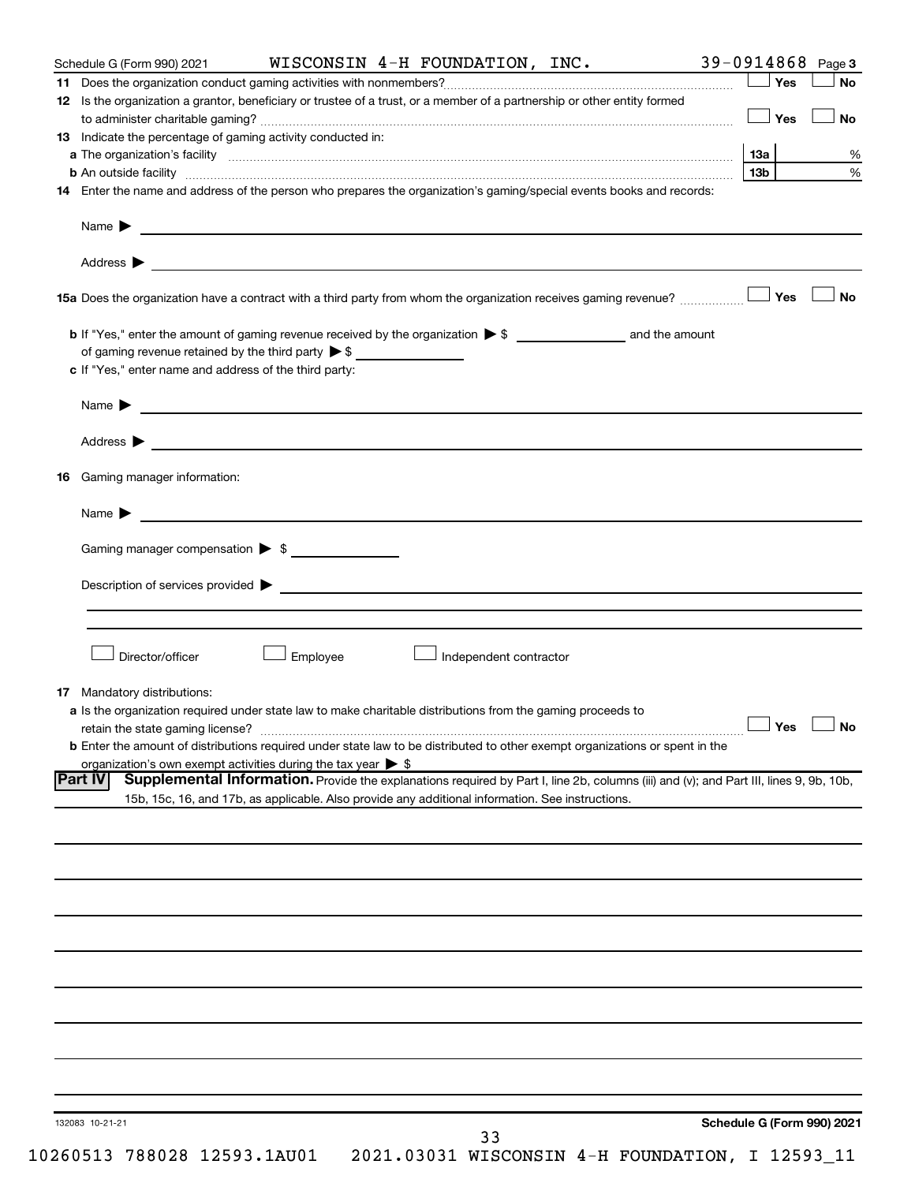| Schedule G (Form 990) 2021                                  | WISCONSIN 4-H FOUNDATION, INC.                                                                                                                                                                                                            | 39-0914868 Page 3          |  |  |  |  |  |  |  |
|-------------------------------------------------------------|-------------------------------------------------------------------------------------------------------------------------------------------------------------------------------------------------------------------------------------------|----------------------------|--|--|--|--|--|--|--|
|                                                             |                                                                                                                                                                                                                                           | Yes<br>No                  |  |  |  |  |  |  |  |
|                                                             | 12 Is the organization a grantor, beneficiary or trustee of a trust, or a member of a partnership or other entity formed                                                                                                                  |                            |  |  |  |  |  |  |  |
|                                                             |                                                                                                                                                                                                                                           | Yes<br><b>No</b>           |  |  |  |  |  |  |  |
| 13 Indicate the percentage of gaming activity conducted in: |                                                                                                                                                                                                                                           |                            |  |  |  |  |  |  |  |
|                                                             |                                                                                                                                                                                                                                           | 1За                        |  |  |  |  |  |  |  |
|                                                             | <b>b</b> An outside facility <b>contained and the contract of the contract of the contract of the contract of the contract of the contract of the contract of the contract of the contract of the contract of the contract of the con</b> | 13b                        |  |  |  |  |  |  |  |
|                                                             | 14 Enter the name and address of the person who prepares the organization's gaming/special events books and records:                                                                                                                      |                            |  |  |  |  |  |  |  |
|                                                             | Name <b>Decision and Contract Contract Contract Contract Contract Contract Contract Contract Contract Contract Contract Contract Contract Contract Contract Contract Contract Contract Contract Contract Contract Contract Contr</b>      |                            |  |  |  |  |  |  |  |
|                                                             |                                                                                                                                                                                                                                           |                            |  |  |  |  |  |  |  |
|                                                             | 15a Does the organization have a contract with a third party from whom the organization receives gaming revenue?                                                                                                                          | Yes<br><b>No</b>           |  |  |  |  |  |  |  |
|                                                             |                                                                                                                                                                                                                                           |                            |  |  |  |  |  |  |  |
|                                                             | of gaming revenue retained by the third party $\triangleright$ \$                                                                                                                                                                         |                            |  |  |  |  |  |  |  |
| c If "Yes," enter name and address of the third party:      |                                                                                                                                                                                                                                           |                            |  |  |  |  |  |  |  |
|                                                             |                                                                                                                                                                                                                                           |                            |  |  |  |  |  |  |  |
|                                                             | Name > 2008 - 2008 - 2009 - 2009 - 2009 - 2009 - 2009 - 2009 - 2009 - 2009 - 2009 - 2009 - 2009 - 2009 - 2009 - 2009 - 2009 - 2009 - 2009 - 2009 - 2009 - 2009 - 2009 - 2009 - 2009 - 2009 - 2009 - 2009 - 2009 - 2009 - 2009             |                            |  |  |  |  |  |  |  |
|                                                             | Address > the contract of the contract of the contract of the contract of the contract of the contract of the contract of the contract of the contract of the contract of the contract of the contract of the contract of the             |                            |  |  |  |  |  |  |  |
| Gaming manager information:<br>16                           |                                                                                                                                                                                                                                           |                            |  |  |  |  |  |  |  |
|                                                             | Name $\blacktriangleright$ $\lrcorner$                                                                                                                                                                                                    |                            |  |  |  |  |  |  |  |
| Gaming manager compensation > \$                            |                                                                                                                                                                                                                                           |                            |  |  |  |  |  |  |  |
|                                                             |                                                                                                                                                                                                                                           |                            |  |  |  |  |  |  |  |
| Director/officer                                            | Employee<br>Independent contractor                                                                                                                                                                                                        |                            |  |  |  |  |  |  |  |
| 17 Mandatory distributions:                                 |                                                                                                                                                                                                                                           |                            |  |  |  |  |  |  |  |
|                                                             | a Is the organization required under state law to make charitable distributions from the gaming proceeds to                                                                                                                               |                            |  |  |  |  |  |  |  |
|                                                             | retain the state gaming license? $\Box$ No                                                                                                                                                                                                |                            |  |  |  |  |  |  |  |
|                                                             | b Enter the amount of distributions required under state law to be distributed to other exempt organizations or spent in the                                                                                                              |                            |  |  |  |  |  |  |  |
|                                                             | organization's own exempt activities during the tax year $\triangleright$ \$                                                                                                                                                              |                            |  |  |  |  |  |  |  |
| <b>Part IV</b>                                              | Supplemental Information. Provide the explanations required by Part I, line 2b, columns (iii) and (v); and Part III, lines 9, 9b, 10b,                                                                                                    |                            |  |  |  |  |  |  |  |
|                                                             | 15b, 15c, 16, and 17b, as applicable. Also provide any additional information. See instructions.                                                                                                                                          |                            |  |  |  |  |  |  |  |
|                                                             |                                                                                                                                                                                                                                           |                            |  |  |  |  |  |  |  |
|                                                             |                                                                                                                                                                                                                                           |                            |  |  |  |  |  |  |  |
|                                                             |                                                                                                                                                                                                                                           |                            |  |  |  |  |  |  |  |
|                                                             |                                                                                                                                                                                                                                           |                            |  |  |  |  |  |  |  |
|                                                             |                                                                                                                                                                                                                                           |                            |  |  |  |  |  |  |  |
|                                                             |                                                                                                                                                                                                                                           |                            |  |  |  |  |  |  |  |
|                                                             |                                                                                                                                                                                                                                           |                            |  |  |  |  |  |  |  |
|                                                             |                                                                                                                                                                                                                                           |                            |  |  |  |  |  |  |  |
|                                                             |                                                                                                                                                                                                                                           |                            |  |  |  |  |  |  |  |
|                                                             |                                                                                                                                                                                                                                           |                            |  |  |  |  |  |  |  |
|                                                             |                                                                                                                                                                                                                                           |                            |  |  |  |  |  |  |  |
|                                                             |                                                                                                                                                                                                                                           |                            |  |  |  |  |  |  |  |
| 132083 10-21-21                                             |                                                                                                                                                                                                                                           | Schedule G (Form 990) 2021 |  |  |  |  |  |  |  |
| 10260513 788028 12593.1AU01                                 | 33<br>2021.03031 WISCONSIN 4-H FOUNDATION, I 12593_11                                                                                                                                                                                     |                            |  |  |  |  |  |  |  |
|                                                             |                                                                                                                                                                                                                                           |                            |  |  |  |  |  |  |  |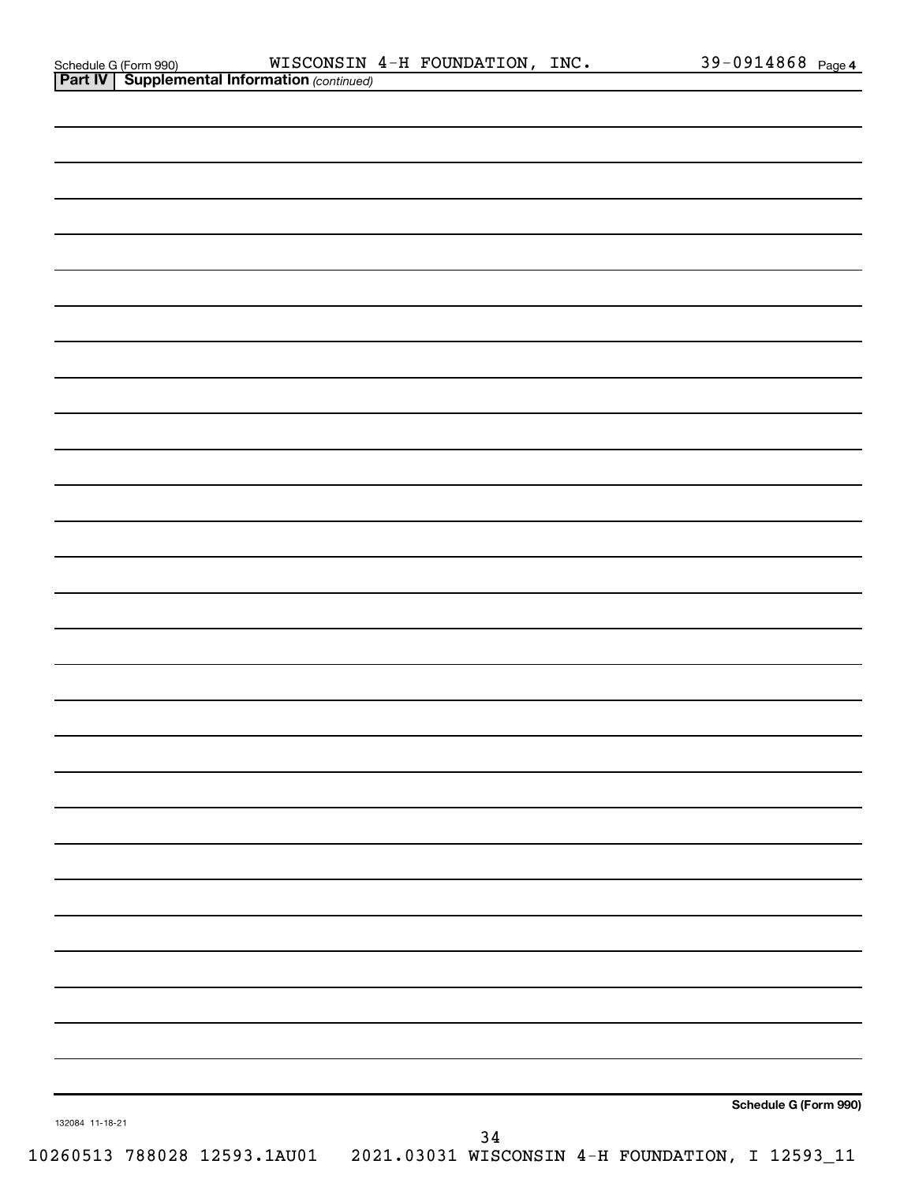| Schedule G (Form 990 |  |  |
|----------------------|--|--|
|                      |  |  |

|                 | Schedule G (Form 990) |
|-----------------|-----------------------|
| 132084 11-18-21 | 34                    |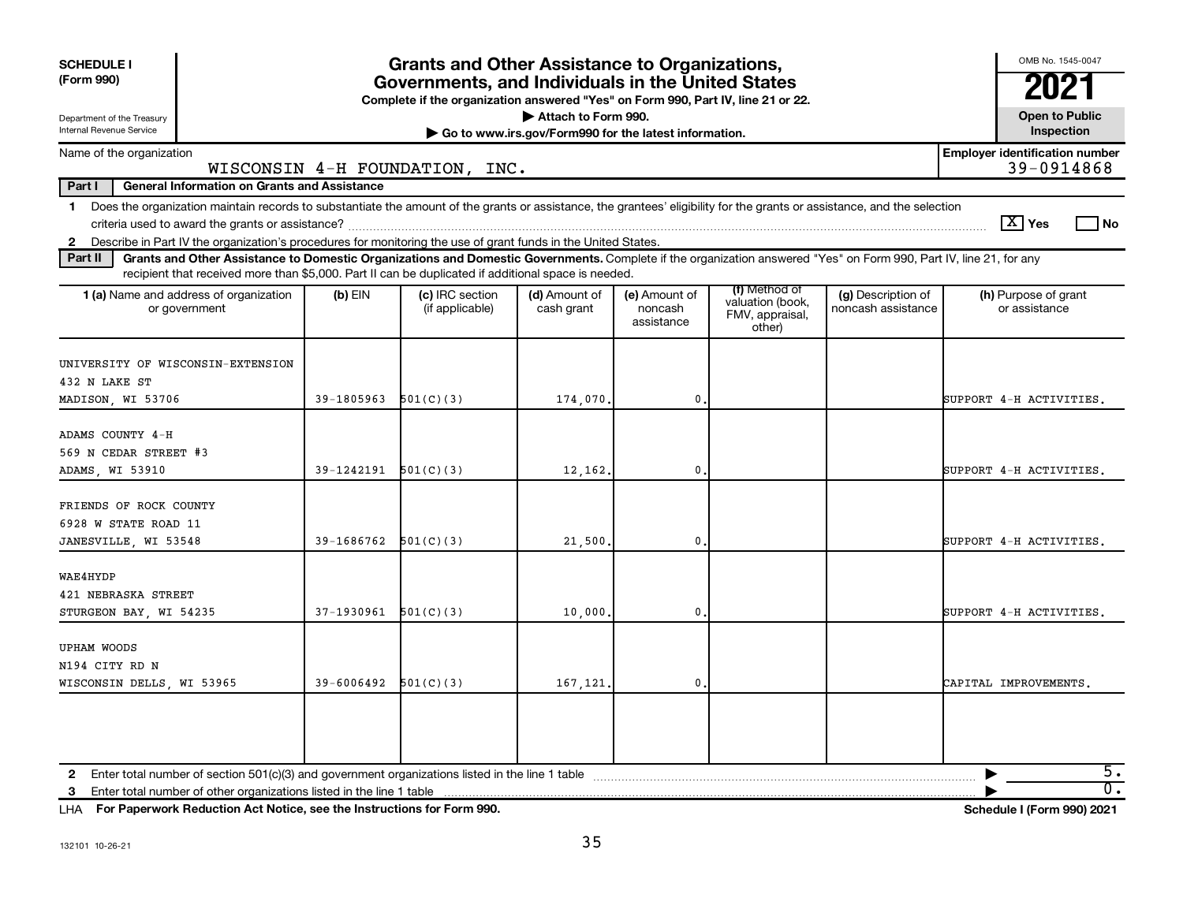| <b>SCHEDULE I</b><br>(Form 990)                                                                                                                                                                                                                                                                                           |                            | <b>Grants and Other Assistance to Organizations,</b><br>Governments, and Individuals in the United States<br>Complete if the organization answered "Yes" on Form 990, Part IV, line 21 or 22. |                                                                              |                                        |                                                                |                                          | OMB No. 1545-0047<br>202                            |
|---------------------------------------------------------------------------------------------------------------------------------------------------------------------------------------------------------------------------------------------------------------------------------------------------------------------------|----------------------------|-----------------------------------------------------------------------------------------------------------------------------------------------------------------------------------------------|------------------------------------------------------------------------------|----------------------------------------|----------------------------------------------------------------|------------------------------------------|-----------------------------------------------------|
| Department of the Treasury<br>Internal Revenue Service                                                                                                                                                                                                                                                                    |                            |                                                                                                                                                                                               | Attach to Form 990.<br>Go to www.irs.gov/Form990 for the latest information. |                                        |                                                                |                                          | <b>Open to Public</b><br>Inspection                 |
| Name of the organization                                                                                                                                                                                                                                                                                                  |                            | WISCONSIN 4-H FOUNDATION, INC.                                                                                                                                                                |                                                                              |                                        |                                                                |                                          | <b>Employer identification number</b><br>39-0914868 |
| Part I<br><b>General Information on Grants and Assistance</b>                                                                                                                                                                                                                                                             |                            |                                                                                                                                                                                               |                                                                              |                                        |                                                                |                                          |                                                     |
| Does the organization maintain records to substantiate the amount of the grants or assistance, the grantees' eligibility for the grants or assistance, and the selection<br>$\mathbf{1}$<br>Describe in Part IV the organization's procedures for monitoring the use of grant funds in the United States.<br>$\mathbf{2}$ |                            |                                                                                                                                                                                               |                                                                              |                                        |                                                                |                                          | $\boxed{\text{X}}$ Yes<br>l No                      |
| Part II<br>Grants and Other Assistance to Domestic Organizations and Domestic Governments. Complete if the organization answered "Yes" on Form 990, Part IV, line 21, for any<br>recipient that received more than \$5,000. Part II can be duplicated if additional space is needed.                                      |                            |                                                                                                                                                                                               |                                                                              |                                        |                                                                |                                          |                                                     |
| 1 (a) Name and address of organization<br>or government                                                                                                                                                                                                                                                                   | $(b)$ EIN                  | (c) IRC section<br>(if applicable)                                                                                                                                                            | (d) Amount of<br>cash grant                                                  | (e) Amount of<br>noncash<br>assistance | (f) Method of<br>valuation (book,<br>FMV, appraisal,<br>other) | (g) Description of<br>noncash assistance | (h) Purpose of grant<br>or assistance               |
| UNIVERSITY OF WISCONSIN-EXTENSION<br>432 N LAKE ST<br>MADISON, WI 53706                                                                                                                                                                                                                                                   | 39-1805963                 | 501(C)(3)                                                                                                                                                                                     | 174,070.                                                                     | $\mathbf 0$ .                          |                                                                |                                          | SUPPORT 4-H ACTIVITIES.                             |
|                                                                                                                                                                                                                                                                                                                           |                            |                                                                                                                                                                                               |                                                                              |                                        |                                                                |                                          |                                                     |
| ADAMS COUNTY 4-H<br>569 N CEDAR STREET #3<br>ADAMS WI 53910                                                                                                                                                                                                                                                               | 39-1242191                 | 501(C)(3)                                                                                                                                                                                     | 12,162.                                                                      | $\mathbf{0}$                           |                                                                |                                          | SUPPORT 4-H ACTIVITIES.                             |
| FRIENDS OF ROCK COUNTY<br>6928 W STATE ROAD 11<br>JANESVILLE, WI 53548                                                                                                                                                                                                                                                    | $39-1686762$ $501(C)(3)$   |                                                                                                                                                                                               | 21,500                                                                       | 0.                                     |                                                                |                                          | SUPPORT 4-H ACTIVITIES.                             |
| WAE4HYDP<br>421 NEBRASKA STREET<br>STURGEON BAY, WI 54235                                                                                                                                                                                                                                                                 | 37-1930961                 | 501(C)(3)                                                                                                                                                                                     | 10,000                                                                       | $\mathbf{0}$                           |                                                                |                                          | SUPPORT 4-H ACTIVITIES.                             |
| <b>UPHAM WOODS</b><br>N194 CITY RD N<br>WISCONSIN DELLS, WI 53965                                                                                                                                                                                                                                                         | $39 - 6006492$ $501(C)(3)$ |                                                                                                                                                                                               | 167,121,                                                                     | 0.                                     |                                                                |                                          | CAPITAL IMPROVEMENTS.                               |
| 2<br>Enter total number of other organizations listed in the line 1 table<br>3                                                                                                                                                                                                                                            |                            |                                                                                                                                                                                               |                                                                              |                                        |                                                                |                                          | 5.<br>$\overline{\mathfrak{0}}$ .                   |

**For Paperwork Reduction Act Notice, see the Instructions for Form 990. Schedule I (Form 990) 2021** LHA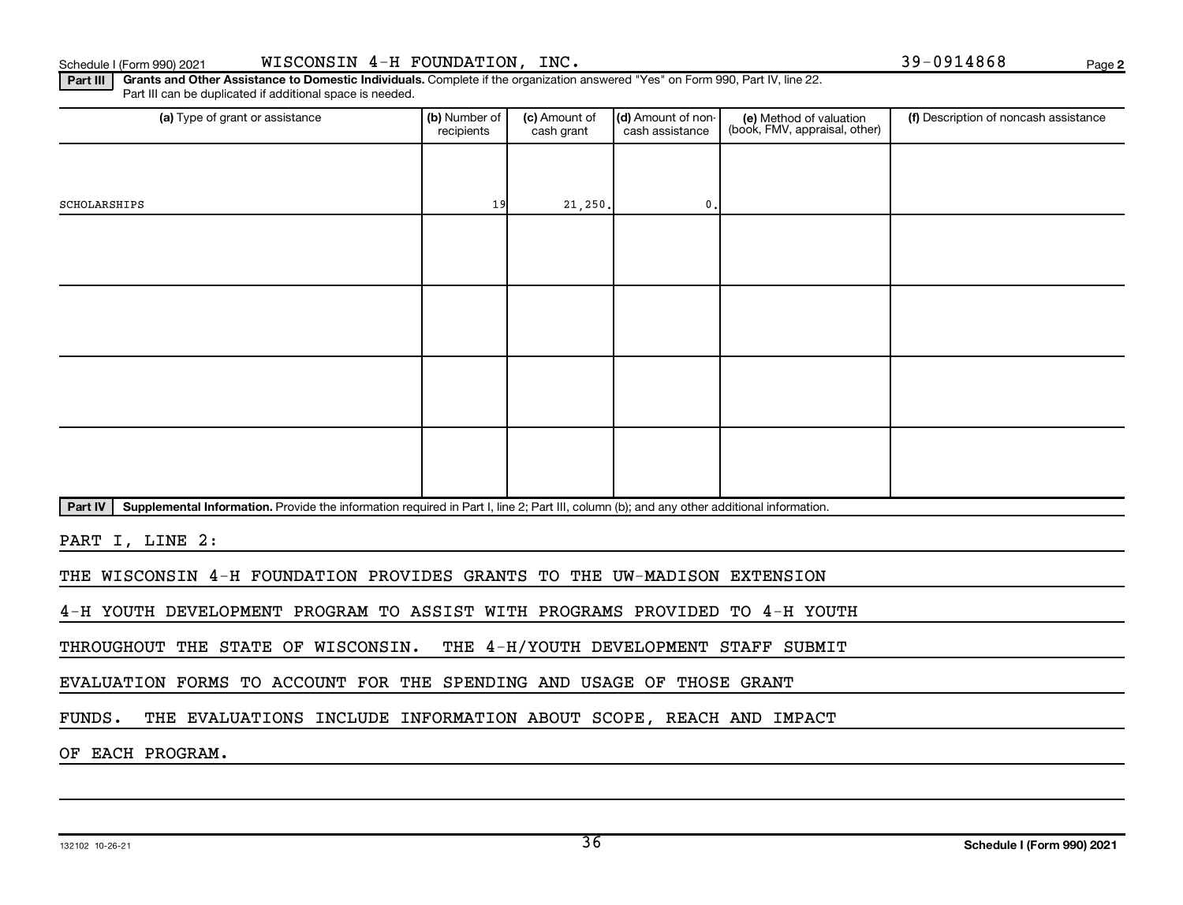**2**

**Part III | Grants and Other Assistance to Domestic Individuals.** Complete if the organization answered "Yes" on Form 990, Part IV, line 22. Part III can be duplicated if additional space is needed.

| (a) Type of grant or assistance                                                                                                                      | (b) Number of<br>recipients | (c) Amount of<br>cash grant | (d) Amount of non-<br>cash assistance | (e) Method of valuation<br>(book, FMV, appraisal, other) | (f) Description of noncash assistance |
|------------------------------------------------------------------------------------------------------------------------------------------------------|-----------------------------|-----------------------------|---------------------------------------|----------------------------------------------------------|---------------------------------------|
|                                                                                                                                                      |                             |                             |                                       |                                                          |                                       |
| SCHOLARSHIPS                                                                                                                                         | 19                          | 21, 250.                    | $\mathbf{0}$ .                        |                                                          |                                       |
|                                                                                                                                                      |                             |                             |                                       |                                                          |                                       |
|                                                                                                                                                      |                             |                             |                                       |                                                          |                                       |
|                                                                                                                                                      |                             |                             |                                       |                                                          |                                       |
|                                                                                                                                                      |                             |                             |                                       |                                                          |                                       |
|                                                                                                                                                      |                             |                             |                                       |                                                          |                                       |
|                                                                                                                                                      |                             |                             |                                       |                                                          |                                       |
|                                                                                                                                                      |                             |                             |                                       |                                                          |                                       |
|                                                                                                                                                      |                             |                             |                                       |                                                          |                                       |
| Part IV<br>Supplemental Information. Provide the information required in Part I, line 2; Part III, column (b); and any other additional information. |                             |                             |                                       |                                                          |                                       |

PART I, LINE 2:

THE WISCONSIN 4-H FOUNDATION PROVIDES GRANTS TO THE UW-MADISON EXTENSION

4-H YOUTH DEVELOPMENT PROGRAM TO ASSIST WITH PROGRAMS PROVIDED TO 4-H YOUTH

THROUGHOUT THE STATE OF WISCONSIN. THE 4-H/YOUTH DEVELOPMENT STAFF SUBMIT

EVALUATION FORMS TO ACCOUNT FOR THE SPENDING AND USAGE OF THOSE GRANT

FUNDS. THE EVALUATIONS INCLUDE INFORMATION ABOUT SCOPE, REACH AND IMPACT

OF EACH PROGRAM.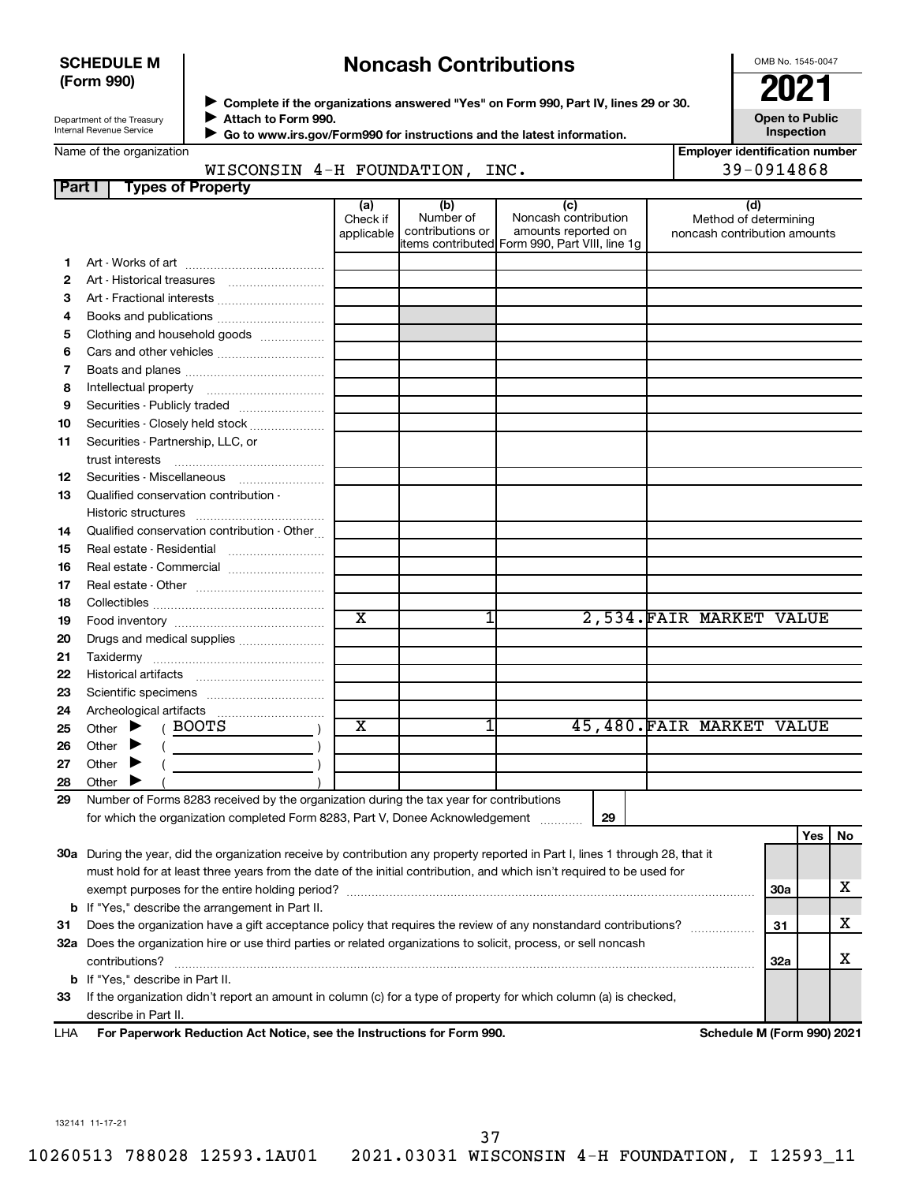## **SCHEDULE M (Form 990)**

## **Noncash Contributions**

OMB No. 1545-0047

**Employer identification number**

| Department of the Treasury |
|----------------------------|
|                            |
| Internal Revenue Service   |
|                            |

◆ Complete if the organizations answered "Yes" on Form 990, Part IV, lines 29 or 30.<br>▶ Complete if the organizations answered "Yes" on Form 990, Part IV, lines 29 or 30. **Attach to Form 990.** J

**Open to Public Inspection**

| Name of the organization |  |
|--------------------------|--|
|--------------------------|--|

 **Go to www.irs.gov/Form990 for instructions and the latest information.**  $\blacktriangleright$ 

## WISCONSIN 4-H FOUNDATION, INC. 4-H 39-0914868

| Part I   | <b>Types of Property</b>                                                                                                       |                       |                  |                                                |                              |            |            |    |
|----------|--------------------------------------------------------------------------------------------------------------------------------|-----------------------|------------------|------------------------------------------------|------------------------------|------------|------------|----|
|          |                                                                                                                                | (a)<br>Check if       | (b)<br>Number of | (c)<br>Noncash contribution                    | (d)<br>Method of determining |            |            |    |
|          |                                                                                                                                | applicable            | contributions or | amounts reported on                            | noncash contribution amounts |            |            |    |
|          |                                                                                                                                |                       |                  | items contributed Form 990, Part VIII, line 1q |                              |            |            |    |
| 1.       |                                                                                                                                |                       |                  |                                                |                              |            |            |    |
| 2        |                                                                                                                                |                       |                  |                                                |                              |            |            |    |
| 3        | Art - Fractional interests                                                                                                     |                       |                  |                                                |                              |            |            |    |
| 4        | Books and publications                                                                                                         |                       |                  |                                                |                              |            |            |    |
| 5        | Clothing and household goods                                                                                                   |                       |                  |                                                |                              |            |            |    |
| 6        | Cars and other vehicles                                                                                                        |                       |                  |                                                |                              |            |            |    |
| 7        |                                                                                                                                |                       |                  |                                                |                              |            |            |    |
| 8        |                                                                                                                                |                       |                  |                                                |                              |            |            |    |
| 9        | Securities - Publicly traded                                                                                                   |                       |                  |                                                |                              |            |            |    |
| 10       | Securities - Closely held stock                                                                                                |                       |                  |                                                |                              |            |            |    |
| 11       | Securities - Partnership, LLC, or                                                                                              |                       |                  |                                                |                              |            |            |    |
|          | trust interests                                                                                                                |                       |                  |                                                |                              |            |            |    |
| 12       |                                                                                                                                |                       |                  |                                                |                              |            |            |    |
| 13       | Qualified conservation contribution -                                                                                          |                       |                  |                                                |                              |            |            |    |
|          |                                                                                                                                |                       |                  |                                                |                              |            |            |    |
| 14       | Qualified conservation contribution - Other                                                                                    |                       |                  |                                                |                              |            |            |    |
| 15       | Real estate - Residential                                                                                                      |                       |                  |                                                |                              |            |            |    |
| 16       | Real estate - Commercial                                                                                                       |                       |                  |                                                |                              |            |            |    |
| 17       |                                                                                                                                |                       |                  |                                                |                              |            |            |    |
| 18       |                                                                                                                                | $\overline{\text{x}}$ |                  |                                                |                              |            |            |    |
| 19       |                                                                                                                                |                       | 1                |                                                | 2,534.FAIR MARKET VALUE      |            |            |    |
| 20       | Drugs and medical supplies                                                                                                     |                       |                  |                                                |                              |            |            |    |
| 21       |                                                                                                                                |                       |                  |                                                |                              |            |            |    |
| 22       |                                                                                                                                |                       |                  |                                                |                              |            |            |    |
| 23       |                                                                                                                                |                       |                  |                                                |                              |            |            |    |
| 24       |                                                                                                                                |                       |                  |                                                |                              |            |            |    |
| 25       | (BOOTS<br>Other $\blacktriangleright$                                                                                          | X                     |                  |                                                | 45,480.FAIR MARKET VALUE     |            |            |    |
| 26       | Other $\blacktriangleright$                                                                                                    |                       |                  |                                                |                              |            |            |    |
| 27<br>28 | Other $\blacktriangleright$<br>Other<br>▸                                                                                      |                       |                  |                                                |                              |            |            |    |
| 29       | Number of Forms 8283 received by the organization during the tax year for contributions                                        |                       |                  |                                                |                              |            |            |    |
|          | for which the organization completed Form 8283, Part V, Donee Acknowledgement                                                  |                       |                  | 29                                             |                              |            |            |    |
|          |                                                                                                                                |                       |                  |                                                |                              |            | <b>Yes</b> | No |
|          | 30a During the year, did the organization receive by contribution any property reported in Part I, lines 1 through 28, that it |                       |                  |                                                |                              |            |            |    |
|          | must hold for at least three years from the date of the initial contribution, and which isn't required to be used for          |                       |                  |                                                |                              |            |            |    |
|          |                                                                                                                                |                       |                  |                                                |                              | <b>30a</b> |            | x  |
|          | <b>b</b> If "Yes," describe the arrangement in Part II.                                                                        |                       |                  |                                                |                              |            |            |    |
| 31       | Does the organization have a gift acceptance policy that requires the review of any nonstandard contributions?                 |                       |                  |                                                |                              | 31         |            | x. |

**33** If the organization didn't report an amount in column (c) for a type of property for which column (a) is checked, **b** If "Yes," describe in Part II. describe in Part II.

 $\text{contributions?}$   $\ldots$   $\ldots$   $\ldots$   $\ldots$   $\ldots$   $\ldots$   $\ldots$   $\ldots$   $\ldots$   $\ldots$   $\ldots$   $\ldots$   $\ldots$   $\ldots$   $\ldots$   $\ldots$   $\ldots$   $\ldots$   $\ldots$ 

**32 a** Does the organization hire or use third parties or related organizations to solicit, process, or sell noncash

**For Paperwork Reduction Act Notice, see the Instructions for Form 990. Schedule M (Form 990) 2021** LHA

**32a**

X

132141 11-17-21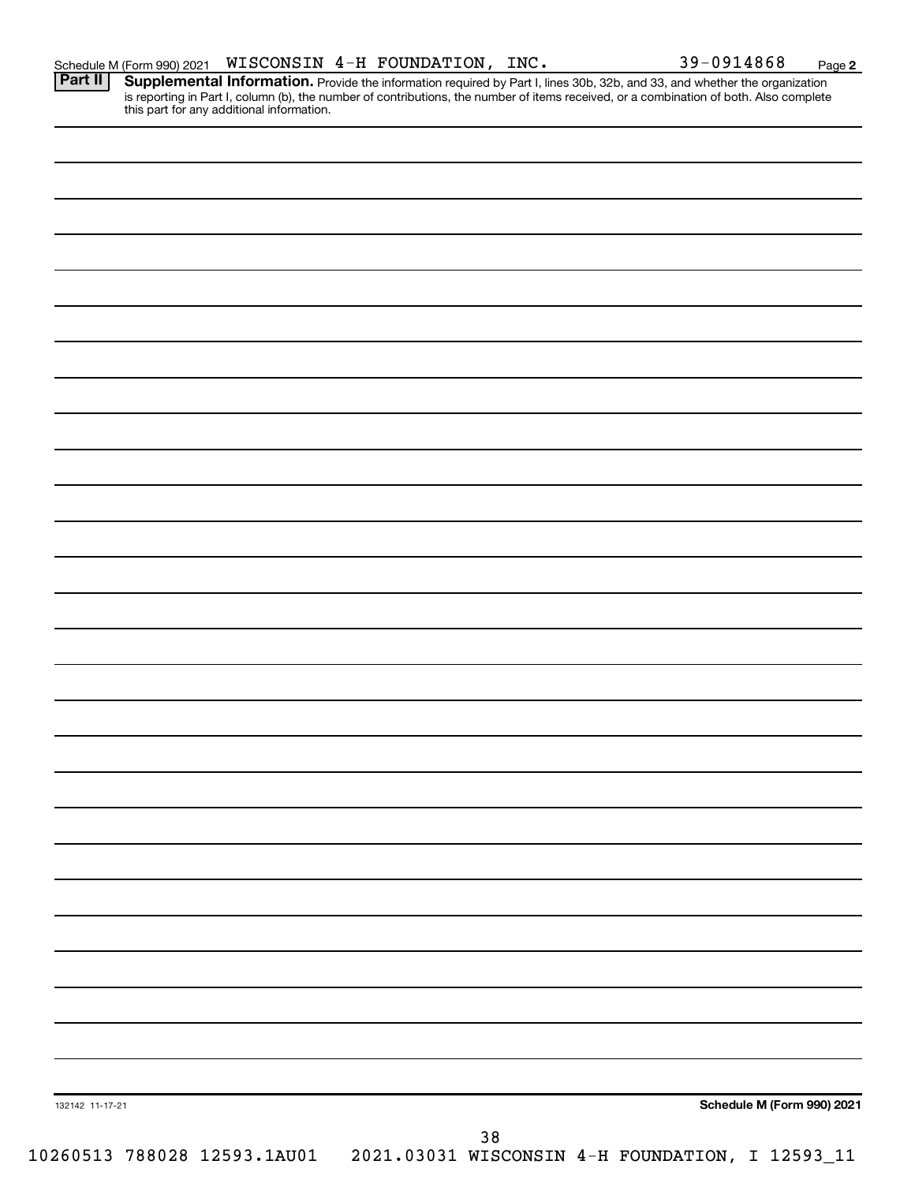**2**

Provide the information required by Part I, lines 30b, 32b, and 33, and whether the organization is reporting in Part I, column (b), the number of contributions, the number of items received, or a combination of both. Also complete this part for any additional information. **Part II Supplemental Information.** 

| 132142 11-17-21 |  |  |                                                                              |  |  | Schedule M (Form 990) 2021 |
|-----------------|--|--|------------------------------------------------------------------------------|--|--|----------------------------|
|                 |  |  | $38$                                                                         |  |  |                            |
|                 |  |  | 10260513 788028 12593.1AU01  2021.03031 WISCONSIN 4-H FOUNDATION, I 12593_11 |  |  |                            |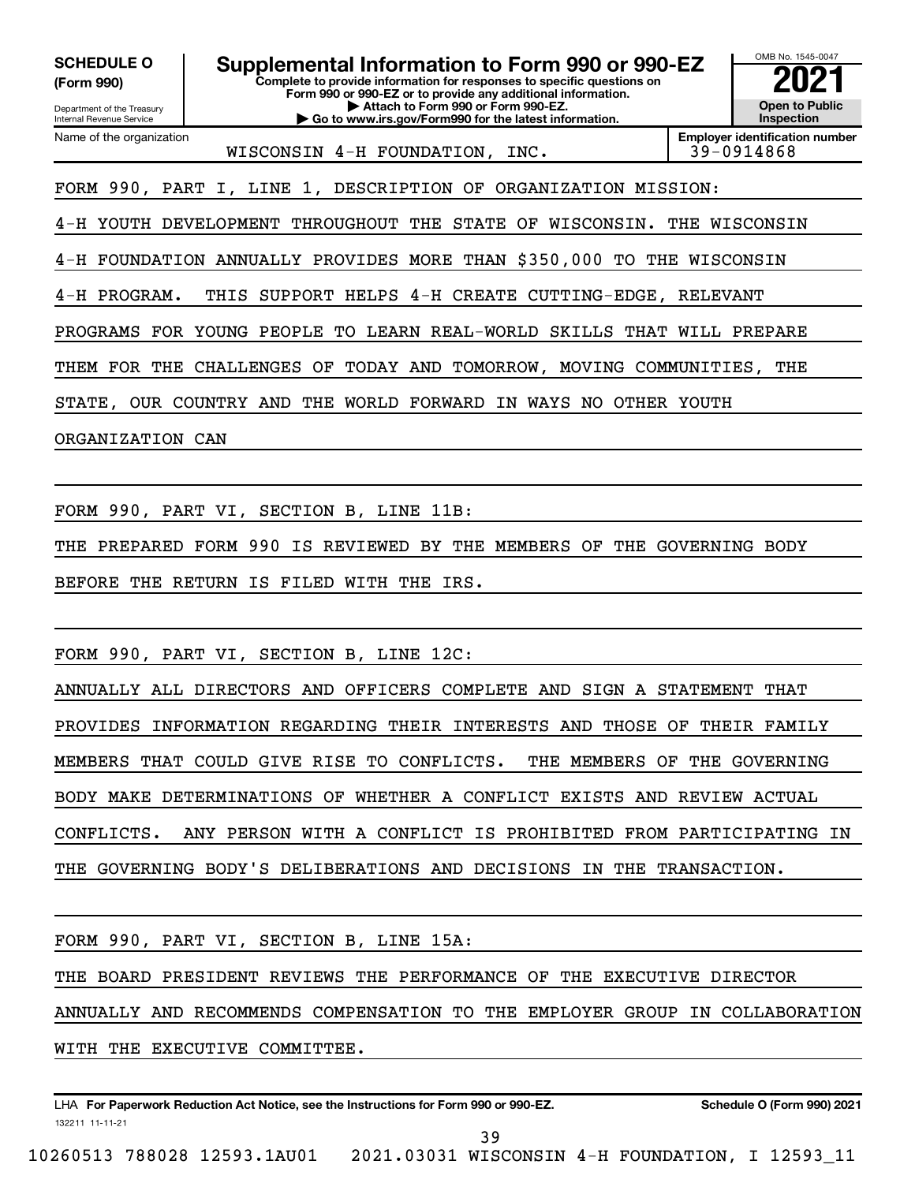Department of the Treasury Internal Revenue Service **Complete to provide information for responses to specific questions on Form 990 or 990-EZ or to provide any additional information. | Attach to Form 990 or Form 990-EZ. | Go to www.irs.gov/Form990 for the latest information. Employer identification number** Name of the organization **(Form 990) SCHEDULE O Supplemental Information to Form 990 or 990-EZ**  $\frac{100000}{2}$ WISCONSIN 4-H FOUNDATION, INC. | 39-0914868

FORM 990, PART I, LINE 1, DESCRIPTION OF ORGANIZATION MISSION:

4-H YOUTH DEVELOPMENT THROUGHOUT THE STATE OF WISCONSIN. THE WISCONSIN

OMB No. 1545-0047

**Open to Public Inspection**

4-H FOUNDATION ANNUALLY PROVIDES MORE THAN \$350,000 TO THE WISCONSIN

4-H PROGRAM. THIS SUPPORT HELPS 4-H CREATE CUTTING-EDGE, RELEVANT

PROGRAMS FOR YOUNG PEOPLE TO LEARN REAL-WORLD SKILLS THAT WILL PREPARE

THEM FOR THE CHALLENGES OF TODAY AND TOMORROW, MOVING COMMUNITIES, THE

STATE, OUR COUNTRY AND THE WORLD FORWARD IN WAYS NO OTHER YOUTH

ORGANIZATION CAN

FORM 990, PART VI, SECTION B, LINE 11B:

THE PREPARED FORM 990 IS REVIEWED BY THE MEMBERS OF THE GOVERNING BODY BEFORE THE RETURN IS FILED WITH THE IRS.

FORM 990, PART VI, SECTION B, LINE 12C:

ANNUALLY ALL DIRECTORS AND OFFICERS COMPLETE AND SIGN A STATEMENT THAT PROVIDES INFORMATION REGARDING THEIR INTERESTS AND THOSE OF THEIR FAMILY MEMBERS THAT COULD GIVE RISE TO CONFLICTS. THE MEMBERS OF THE GOVERNING BODY MAKE DETERMINATIONS OF WHETHER A CONFLICT EXISTS AND REVIEW ACTUAL CONFLICTS. ANY PERSON WITH A CONFLICT IS PROHIBITED FROM PARTICIPATING IN THE GOVERNING BODY'S DELIBERATIONS AND DECISIONS IN THE TRANSACTION.

FORM 990, PART VI, SECTION B, LINE 15A:

THE BOARD PRESIDENT REVIEWS THE PERFORMANCE OF THE EXECUTIVE DIRECTOR

ANNUALLY AND RECOMMENDS COMPENSATION TO THE EMPLOYER GROUP IN COLLABORATION

WITH THE EXECUTIVE COMMITTEE.